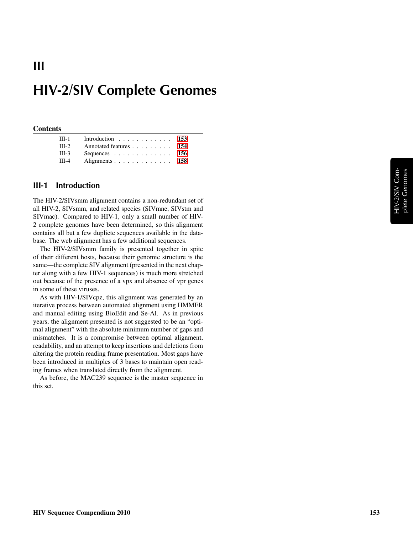#### **Contents**

III

| $III-1$ | Introduction 153       |  |
|---------|------------------------|--|
| $III-2$ | Annotated features 154 |  |
| $III-3$ | Sequences 156          |  |
| $III-4$ | Alignments 158         |  |

## <span id="page-0-0"></span>III-1 Introduction

The HIV-2/SIVsmm alignment contains a non-redundant set of all HIV-2, SIVsmm, and related species (SIVmne, SIVstm and SIVmac). Compared to HIV-1, only a small number of HIV-2 complete genomes have been determined, so this alignment contains all but a few duplicte sequences available in the database. The web alignment has a few additional sequences.

The HIV-2/SIVsmm family is presented together in spite of their different hosts, because their genomic structure is the same—the complete SIV alignment (presented in the next chapter along with a few HIV-1 sequences) is much more stretched out because of the presence of a vpx and absence of vpr genes in some of these viruses.

As with HIV-1/SIVcpz, this alignment was generated by an iterative process between automated alignment using HMMER and manual editing using BioEdit and Se-Al. As in previous years, the alignment presented is not suggested to be an "optimal alignment" with the absolute minimum number of gaps and mismatches. It is a compromise between optimal alignment, readability, and an attempt to keep insertions and deletions from altering the protein reading frame presentation. Most gaps have been introduced in multiples of 3 bases to maintain open reading frames when translated directly from the alignment.

As before, the MAC239 sequence is the master sequence in this set.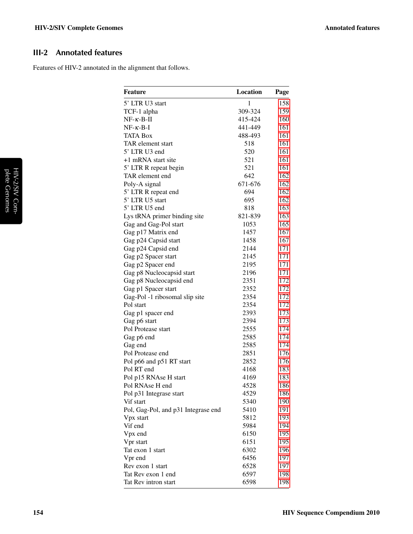# <span id="page-1-0"></span>III-2 Annotated features

Features of HIV-2 annotated in the alignment that follows.

| <b>Feature</b>                      | Location     | Page |
|-------------------------------------|--------------|------|
| 5' LTR U3 start                     | $\mathbf{1}$ | 158  |
| TCF-1 alpha                         | 309-324      | 159  |
| $NF-\kappa-B-\Pi$                   | 415-424      | 160  |
| $NF-\kappa-B-I$                     | 441-449      | 161  |
| <b>TATA Box</b>                     | 488-493      | 161  |
| TAR element start                   | 518          | 161  |
| 5' LTR U3 end                       | 520          | 161  |
| +1 mRNA start site                  | 521          | 161  |
| 5' LTR R repeat begin               | 521          | 161  |
| TAR element end                     | 642          | 162  |
| Poly-A signal                       | 671-676      | 162  |
| 5' LTR R repeat end                 | 694          | 162  |
| 5' LTR U5 start                     | 695          | 162  |
| 5' LTR U5 end                       | 818          | 163  |
| Lys tRNA primer binding site        | 821-839      | 163  |
| Gag and Gag-Pol start               | 1053         | 165  |
| Gag p17 Matrix end                  | 1457         | 167  |
| Gag p24 Capsid start                | 1458         | 167  |
| Gag p24 Capsid end                  | 2144         | 171  |
| Gag p2 Spacer start                 | 2145         | 171  |
| Gag p2 Spacer end                   | 2195         | 171  |
| Gag p8 Nucleocapsid start           | 2196         | 171  |
| Gag p8 Nucleocapsid end             | 2351         | 172  |
| Gag p1 Spacer start                 | 2352         | 172  |
| Gag-Pol -1 ribosomal slip site      | 2354         | 172  |
| Pol start                           | 2354         | 172  |
| Gag p1 spacer end                   | 2393         | 173  |
| Gag p6 start                        | 2394         | 173  |
| Pol Protease start                  | 2555         | 174  |
| Gag p6 end                          | 2585         | 174  |
| Gag end                             | 2585         | 174  |
| Pol Protease end                    | 2851         | 176  |
| Pol p66 and p51 RT start            | 2852         | 176  |
| Pol RT end                          | 4168         | 183  |
| Pol p15 RNAse H start               | 4169         | 183  |
| Pol RNAse H end                     | 4528         | 186  |
| Pol p31 Integrase start             | 4529         | 186  |
| Vif start                           | 5340         | 190  |
| Pol, Gag-Pol, and p31 Integrase end | 5410         | 191  |
| Vpx start                           | 5812         | 193  |
| Vif end                             | 5984         | 194  |
| Vpx end                             | 6150         | 195  |
| Vpr start                           | 6151         | 195  |
| Tat exon 1 start                    | 6302         | 196  |
| Vpr end                             | 6456         | 197  |
| Rev exon 1 start                    | 6528         | 197  |
| Tat Rev exon 1 end                  | 6597         | 198  |
| Tat Rev intron start                | 6598         | 198  |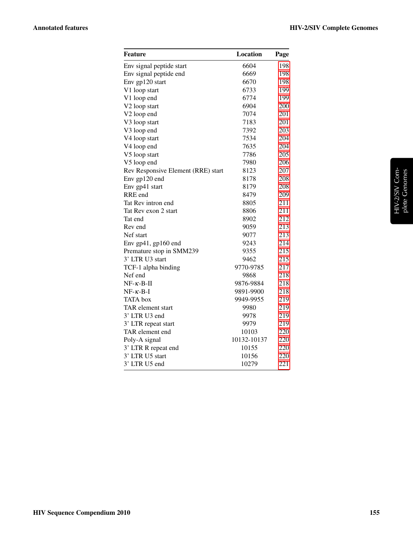| Feature                            | Location    | Page |
|------------------------------------|-------------|------|
| Env signal peptide start           | 6604        | 198  |
| Env signal peptide end             | 6669        | 198  |
| Env gp120 start                    | 6670        | 198  |
| V1 loop start                      | 6733        | 199  |
| V1 loop end                        | 6774        | 199  |
| V2 loop start                      | 6904        | 200  |
| V <sub>2</sub> loop end            | 7074        | 201  |
| V3 loop start                      | 7183        | 201  |
| V3 loop end                        | 7392        | 203  |
| V4 loop start                      | 7534        | 204  |
| V4 loop end                        | 7635        | 204  |
| V5 loop start                      | 7786        | 205  |
| V5 loop end                        | 7980        | 206  |
| Rev Responsive Element (RRE) start | 8123        | 207  |
| Env gp120 end                      | 8178        | 208  |
| Env gp41 start                     | 8179        | 208  |
| RRE end                            | 8479        | 209  |
| Tat Rev intron end                 | 8805        | 211  |
| Tat Rev exon 2 start               | 8806        | 211  |
| Tat end                            | 8902        | 212  |
| Rev end                            | 9059        | 213  |
| Nef start                          | 9077        | 213  |
| Env gp41, gp160 end                | 9243        | 214  |
| Premature stop in SMM239           | 9355        | 215  |
| 3' LTR U3 start                    | 9462        | 215  |
| TCF-1 alpha binding                | 9770-9785   | 217  |
| Nef end                            | 9868        | 218  |
| $NF-\kappa-B-\Pi$                  | 9876-9884   | 218  |
| $NF- \kappa - B-I$                 | 9891-9900   | 218  |
| <b>TATA</b> box                    | 9949-9955   | 219  |
| TAR element start                  | 9980        | 219  |
| 3' LTR U3 end                      | 9978        | 219  |
| 3' LTR repeat start                | 9979        | 219  |
| TAR element end                    | 10103       | 220  |
| Poly-A signal                      | 10132-10137 | 220  |
| 3' LTR R repeat end                | 10155       | 220  |
| 3' LTR U5 start                    | 10156       | 220  |
| 3' LTR U5 end                      | 10279       | 221  |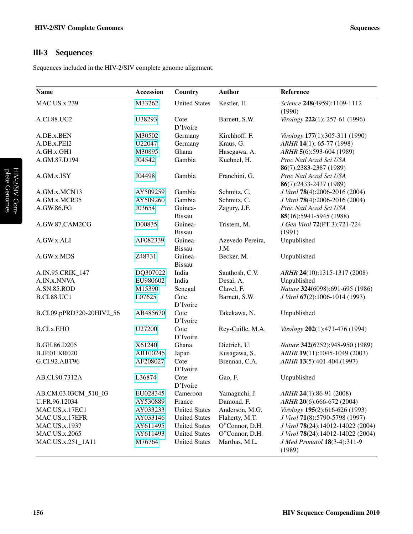# <span id="page-3-0"></span>III-3 Sequences

Sequences included in the HIV-2/SIV complete genome alignment.

| <b>Name</b>               | <b>Accession</b> | Country                  | Author                   | Reference                                        |
|---------------------------|------------------|--------------------------|--------------------------|--------------------------------------------------|
| <b>MAC.US.x.239</b>       | M33262           | <b>United States</b>     | Kestler, H.              | Science 248(4959):1109-1112<br>(1990)            |
| A.CI.88.UC2               | U38293           | Cote<br>D'Ivoire         | Barnett, S.W.            | Virology 222(1); 257-61 (1996)                   |
| A.DE.x.BEN                | M30502           | Germany                  | Kirchhoff, F.            | Virology 177(1):305-311 (1990)                   |
| A.DE.x.PEI2               | U22047           | Germany                  | Kraus, G.                | ARHR 14(1); 65-77 (1998)                         |
| A.GH.x.GH1                | M30895           | Ghana                    | Hasegawa, A.             | ARHR 5(6):593-604 (1989)                         |
| A.GM.87.D194              | J04542           | Gambia                   | Kuehnel, H.              | Proc Natl Acad Sci USA                           |
|                           |                  |                          |                          | 86(7):2383-2387 (1989)                           |
| A.GM.x.ISY                | J04498           | Gambia                   | Franchini, G.            | Proc Natl Acad Sci USA<br>86(7):2433-2437 (1989) |
| A.GM.x.MCN13              | AY509259         | Gambia                   | Schmitz, C.              | J Virol 78(4):2006-2016 (2004)                   |
| A.GM.x.MCR35              | AY509260         | Gambia                   | Schmitz, C.              | J Virol 78(4):2006-2016 (2004)                   |
| A.GW.86.FG                | J03654           | Guinea-                  | Zagury, J.F.             | Proc Natl Acad Sci USA                           |
|                           |                  | <b>Bissau</b>            |                          | 85(16):5941-5945 (1988)                          |
| A.GW.87.CAM2CG            | D00835           | Guinea-                  | Tristem, M.              | J Gen Virol 72(PT 3):721-724                     |
|                           |                  | <b>Bissau</b>            |                          | (1991)                                           |
| A.GW.x.ALI                | AF082339         | Guinea-<br><b>Bissau</b> | Azevedo-Pereira,<br>J.M. | Unpublished                                      |
| A.GW.x.MDS                | Z48731           | Guinea-<br><b>Bissau</b> | Becker, M.               | Unpublished                                      |
| A.IN.95.CRIK_147          | DQ307022         | India                    | Santhosh, C.V.           | ARHR 24(10):1315-1317 (2008)                     |
| A.IN.x.NNVA               | EU980602         | India                    | Desai, A.                | Unpublished                                      |
| A.SN.85.ROD               | M15390           | Senegal                  | Clavel, F.               | Nature 324(6098):691-695 (1986)                  |
| <b>B.CI.88.UC1</b>        | L07625           | Cote<br>D'Ivoire         | Barnett, S.W.            | J Virol 67(2):1006-1014 (1993)                   |
| B.CI.09.pPRD320-20HIV2_56 | AB485670         | Cote<br>D'Ivoire         | Takekawa, N.             | Unpublished                                      |
| <b>B.CI.x.EHO</b>         | U27200           | Cote<br>D'Ivoire         | Rey-Cuille, M.A.         | Virology 202(1):471-476 (1994)                   |
| B.GH.86.D205              | X61240           | Ghana                    | Dietrich, U.             | Nature 342(6252):948-950 (1989)                  |
| <b>B.JP.01.KR020</b>      | AB100245         | Japan                    | Kusagawa, S.             | ARHR 19(11):1045-1049 (2003)                     |
| G.CI.92.ABT96             | AF208027         | Cote<br>D'Ivoire         | Brennan, C.A.            | ARHR 13(5):401-404 (1997)                        |
| AB.CI.90.7312A            | L36874           | Cote<br>D'Ivoire         | Gao, F.                  | Unpublished                                      |
| AB.CM.03.03CM_510_03      | EU028345         | Cameroon                 | Yamaguchi, J.            | ARHR 24(1):86-91 (2008)                          |
| U.FR.96.12034             | AY530889         | France                   | Damond, F.               | ARHR 20(6):666-672 (2004)                        |
| MAC.US.x.17EC1            | AY033233         | <b>United States</b>     | Anderson, M.G.           | Virology 195(2):616-626 (1993)                   |
| MAC.US.x.17EFR            | AY033146         | <b>United States</b>     | Flaherty, M.T.           | J Virol 71(8):5790-5798 (1997)                   |
| MAC.US.x.1937             | AY611495         | <b>United States</b>     | O"Connor, D.H.           | J Virol 78(24):14012-14022 (2004)                |
| <b>MAC.US.x.2065</b>      | AY611493         | <b>United States</b>     | O"Connor, D.H.           | J Virol 78(24):14012-14022 (2004)                |
| MAC.US.x.251_1A11         | M76764           | <b>United States</b>     | Marthas, M.L.            | J Med Primatol 18(3-4):311-9<br>(1989)           |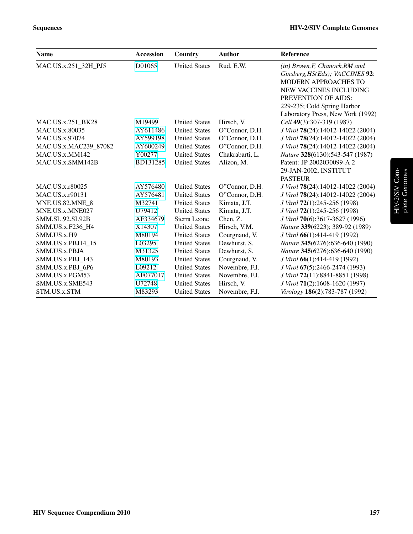| <b>Name</b>            | <b>Accession</b> | Country              | <b>Author</b>   | Reference                         |
|------------------------|------------------|----------------------|-----------------|-----------------------------------|
| MAC.US.x.251_32H_PJ5   | D01065           | <b>United States</b> | Rud, E.W.       | $(in) Brown, F, Chanock, RM$ and  |
|                        |                  |                      |                 | Ginsberg, HS(Eds); VACCINES 92:   |
|                        |                  |                      |                 | MODERN APPROACHES TO              |
|                        |                  |                      |                 | NEW VACCINES INCLUDING            |
|                        |                  |                      |                 | PREVENTION OF AIDS:               |
|                        |                  |                      |                 | 229-235; Cold Spring Harbor       |
|                        |                  |                      |                 | Laboratory Press, New York (1992) |
| MAC.US.x.251_BK28      | M19499           | <b>United States</b> | Hirsch, V.      | Cell 49(3):307-319 (1987)         |
| MAC.US.x.80035         | AY611486         | <b>United States</b> | O"Connor, D.H.  | J Virol 78(24):14012-14022 (2004) |
| MAC.US.x.97074         | AY599198         | <b>United States</b> | O"Connor, D.H.  | J Virol 78(24):14012-14022 (2004) |
| MAC.US.x.MAC239_87082  | AY600249         | <b>United States</b> | O"Connor, D.H.  | J Virol 78(24):14012-14022 (2004) |
| MAC.US.x.MM142         | Y00277           | <b>United States</b> | Chakrabarti, L. | Nature 328(6130):543-547 (1987)   |
| MAC.US.x.SMM142B       | BD131285         | <b>United States</b> | Alizon, M.      | Patent: JP 2002030099-A 2         |
|                        |                  |                      |                 | 29-JAN-2002; INSTITUT             |
|                        |                  |                      |                 | <b>PASTEUR</b>                    |
| MAC.US.x.r80025        | AY576480         | <b>United States</b> | O"Connor, D.H.  | J Virol 78(24):14012-14022 (2004) |
| MAC.US.x.r90131        | AY576481         | <b>United States</b> | O"Connor, D.H.  | J Virol 78(24):14012-14022 (2004) |
| MNE.US.82.MNE 8        | M32741           | <b>United States</b> | Kimata, J.T.    | J Virol 72(1):245-256 (1998)      |
| MNE.US.x.MNE027        | U79412           | <b>United States</b> | Kimata, J.T.    | J Virol 72(1):245-256 (1998)      |
| <b>SMM.SL.92.SL92B</b> | AF334679         | Sierra Leone         | Chen, Z.        | J Virol 70(6):3617-3627 (1996)    |
| SMM.US.x.F236 H4       | X14307           | <b>United States</b> | Hirsch, V.M.    | Nature 339(6223); 389-92 (1989)   |
| SMM.US.x.H9            | M80194           | <b>United States</b> | Courgnaud, V.   | J Virol 66(1):414-419 (1992)      |
| SMM.US.x.PBJ14_15      | L03295           | <b>United States</b> | Dewhurst, S.    | Nature 345(6276):636-640 (1990)   |
| SMM.US.x.PBJA          | M31325           | <b>United States</b> | Dewhurst, S.    | Nature 345(6276):636-640 (1990)   |
| SMM.US.x.PBJ_143       | M80193           | <b>United States</b> | Courgnaud, V.   | J Virol 66(1):414-419 (1992)      |
| SMM.US.x.PBJ_6P6       | L09212           | <b>United States</b> | Novembre, F.J.  | J Virol 67(5):2466-2474 (1993)    |
| SMM.US.x.PGM53         | AF077017         | <b>United States</b> | Novembre, F.J.  | J Virol 72(11):8841-8851 (1998)   |
| SMM.US.x.SME543        | U72748           | <b>United States</b> | Hirsch, V.      | J Virol 71(2):1608-1620 (1997)    |
| STM.US.x.STM           | M83293           | <b>United States</b> | Novembre, F.J.  | Virology 186(2):783-787 (1992)    |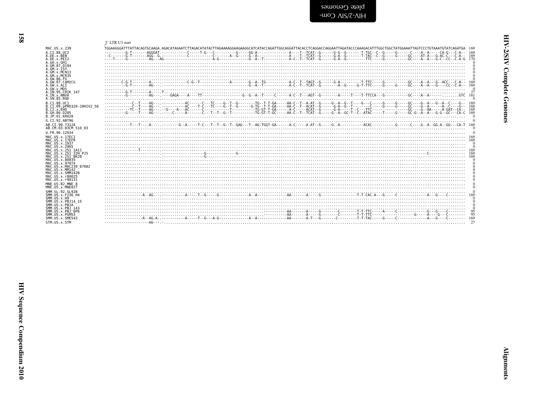<span id="page-5-1"></span>

| ו<br>גי     |  |
|-------------|--|
| ś<br>į<br>i |  |
| i           |  |

| IAC. US. x. 239                                                                                    | 5' LTR U3 start |
|----------------------------------------------------------------------------------------------------|-----------------|
| .CI.88.UC2                                                                                         |                 |
| .DE.x.BEN                                                                                          |                 |
| .DE.x.PEI2                                                                                         |                 |
| ∖.GH.x.GH1<br>.GM.87.D194<br>.GM.x.ISY<br>.GM.x.MCN13<br>GM.x.MCR35<br>.GW.86.FG                   |                 |
| GW.87.CAM2CG                                                                                       |                 |
| ∖.GW.x.ALI                                                                                         |                 |
| .GW.x.MDS                                                                                          |                 |
| IN.95.CRIK 147                                                                                     |                 |
| .IN.x.NNVA                                                                                         |                 |
| .SN.85.ROD                                                                                         |                 |
| .CI.88.UC1                                                                                         |                 |
| .CI.09.pPRD320-20HIV2 56                                                                           |                 |
| 3. C.T. x. EHO                                                                                     |                 |
| GH 86 D205                                                                                         |                 |
| 3.JP.01.KR020                                                                                      |                 |
| G.CI.92.ABT96                                                                                      |                 |
| B.CI.90.7312A                                                                                      |                 |
| B.CM.03.03CM 510 03                                                                                |                 |
| J.FR.96.12034                                                                                      |                 |
| 1AC.US.x.17EC1                                                                                     |                 |
| IAC.US.x.17EFR                                                                                     |                 |
| IAC.US.x.1937                                                                                      |                 |
| IAC.US.x.2065                                                                                      |                 |
| 1AC.US.x.251 1A11                                                                                  |                 |
| 1AC.US.x.251 <sup>-</sup> 32H PJ5                                                                  |                 |
| IAC.US.x.251 <sup>-</sup> BK28                                                                     |                 |
| IAC.US.x.80035                                                                                     |                 |
| IAC.US.x.97074                                                                                     |                 |
| IAC.US.x.MAC239 87082                                                                              |                 |
| IAC.US.x.MM142                                                                                     |                 |
| IAC.US.x.SMM142B                                                                                   |                 |
| 1AC.US.x.r80025                                                                                    |                 |
| IAC.US.x.r90131                                                                                    |                 |
| INE.US.82.MNE 8                                                                                    |                 |
| INE.US.x.MNE027                                                                                    |                 |
| MM.SL.92.SL92B                                                                                     |                 |
| MM.US.x.F236 H4                                                                                    |                 |
| MM.US.x.H9                                                                                         |                 |
| MM.US.x.PBJ14 15                                                                                   |                 |
| MM.US.x.PBJA<br>MM.US.x.PBJ 143<br>MM.US.x.PBJ <sup>-</sup> 6P6<br>MM.US.x.PGM53<br>MM.US.x.SME543 | 95              |
| TM.US.x.STM                                                                                        |                 |

<span id="page-5-0"></span>- I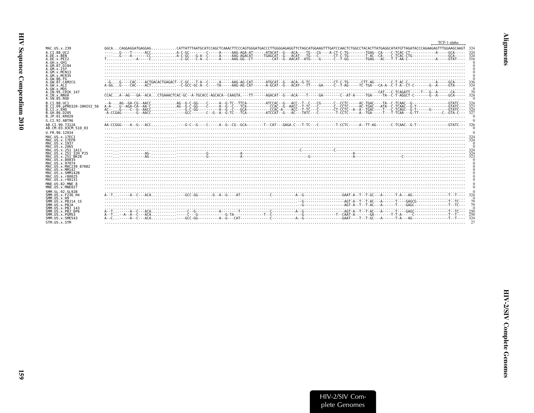| l<br>i |
|--------|
| ì      |
|        |
| Š<br>ć |

|                                                        | TCF-1 alpha                                                                                                                                                          |     |
|--------------------------------------------------------|----------------------------------------------------------------------------------------------------------------------------------------------------------------------|-----|
| MAC. US. x. 239                                        | $GGCA \ldots$ CAGGAGGATGAGGAGCATTATTTAATGCATCCAGCTCAAACTTCCCAGTGGGATGACCCTTGGGGAGGGTTCTAGCATGGAAGTTTGATCCAACTCTGGCCTACACTTATGAGGCATATGTTAGATACCCAGAAGAGTTTGGAAGCAAGT | 324 |
| A.CT.88.UC2                                            |                                                                                                                                                                      |     |
| A.DE.x.BEN                                             |                                                                                                                                                                      |     |
| A.DE.x.PET2                                            |                                                                                                                                                                      |     |
| A.GH.x.GH1<br>A. GM. 87. D194                          |                                                                                                                                                                      |     |
| A.GM.X.ISY                                             |                                                                                                                                                                      |     |
| A.GM.X.MCN13                                           |                                                                                                                                                                      |     |
| A.GM.x.MCR35                                           |                                                                                                                                                                      |     |
| A.GW.86.FG                                             |                                                                                                                                                                      |     |
| A.GW.87.CAM2CG<br>A.GW.x.ALI                           |                                                                                                                                                                      |     |
| A.GW.x.MDS                                             |                                                                                                                                                                      |     |
| A.IN.95.CRIK 147                                       |                                                                                                                                                                      |     |
| A.IN.x.NNVA                                            | CCACA--AG---GA--ACACTGAAACTCAC-GC--A-TGCACC-AGCACA--CAAGTA.---TT------AGACAT--G---ACA----T-----GA------C--AT-A-----TGA-----TA--C-T-AGGCT-C--------G--A-----GCA-----  |     |
| A.SN.85.ROD                                            |                                                                                                                                                                      |     |
| B.CT.88.UC1<br>B.CI.09.pPRD320-20HIV2 56               |                                                                                                                                                                      |     |
| B.CI.X.EHO                                             |                                                                                                                                                                      | 324 |
| B.GH.86.D205                                           |                                                                                                                                                                      |     |
| B.JP.01.KR020                                          |                                                                                                                                                                      |     |
| G.CT.92.ABT96                                          |                                                                                                                                                                      |     |
| AB.CI.90.7312A                                         |                                                                                                                                                                      |     |
| AB.CM.03.03CM 510 03                                   |                                                                                                                                                                      |     |
| U.FR.96.12034                                          |                                                                                                                                                                      |     |
| MAC.US.x.17EC1<br>MAC.US.x.17EFR                       |                                                                                                                                                                      |     |
| MAC.US.x.1937                                          |                                                                                                                                                                      |     |
| MAC. US. x. 2065                                       |                                                                                                                                                                      |     |
| MAC.US.x.251 1A11                                      |                                                                                                                                                                      |     |
| MAC.US.x.251 32H PJ5<br>MAC.US.x.251 <sup>-</sup> BK28 |                                                                                                                                                                      |     |
| MAC. US. x.80035                                       |                                                                                                                                                                      |     |
| MAC.US.x.97074                                         |                                                                                                                                                                      |     |
| MAC.US.x.MAC239 87082                                  |                                                                                                                                                                      |     |
| MAC.US.x.MM142<br>MAC.US.x.SMM142B                     |                                                                                                                                                                      |     |
| MAC. US. x. r80025                                     |                                                                                                                                                                      |     |
| MAC.US.x.r90131                                        |                                                                                                                                                                      |     |
| MNE.US.82.MNE 8                                        |                                                                                                                                                                      |     |
| MNE.US.x.MNE027                                        |                                                                                                                                                                      |     |
| SMM. SL. 92. SL92B                                     |                                                                                                                                                                      |     |
| SMM. U.S. x. F236 H4<br>$SMM. US. \times . H9$         |                                                                                                                                                                      |     |
| SMM.US.x.PBJ14 15                                      |                                                                                                                                                                      |     |
| SMM.US.x.PBJA                                          |                                                                                                                                                                      |     |
| SMM. US. x. PBJ 143                                    |                                                                                                                                                                      |     |
| SMM.US.x.PBJ <sup>6P6</sup><br>SMM.US.x.PGM53          |                                                                                                                                                                      | 250 |
| SMM.US.x.SME543                                        |                                                                                                                                                                      | 324 |
| STM.US.x.STM                                           |                                                                                                                                                                      |     |
|                                                        |                                                                                                                                                                      |     |

<span id="page-6-0"></span>**Alignments**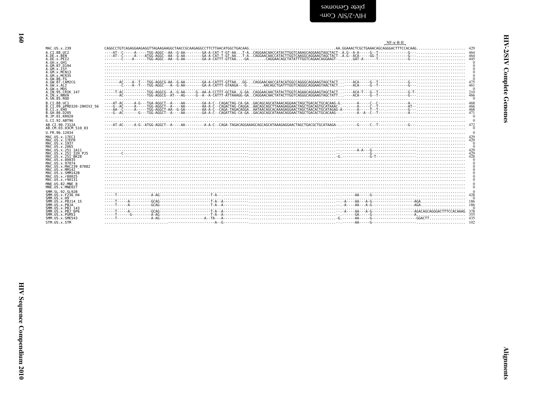<span id="page-7-0"></span>

|                                        | $NF-K-B-H$                                                                                                                                                                                                                                                                                                                                                                                       |  |
|----------------------------------------|--------------------------------------------------------------------------------------------------------------------------------------------------------------------------------------------------------------------------------------------------------------------------------------------------------------------------------------------------------------------------------------------------|--|
| MAC.US.x.239                           | $\textbf{CAGGCCTGTCAGAGGAGAGGGTTAGAAGAGGGCTGATACCGCAGAGGGCGTGTGTTTATAACATGGCTGAGAGAG.}\textbf{CCTGACAG.}\textbf{CCTGAACTGCTGAAACAGCGGGCTTTTCCACAG.}\textbf{CCTGCTGAAG.}\textbf{CCTGAAG} \textbf{CCTGACAG.}\textbf{CCTGCTGAAG} \textbf{CCTGACAG.}\textbf{CCTGACAG.}\textbf{CCTGACAG.}\textbf{CCTGACAG.}\textbf{CCTGACAG.}\textbf{CCTGACAG.}\textbf{CCTGACAG.}\textbf{CCTGACAG.}\textbf{CCTGACAG.$ |  |
| A.CI.88.UC2                            |                                                                                                                                                                                                                                                                                                                                                                                                  |  |
| A.DE.x.BEN<br>A.DE.x.PEI2              |                                                                                                                                                                                                                                                                                                                                                                                                  |  |
| A.GH.x.GH1                             |                                                                                                                                                                                                                                                                                                                                                                                                  |  |
| A.GM.87.D194                           |                                                                                                                                                                                                                                                                                                                                                                                                  |  |
| A.GM.x.ISY<br>A.GM.x.MCN13             |                                                                                                                                                                                                                                                                                                                                                                                                  |  |
| A. GM. x. MCR35                        |                                                                                                                                                                                                                                                                                                                                                                                                  |  |
| A.GW.86.FG                             |                                                                                                                                                                                                                                                                                                                                                                                                  |  |
| A.GW.87.CAM2CG<br>A.GW.x.ALT           |                                                                                                                                                                                                                                                                                                                                                                                                  |  |
| A.GW.x.MDS                             | $+ 7.42$                                                                                                                                                                                                                                                                                                                                                                                         |  |
| A.IN.95.CRIK 147<br>A. IN. x. NNVA     |                                                                                                                                                                                                                                                                                                                                                                                                  |  |
| A.SN.85.ROD                            |                                                                                                                                                                                                                                                                                                                                                                                                  |  |
| B.CT.88.UC1                            |                                                                                                                                                                                                                                                                                                                                                                                                  |  |
| B.CI.09.pPRD320-20HIV2 56              |                                                                                                                                                                                                                                                                                                                                                                                                  |  |
| B.CI.X.EHO<br>B.GH.86.D205             |                                                                                                                                                                                                                                                                                                                                                                                                  |  |
| B.JP.01.KR020                          |                                                                                                                                                                                                                                                                                                                                                                                                  |  |
| G.CI.92.ABT96                          |                                                                                                                                                                                                                                                                                                                                                                                                  |  |
| AB.CI.90.7312A                         |                                                                                                                                                                                                                                                                                                                                                                                                  |  |
| AB.CM.03.03CM 510 03                   |                                                                                                                                                                                                                                                                                                                                                                                                  |  |
| U.FR.96.12034                          |                                                                                                                                                                                                                                                                                                                                                                                                  |  |
| MAC.US.x.17EC1<br>MAC.US.x.17EFR       |                                                                                                                                                                                                                                                                                                                                                                                                  |  |
| MAC.US.x.1937                          |                                                                                                                                                                                                                                                                                                                                                                                                  |  |
| MAC.US.x.2065<br>MAC.US.x.251 1A11     |                                                                                                                                                                                                                                                                                                                                                                                                  |  |
| MAC.US.x.251 32H PJ5                   |                                                                                                                                                                                                                                                                                                                                                                                                  |  |
| MAC.US.x.251 BK28                      |                                                                                                                                                                                                                                                                                                                                                                                                  |  |
| MAC.US.x.80035<br>MAC.US.x.97074       |                                                                                                                                                                                                                                                                                                                                                                                                  |  |
| MAC.US.x.MAC239 87082                  |                                                                                                                                                                                                                                                                                                                                                                                                  |  |
| MAC.US.x.MM142                         |                                                                                                                                                                                                                                                                                                                                                                                                  |  |
| MAC.US.x.SMM142B<br>MAC.US.x.r80025    |                                                                                                                                                                                                                                                                                                                                                                                                  |  |
| MAC.US.x.r90131                        |                                                                                                                                                                                                                                                                                                                                                                                                  |  |
| MNE.US.82.MNE 8                        |                                                                                                                                                                                                                                                                                                                                                                                                  |  |
| MNE.US.x.MNE027                        |                                                                                                                                                                                                                                                                                                                                                                                                  |  |
| SMM. SL. 92. SL92B<br>SMM.US.x.F236 H4 |                                                                                                                                                                                                                                                                                                                                                                                                  |  |
| SMM. US. x.H9                          |                                                                                                                                                                                                                                                                                                                                                                                                  |  |
| SMM. US. x. PBJ14 15<br>SMM.US.x.PBJA  |                                                                                                                                                                                                                                                                                                                                                                                                  |  |
| SMM. US. x. PBJ 143                    |                                                                                                                                                                                                                                                                                                                                                                                                  |  |
| $SMM. US. x. PBJ-6P6$                  |                                                                                                                                                                                                                                                                                                                                                                                                  |  |
| SMM.US.x.PGM53<br>SMM.US.x.SME543      |                                                                                                                                                                                                                                                                                                                                                                                                  |  |
| STM.US.x.STM                           |                                                                                                                                                                                                                                                                                                                                                                                                  |  |
|                                        |                                                                                                                                                                                                                                                                                                                                                                                                  |  |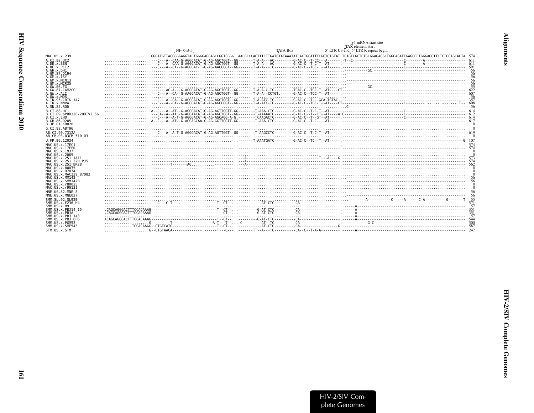<span id="page-8-0"></span>

|                                                                     |                                                                                                                                                                                                                                                                                                                                                                                        |                 | +1 mRNA start site<br>TAR element start |          |
|---------------------------------------------------------------------|----------------------------------------------------------------------------------------------------------------------------------------------------------------------------------------------------------------------------------------------------------------------------------------------------------------------------------------------------------------------------------------|-----------------|-----------------------------------------|----------|
|                                                                     | $NF - K - B - I$                                                                                                                                                                                                                                                                                                                                                                       | <b>TATA Box</b> | 5' LTR U3 end 5' LTR R repeat begin     |          |
| MAC.US.x.239                                                        | $\ldots\dots\dots\dots GGAT6TTACGGGGAGGTACTGGGGGAGACCCGGTCGGG. AACGCCCACTTTCTTGATGATATAAATATCACTGCATTTCGCTCTGTAT. TCAGTCGCTCTGCGGAGAGGCCTGGGAGGACTTGGGGAGGTTGAGCCCTGGGAGGGTTCTCCTCCAGCAGATTGGGAGGTTGGGGAGGTTGGGGAGGTTGGGGAGGCTTCTCCAGCAGATTGGGAGGTTGTTGATTAATATCACTGCTGCTTTTGATTATAATTCGCTTTTGATGATTTTGCTGCGGAGGCGTCTGGGAGGCTTCTCCTGCGAGGCTTCTGCGGAGGCTTTTGATGATTTTGTTGATGATTTTGCTTTT$ |                 |                                         |          |
| A.CI.88.UC2                                                         |                                                                                                                                                                                                                                                                                                                                                                                        |                 |                                         | $-- 611$ |
| A.DE.x.BEN                                                          |                                                                                                                                                                                                                                                                                                                                                                                        |                 |                                         |          |
| A.DE.X.PEI2<br>A.GH.x.GH1                                           |                                                                                                                                                                                                                                                                                                                                                                                        |                 |                                         |          |
| A.GM.87.D194                                                        |                                                                                                                                                                                                                                                                                                                                                                                        |                 |                                         |          |
| A.GM.x.ISY<br>A.GM.x.MCN13                                          |                                                                                                                                                                                                                                                                                                                                                                                        |                 |                                         |          |
| A.GM.x.MCR35                                                        |                                                                                                                                                                                                                                                                                                                                                                                        |                 |                                         |          |
| A.GW.86.FG<br>A.GW.87.CAM2CG                                        |                                                                                                                                                                                                                                                                                                                                                                                        |                 |                                         |          |
| A.GW.x.ALI                                                          |                                                                                                                                                                                                                                                                                                                                                                                        |                 |                                         | 607      |
| A.GW.x.MDS<br>A.IN.95.CRIK 147                                      |                                                                                                                                                                                                                                                                                                                                                                                        |                 |                                         |          |
| A. IN. x. NNVA                                                      |                                                                                                                                                                                                                                                                                                                                                                                        |                 |                                         |          |
| A.SN.85.ROD<br>B.CT.88.UC1                                          |                                                                                                                                                                                                                                                                                                                                                                                        |                 |                                         | -56      |
| B.CI.09.pPRD320-20HIV2 56                                           |                                                                                                                                                                                                                                                                                                                                                                                        |                 |                                         |          |
| B.CI.X.EHO<br>B.GH.86.D205                                          |                                                                                                                                                                                                                                                                                                                                                                                        |                 |                                         |          |
| B.JP.01.KR020                                                       |                                                                                                                                                                                                                                                                                                                                                                                        |                 |                                         |          |
| G.CI.92.ABT96                                                       |                                                                                                                                                                                                                                                                                                                                                                                        |                 |                                         |          |
| AB.CI.90.7312A<br>AB.CM.03.03CM 510 03                              |                                                                                                                                                                                                                                                                                                                                                                                        |                 |                                         |          |
| U.FR.96.12034                                                       |                                                                                                                                                                                                                                                                                                                                                                                        |                 |                                         |          |
| MAC. US. x. 17EC1                                                   |                                                                                                                                                                                                                                                                                                                                                                                        |                 |                                         |          |
| MAC.US.x.17EFR                                                      |                                                                                                                                                                                                                                                                                                                                                                                        |                 |                                         |          |
| MAC.US.x.1937<br>MAC.US.x.2065                                      |                                                                                                                                                                                                                                                                                                                                                                                        |                 |                                         |          |
| MAC.US.x.251 1A11                                                   |                                                                                                                                                                                                                                                                                                                                                                                        |                 |                                         |          |
| MAC.US.x.251 <sup>-</sup> 32H PJ5<br>MAC.US.x.251 <sup>-</sup> BK28 |                                                                                                                                                                                                                                                                                                                                                                                        |                 |                                         |          |
| MAC.US.x.80035                                                      |                                                                                                                                                                                                                                                                                                                                                                                        |                 |                                         |          |
| MAC.US.x.97074<br>MAC.US.x.MAC239 87082                             |                                                                                                                                                                                                                                                                                                                                                                                        |                 |                                         |          |
| MAC.US.x.MM142                                                      |                                                                                                                                                                                                                                                                                                                                                                                        |                 |                                         |          |
| MAC.US.x.SMM142B<br>MAC.US.x.r80025                                 |                                                                                                                                                                                                                                                                                                                                                                                        |                 |                                         |          |
| MAC.US.x.r90131                                                     |                                                                                                                                                                                                                                                                                                                                                                                        |                 |                                         |          |
| MNE.US.82.MNE 8<br>MNE.US.x.MNE027                                  |                                                                                                                                                                                                                                                                                                                                                                                        |                 |                                         | 56       |
| SMM.SL.92.SL92B                                                     |                                                                                                                                                                                                                                                                                                                                                                                        |                 |                                         |          |
| SMM. US. x. F236 H4                                                 |                                                                                                                                                                                                                                                                                                                                                                                        |                 |                                         |          |
| SMM.US.x.H9<br>SMM. US. x. PBJ14 15                                 |                                                                                                                                                                                                                                                                                                                                                                                        |                 |                                         |          |
| SMM.US.x.PBJA                                                       |                                                                                                                                                                                                                                                                                                                                                                                        |                 |                                         | 351      |
| SMM.US.x.PBJ 143<br>SMM.US.x.PBJ 6P6                                |                                                                                                                                                                                                                                                                                                                                                                                        |                 |                                         |          |
| SMM.US.x.PGM53                                                      |                                                                                                                                                                                                                                                                                                                                                                                        |                 |                                         |          |
| SMM.US.x.SME543<br>STM.US.x.STM                                     |                                                                                                                                                                                                                                                                                                                                                                                        |                 |                                         | 587      |
|                                                                     |                                                                                                                                                                                                                                                                                                                                                                                        |                 |                                         |          |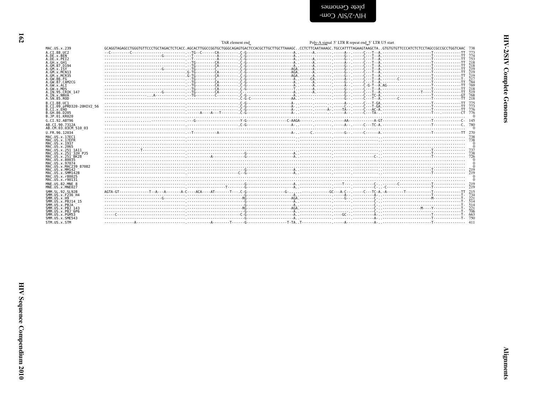<span id="page-9-0"></span>

|                                         | TAR element end                                                                                                                                                                                                                | Poly-A signal 5' LTR R repeat end 5' LTR U5 start |     |
|-----------------------------------------|--------------------------------------------------------------------------------------------------------------------------------------------------------------------------------------------------------------------------------|---------------------------------------------------|-----|
| MAC.US.x.239                            |                                                                                                                                                                                                                                |                                                   |     |
| A.CI.88.UC2                             |                                                                                                                                                                                                                                |                                                   |     |
| A.DE.x.BEN<br>A.DE.x.PET2               |                                                                                                                                                                                                                                |                                                   | 753 |
| A.GH.x.GH1                              |                                                                                                                                                                                                                                |                                                   |     |
| A.GM.87.D194<br>A.GM.X.ISY              |                                                                                                                                                                                                                                |                                                   |     |
| A.GM.x.MCN13                            |                                                                                                                                                                                                                                |                                                   |     |
| A.GM.x.MCR35                            |                                                                                                                                                                                                                                |                                                   |     |
| A.GW.86.FG<br>A.GW.87.CAM2CG            |                                                                                                                                                                                                                                |                                                   |     |
| A.GW.x.ALT                              |                                                                                                                                                                                                                                |                                                   |     |
| A.GW.x.MDS                              |                                                                                                                                                                                                                                |                                                   |     |
| A.IN.95.CRIK 147<br>A.IN.x.NNVA         |                                                                                                                                                                                                                                |                                                   |     |
| A.SN.85.ROD                             | 200 Transport Communication (200 Communication and communication and communication and communication of the community of the community of the community of the community of the community of the community of the community of |                                                   |     |
| B.CI.88.UC1                             |                                                                                                                                                                                                                                |                                                   |     |
| B.CI.09.pPRD320-20HIV2 56<br>B.CI.x.EHO |                                                                                                                                                                                                                                |                                                   |     |
| B.GH.86.D205                            |                                                                                                                                                                                                                                |                                                   |     |
| B.JP.01.KR020                           |                                                                                                                                                                                                                                |                                                   |     |
| G.CI.92.ABT96                           |                                                                                                                                                                                                                                |                                                   |     |
| AB.CI.90.7312A                          |                                                                                                                                                                                                                                |                                                   |     |
| AB.CM.03.03CM 510 03<br>U.FR.96.12034   |                                                                                                                                                                                                                                |                                                   |     |
| MAC.US.x.17EC1                          |                                                                                                                                                                                                                                |                                                   |     |
| MAC.US.x.17EFR                          |                                                                                                                                                                                                                                |                                                   |     |
| MAC.US.x.1937                           |                                                                                                                                                                                                                                |                                                   |     |
| MAC.US.x.2065<br>MAC.US.x.251 1A11      |                                                                                                                                                                                                                                |                                                   |     |
| MAC.US.x.251 <sup>-</sup> 32H P.15      |                                                                                                                                                                                                                                |                                                   |     |
| MAC.US.x.251 <sup>-</sup> BK28          |                                                                                                                                                                                                                                |                                                   |     |
| MAC.US.x.80035<br>MAC.US.x.97074        |                                                                                                                                                                                                                                |                                                   |     |
| MAC.US.x.MAC239 87082                   |                                                                                                                                                                                                                                |                                                   |     |
| MAC.US.x.MM142<br>MAC.US.x.SMM142B      |                                                                                                                                                                                                                                |                                                   |     |
| MAC.US.x.r80025                         |                                                                                                                                                                                                                                |                                                   |     |
| MAC.US.x.r90131                         |                                                                                                                                                                                                                                |                                                   |     |
| MNE.US.82.MNE 8                         |                                                                                                                                                                                                                                |                                                   |     |
| MNE.US.x.MNE027                         |                                                                                                                                                                                                                                |                                                   |     |
| SMM.SL.92.SL92B<br>SMM.US.x.F236 H4     |                                                                                                                                                                                                                                |                                                   |     |
| SMM.US.x.H9                             |                                                                                                                                                                                                                                |                                                   |     |
| SMM.US.x.PBJ14 15<br>SMM.US.x.PBJA      |                                                                                                                                                                                                                                |                                                   |     |
| SMM.US.x.PBJ 143                        |                                                                                                                                                                                                                                |                                                   |     |
| SMM.US.x.PBJ 6P6                        |                                                                                                                                                                                                                                |                                                   |     |
| SMM.US.x.PGM53<br>SMM.US.x.SME543       |                                                                                                                                                                                                                                |                                                   |     |
| STM.US.x.STM                            |                                                                                                                                                                                                                                |                                                   |     |
|                                         |                                                                                                                                                                                                                                |                                                   |     |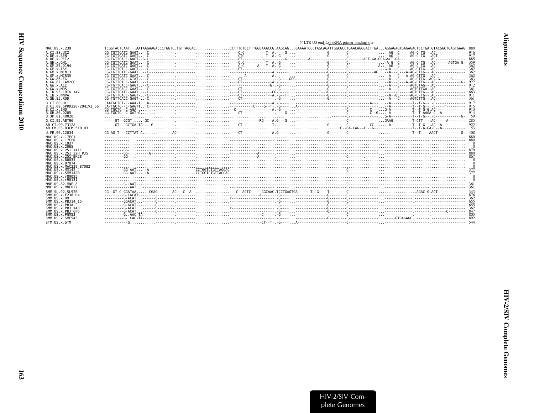<span id="page-10-0"></span>

| IV Sequence Compendiur |  |
|------------------------|--|
| m 2010                 |  |
|                        |  |
|                        |  |
|                        |  |

|                                                      | 5' LTR U5 end Lys tRNA primer binding site |  |
|------------------------------------------------------|--------------------------------------------|--|
| MAC.US.x.239                                         |                                            |  |
| A.CT.88.UC2                                          |                                            |  |
| A.DE.x.BEN<br>A.DE.x.PEI2                            |                                            |  |
| A.GH.X.GH1                                           |                                            |  |
| A.GM.87.D194<br>A.GM.X.ISY                           |                                            |  |
| A.GM.X.MCN13                                         |                                            |  |
| A. GM. x. MCR35<br>A.GW.86.FG                        |                                            |  |
| A.GW.87.CAM2CG                                       |                                            |  |
| A.GW.x.ALI<br>A.GW.x.MDS                             |                                            |  |
| A.IN.95.CRIK 147                                     |                                            |  |
| A.IN.x.NNVA<br>A.SN.85.ROD                           |                                            |  |
| B.CT.88.UC1                                          |                                            |  |
| B.CI.09.pPRD320-20HIV2 56<br>B.CI.X.EHO              |                                            |  |
| B. GH. 86. D205<br>B.JP.01.KR020                     |                                            |  |
| G.CI.92.ABT96                                        |                                            |  |
| AB.CT.90.7312A                                       |                                            |  |
| AB.CM.03.03CM 510 03                                 |                                            |  |
| U.FR.96.12034                                        |                                            |  |
| MAC.US.x.17EC1<br>MAC.US.x.17EFR                     |                                            |  |
| MAC.US.x.1937                                        |                                            |  |
| MAC.US.x.2065<br>MAC.US.x.251 1A11                   |                                            |  |
| MAC.US.x.251 <sup>-</sup> 32H PJ5                    |                                            |  |
| MAC.US.x.251 BK28<br>MAC.US.x.80035                  |                                            |  |
| MAC.US.x.97074<br>MAC. US. x. MAC239 87082           |                                            |  |
| MAC.US.x.MM142                                       |                                            |  |
| MAC.US.x.SMM142B<br>MAC.US.x.r80025                  |                                            |  |
| MAC.US.x.r90131                                      |                                            |  |
| MNE.US.82.MNE 8                                      |                                            |  |
| MNE.US.x.MNE027<br>SMM. SL. 92. SL92B                |                                            |  |
| SMM.US.x.F236 H4                                     |                                            |  |
| SMM.US.x.H9<br>SMM.US.x.PBJ14 15                     |                                            |  |
| SMM.US.x.PBJA                                        |                                            |  |
| SMM. U.S. x. PB.1 143<br>SMM.US.x.PBJ <sup>6P6</sup> |                                            |  |
| SMM.US.x.PGM53                                       |                                            |  |
| SMM.US.x.SME543                                      |                                            |  |
| STM.US.x.STM                                         |                                            |  |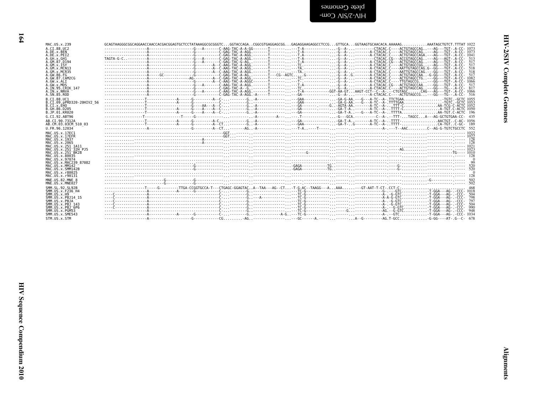| דנסיה<br>י |
|------------|
| Î<br>Ĭ     |
|            |

| plete Cenomes  |  |
|----------------|--|
| -WOO AIS/Z-AIH |  |

| MAC.US.x.239                                 |  |  |  |  |                                                                                                                       |
|----------------------------------------------|--|--|--|--|-----------------------------------------------------------------------------------------------------------------------|
| A.CT.88.UC2                                  |  |  |  |  |                                                                                                                       |
| A.DE.x.BEN                                   |  |  |  |  |                                                                                                                       |
| A.DE.x.PEI2                                  |  |  |  |  |                                                                                                                       |
| A.GH.x.GH1<br>A.GM.87.D194                   |  |  |  |  |                                                                                                                       |
| A.GM.x.ISY                                   |  |  |  |  |                                                                                                                       |
| A.GM.x.MCN13                                 |  |  |  |  | 518                                                                                                                   |
| A.GM.x.MCR35<br>A.GW.86.FG                   |  |  |  |  | 518                                                                                                                   |
| A.GW.87.CAM2CG                               |  |  |  |  |                                                                                                                       |
| A.GW.x.ALI                                   |  |  |  |  |                                                                                                                       |
| A.GW.x.MDS                                   |  |  |  |  |                                                                                                                       |
| A.IN.95.CRIK 147<br>A.IN.x.NNVA              |  |  |  |  |                                                                                                                       |
| A.SN.85.ROD                                  |  |  |  |  |                                                                                                                       |
| B.CI.88.UC1                                  |  |  |  |  |                                                                                                                       |
| B.CI.09.pPRD320-20HIV2 56                    |  |  |  |  |                                                                                                                       |
| B.CI.X.EHO                                   |  |  |  |  |                                                                                                                       |
| B.GH.86.D205<br>B.JP.01.KR020                |  |  |  |  |                                                                                                                       |
| G.CI.92.ABT96                                |  |  |  |  |                                                                                                                       |
| AB.CI.90.7312A                               |  |  |  |  |                                                                                                                       |
| AB.CM.03.03CM 510 03                         |  |  |  |  |                                                                                                                       |
| U.FR.96.12034                                |  |  |  |  |                                                                                                                       |
| MAC.US.x.17EC1                               |  |  |  |  |                                                                                                                       |
| MAC.US.x.17EFR                               |  |  |  |  |                                                                                                                       |
| MAC.US.x.1937                                |  |  |  |  |                                                                                                                       |
| MAC.US.x.2065<br>MAC.US.x.251 1A11           |  |  |  |  | <u> 178 - 189 - 199 - 199 - 199 - 199 - 199 - 199 - 199 - 199 - 199 - 199 - 199 - 199 - 199 - 199 - 199 - 199 - 1</u> |
| MAC.US.x.251 <sup>-</sup> 32H PJ5            |  |  |  |  |                                                                                                                       |
| MAC.US.x.251 <sup>-</sup> BK28               |  |  |  |  |                                                                                                                       |
| MAC.US.x.80035                               |  |  |  |  |                                                                                                                       |
| MAC.US.x.97074<br>MAC.US.x.MAC239 87082      |  |  |  |  |                                                                                                                       |
| MAC.US.x.MM142                               |  |  |  |  |                                                                                                                       |
| MAC.US.x.SMM142B                             |  |  |  |  |                                                                                                                       |
| MAC.US.x.r80025                              |  |  |  |  |                                                                                                                       |
| MAC.US.x.r90131<br>MNE.US.82.MNE 8           |  |  |  |  |                                                                                                                       |
| MNE.US.x.MNE027                              |  |  |  |  |                                                                                                                       |
| SMM. SL. 92. SL92B                           |  |  |  |  |                                                                                                                       |
| SMM.US.x.F236 H4                             |  |  |  |  |                                                                                                                       |
| SMM.US.x.H9                                  |  |  |  |  |                                                                                                                       |
| SMM.US.x.PBJ14 15                            |  |  |  |  |                                                                                                                       |
| SMM.US.x.PBJA<br>SMM.US.x.PBJ 143            |  |  |  |  | 797<br>504                                                                                                            |
| $SMM$ . U.S. $\times$ . $PB$ . $1^-$ 6 $P$ 6 |  |  |  |  | -990                                                                                                                  |
| SMM.US.x.PGM53                               |  |  |  |  |                                                                                                                       |
| SMM.US.x.SME543                              |  |  |  |  |                                                                                                                       |
| STM.US.x.STM                                 |  |  |  |  |                                                                                                                       |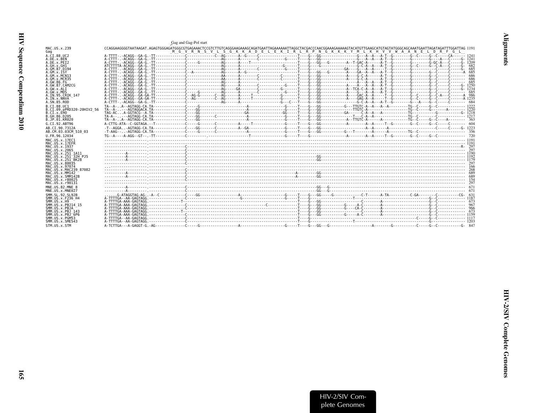<span id="page-12-0"></span>

|                                                            | Gag and Gag-Pol start                                                                                                                                                                                                                                                                                                                                                                                                                        |  |
|------------------------------------------------------------|----------------------------------------------------------------------------------------------------------------------------------------------------------------------------------------------------------------------------------------------------------------------------------------------------------------------------------------------------------------------------------------------------------------------------------------------|--|
| MAC.US.x.239<br>Gag                                        | M G V R N S V L S G K K A D E L E K I R L R P N G K K K Y M L K H V V W A A N E L D R F G L                                                                                                                                                                                                                                                                                                                                                  |  |
| A.CI.88.UC2<br>A.DE.x.BEN                                  |                                                                                                                                                                                                                                                                                                                                                                                                                                              |  |
| A.DE.x.PEI2<br>A.GH.x.GH1<br>A.GM.87.D194                  |                                                                                                                                                                                                                                                                                                                                                                                                                                              |  |
| A.GM.X.ISY<br>A.GM.X.MCN13                                 |                                                                                                                                                                                                                                                                                                                                                                                                                                              |  |
| A.GM.x.MCR35<br>A.GW.86.FG                                 |                                                                                                                                                                                                                                                                                                                                                                                                                                              |  |
| A.GW.87.CAM2CG<br>A.GW.x.ALI<br>A.GW.x.MDS                 |                                                                                                                                                                                                                                                                                                                                                                                                                                              |  |
| A.IN.95.CRIK 147<br>A.IN.x.NNVA<br>A.SN.85.ROD             |                                                                                                                                                                                                                                                                                                                                                                                                                                              |  |
| B.CI.88.UC1<br>B.CI.09.pPRD320-20HIV2 56                   |                                                                                                                                                                                                                                                                                                                                                                                                                                              |  |
| B.CT.x.EHO<br>B. GH. 86. D205<br>B.JP.01.KR020             |                                                                                                                                                                                                                                                                                                                                                                                                                                              |  |
| G.CI.92.ABT96                                              |                                                                                                                                                                                                                                                                                                                                                                                                                                              |  |
| AB.CI.90.7312A<br>AB.CM.03.03CM 510 03                     | $-1 - AAG - 1 - AGTAG - CA$<br>$T_0 \sim A_1 \sim A_0 \sim A_1 \sim A_2 \sim A_3 \sim A_4 \sim A_5 \sim A_6 \sim A_7 \sim A_8 \sim A_9 \sim A_9 \sim A_1 \sim A_1 \sim A_1 \sim A_2 \sim A_3 \sim A_1 \sim A_2 \sim A_3 \sim A_3 \sim A_4 \sim A_5 \sim A_1 \sim A_1 \sim A_2 \sim A_3 \sim A_3 \sim A_4 \sim A_5 \sim A_5 \sim A_6 \sim A_7 \sim A_7 \sim A_7 \sim A_8 \sim A_7 \sim A_8 \sim A_8 \sim A_9 \sim A_9 \sim A_9 \sim A_9 \sim$ |  |
| U.FR.96.12034<br>MAC.US.x.17EC1                            |                                                                                                                                                                                                                                                                                                                                                                                                                                              |  |
| MAC.US.x.17EFR<br>MAC. US. x. 1937                         |                                                                                                                                                                                                                                                                                                                                                                                                                                              |  |
| MAC.US.x.2065<br>MAC.US.x.251 1A11<br>MAC.US.x.251 32H PJ5 |                                                                                                                                                                                                                                                                                                                                                                                                                                              |  |
| MAC.US.x.251 BK28<br>MAC.US.x.80035                        |                                                                                                                                                                                                                                                                                                                                                                                                                                              |  |
| MAC.US.x.97074<br>MAC.US.x.MAC239 87082<br>MAC.US.x.MM142  |                                                                                                                                                                                                                                                                                                                                                                                                                                              |  |
| MAC.US.x.SMM142B<br>MAC.US.x.r80025                        |                                                                                                                                                                                                                                                                                                                                                                                                                                              |  |
| MAC.US.x.r90131<br>MNE.US.82.MNE 8<br>MNE.US.x.MNE027      |                                                                                                                                                                                                                                                                                                                                                                                                                                              |  |
| SMM. SL. 92. SL92B<br>SMM.US.x.F236 H4                     |                                                                                                                                                                                                                                                                                                                                                                                                                                              |  |
| SMM. US. x.H9<br>SMM.US.x.PBJ14 15<br>SMM.US.x.PBJA        |                                                                                                                                                                                                                                                                                                                                                                                                                                              |  |
| SMM.US.x.PBJ 143<br>SMM.US.x.PBJ <sup>6P6</sup>            |                                                                                                                                                                                                                                                                                                                                                                                                                                              |  |
| SMM.US.x.PGM53<br>SMM.US.x.SME543                          |                                                                                                                                                                                                                                                                                                                                                                                                                                              |  |
| STM.US.x.STM                                               |                                                                                                                                                                                                                                                                                                                                                                                                                                              |  |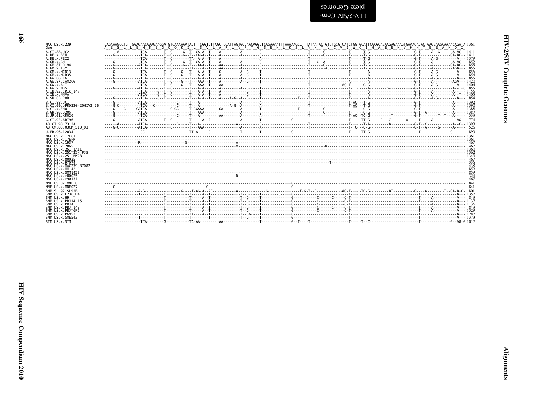| MAC.US.x.239<br>Gag                                 | CAGAAAGCCTGTTGGAGAACAAAGAAGGATGTCAAAAAATACTTTCGGTCTTAGCTCCATTAGTGCCAACAGGCTCAGAAAATTTTAAAAAGCCTTTATAATACTGTCTGCGTCATCTGGTGCATTCACGCAGAAGGAAAGTGAAACACACTGAGGAAGAAGACACTGAAAACAGCATA 1361<br>A E S L L E N K E G C O K I L S V L A P L V P T G S E N L K S L Y N T V C V I W C I H A E E K V K H T E E A K O I |  |  |             |
|-----------------------------------------------------|---------------------------------------------------------------------------------------------------------------------------------------------------------------------------------------------------------------------------------------------------------------------------------------------------------------|--|--|-------------|
| A.CI.88.UC2                                         |                                                                                                                                                                                                                                                                                                               |  |  |             |
| A.DE.x.BEN                                          |                                                                                                                                                                                                                                                                                                               |  |  |             |
| A.DE.x.PEI2<br>A.GH.x.GH1                           |                                                                                                                                                                                                                                                                                                               |  |  |             |
| A.GM.87.D194                                        |                                                                                                                                                                                                                                                                                                               |  |  | 855         |
| A.GM.x.ISY<br>A.GM.x.MCN13                          |                                                                                                                                                                                                                                                                                                               |  |  | 855<br>-856 |
| A.GM.x.MCR35                                        |                                                                                                                                                                                                                                                                                                               |  |  |             |
| A.GW.86.FG<br>A.GW.87.CAM2CG                        |                                                                                                                                                                                                                                                                                                               |  |  |             |
| A.GW.x.ALI                                          |                                                                                                                                                                                                                                                                                                               |  |  |             |
| A.GW.x.MDS<br>A.IN.95.CRIK 147                      |                                                                                                                                                                                                                                                                                                               |  |  |             |
| A.IN.x.NNVA                                         |                                                                                                                                                                                                                                                                                                               |  |  |             |
| A.SN.85.ROD                                         |                                                                                                                                                                                                                                                                                                               |  |  |             |
| B.CI.88.UC1<br>B.CI.09.pPRD320-20HIV2 56            |                                                                                                                                                                                                                                                                                                               |  |  |             |
| B.CI.x.EHO                                          |                                                                                                                                                                                                                                                                                                               |  |  |             |
| B.GH.86.D205<br>B.JP.01.KR020                       |                                                                                                                                                                                                                                                                                                               |  |  |             |
| G.CT.92.ABT96                                       |                                                                                                                                                                                                                                                                                                               |  |  |             |
| AB.CI.90.7312A                                      |                                                                                                                                                                                                                                                                                                               |  |  |             |
| AB.CM.03.03CM 510 03                                |                                                                                                                                                                                                                                                                                                               |  |  |             |
| U.FR.96.12034                                       |                                                                                                                                                                                                                                                                                                               |  |  |             |
| MAC. US. x. 17EC1<br>MAC.US.x.17EFR                 |                                                                                                                                                                                                                                                                                                               |  |  |             |
| MAC.US.x.1937                                       |                                                                                                                                                                                                                                                                                                               |  |  |             |
| MAC.US.x.2065                                       |                                                                                                                                                                                                                                                                                                               |  |  |             |
| MAC.US.x.251 1A11<br>MAC.US.x.251 32H PJ5           |                                                                                                                                                                                                                                                                                                               |  |  |             |
| MAC.US.x.251 <sup>-</sup> BK28                      |                                                                                                                                                                                                                                                                                                               |  |  |             |
| MAC.US.x.80035<br>MAC.US.x.97074                    |                                                                                                                                                                                                                                                                                                               |  |  |             |
| MAC. U.S. x. MAC239 87082                           |                                                                                                                                                                                                                                                                                                               |  |  |             |
| MAC.US.x.MM142<br>MAC. US. x. SMM142B               |                                                                                                                                                                                                                                                                                                               |  |  |             |
| MAC.US.x.r80025                                     |                                                                                                                                                                                                                                                                                                               |  |  |             |
| MAC.US.x.r90131                                     |                                                                                                                                                                                                                                                                                                               |  |  |             |
| MNE.US.82.MNE 8<br>MNE.US.x.MNE027                  |                                                                                                                                                                                                                                                                                                               |  |  |             |
| SMM. SL. 92. SL92B                                  |                                                                                                                                                                                                                                                                                                               |  |  |             |
| SMM.US.x.F236 H4                                    |                                                                                                                                                                                                                                                                                                               |  |  |             |
| SMM.US.x.H9<br>SMM.US.x.PBJ14 15                    |                                                                                                                                                                                                                                                                                                               |  |  |             |
| SMM.US.x.PBJA                                       |                                                                                                                                                                                                                                                                                                               |  |  |             |
| SMM. US. x. PBJ 143<br>SMM.US.x.PBJ <sup>-6P6</sup> |                                                                                                                                                                                                                                                                                                               |  |  |             |
| SMM.US.x.PGM53                                      |                                                                                                                                                                                                                                                                                                               |  |  |             |
| SMM.US.x.SME543                                     |                                                                                                                                                                                                                                                                                                               |  |  |             |
| STM.US.x.STM                                        |                                                                                                                                                                                                                                                                                                               |  |  |             |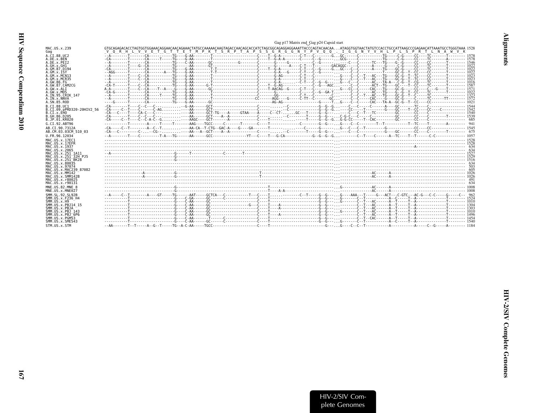<span id="page-14-0"></span>

|                           | Gag p17 Matrix end_Gag p24 Capsid start                                                                                                                                                                                                                                |
|---------------------------|------------------------------------------------------------------------------------------------------------------------------------------------------------------------------------------------------------------------------------------------------------------------|
| MAC.US.x.239<br>Gag       | GTGCAGAGACACCTAGTGGTGGAAACAGGAACAACAAGAAACTATGCCAAAAACAAGTAGAGCAACAGCACCATCTAGCGGCAGAGGAGAAATTACCCAGTACAACAAATAGGTGGTAACTATGTCCACCTGCCATTAAGCCCGAGAACATTGAATGCCTGGGTAAA 1528<br>ETMPKTSRPTAPSSGRGGNYPV00.IGGNYVHLP<br>V O R H L V V E T G T T<br>L S P R T L N A W V K |
| A.CI.88.UC2               |                                                                                                                                                                                                                                                                        |
| A.DE.x.BEN                |                                                                                                                                                                                                                                                                        |
| A.DE.X.PEI2               |                                                                                                                                                                                                                                                                        |
| A.GH.X.GH1                |                                                                                                                                                                                                                                                                        |
| A.GM.87.D194              |                                                                                                                                                                                                                                                                        |
| A.GM.X.ISY                |                                                                                                                                                                                                                                                                        |
| A.GM.x.MCN13              |                                                                                                                                                                                                                                                                        |
| A.GM.x.MCR35              |                                                                                                                                                                                                                                                                        |
| A. GW. 86. FG             |                                                                                                                                                                                                                                                                        |
| A.GW.87.CAM2CG            |                                                                                                                                                                                                                                                                        |
| A.GW.x.ALI                |                                                                                                                                                                                                                                                                        |
| A.GW.x.MDS                |                                                                                                                                                                                                                                                                        |
| A.IN.95.CRIK 147          |                                                                                                                                                                                                                                                                        |
| A. IN. x. NNVA            |                                                                                                                                                                                                                                                                        |
| A.SN.85.ROD               |                                                                                                                                                                                                                                                                        |
| B.CT.88.UC1               |                                                                                                                                                                                                                                                                        |
| B.CI.09.pPRD320-20HIV2 56 |                                                                                                                                                                                                                                                                        |
| B.CI.X.EHO                |                                                                                                                                                                                                                                                                        |
| B. GH. 86. D205           |                                                                                                                                                                                                                                                                        |
| B.JP.01.KR020             |                                                                                                                                                                                                                                                                        |
| G.CI.92.ABT96             |                                                                                                                                                                                                                                                                        |
| AB.CT.90.7312A            |                                                                                                                                                                                                                                                                        |
| AB.CM.03.03CM 510 03      |                                                                                                                                                                                                                                                                        |
| U.FR.96.12034             |                                                                                                                                                                                                                                                                        |
| MAC.US.x.17EC1            |                                                                                                                                                                                                                                                                        |
| MAC.US.x.17EFR            |                                                                                                                                                                                                                                                                        |
| MAC.US.x.1937             |                                                                                                                                                                                                                                                                        |
| MAC.US.x.2065             |                                                                                                                                                                                                                                                                        |
| MAC.US.x.251 1A11         |                                                                                                                                                                                                                                                                        |
| MAC.US.x.251 32H PJ5      |                                                                                                                                                                                                                                                                        |
| MAC. US. x. 251 BK28      |                                                                                                                                                                                                                                                                        |
| MAC.US.x.80035            |                                                                                                                                                                                                                                                                        |
| MAC. US. x. 97074         |                                                                                                                                                                                                                                                                        |
| MAC.US.x.MAC239 87082     |                                                                                                                                                                                                                                                                        |
| MAC.US.x.MM142            |                                                                                                                                                                                                                                                                        |
| MAC.US.x.SMM142B          |                                                                                                                                                                                                                                                                        |
| MAC.US.x.r80025           |                                                                                                                                                                                                                                                                        |
| MAC.US.x.r90131           |                                                                                                                                                                                                                                                                        |
| MNE.US.82.MNE 8           |                                                                                                                                                                                                                                                                        |
| MNE.US.x.MNE027           |                                                                                                                                                                                                                                                                        |
| SMM. SL. 92. SL92B        |                                                                                                                                                                                                                                                                        |
| SMM.US.x.F236 H4          |                                                                                                                                                                                                                                                                        |
| SMM. US. x.H9             |                                                                                                                                                                                                                                                                        |
| SMM. US. x. PBJ14 15      |                                                                                                                                                                                                                                                                        |
| SMM.US.x.PBJA             |                                                                                                                                                                                                                                                                        |
| SMM. US. x. PBJ 143       |                                                                                                                                                                                                                                                                        |
| SMM.US.x.PBJ 6P6          |                                                                                                                                                                                                                                                                        |
| SMM.US.x.PGM53            |                                                                                                                                                                                                                                                                        |
| SMM. U.S. x. SME543       |                                                                                                                                                                                                                                                                        |
| STM.US.x.STM              |                                                                                                                                                                                                                                                                        |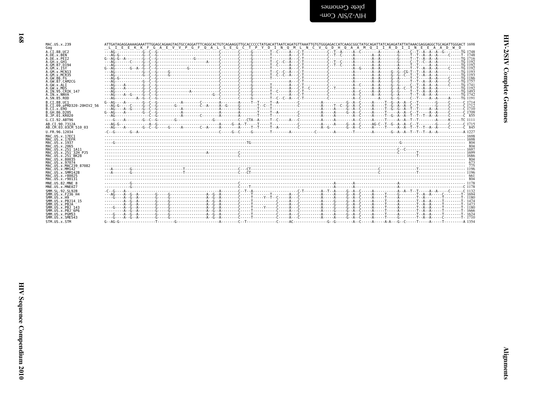| ו<br>קול<br>ľ    |  |
|------------------|--|
| ١<br>ì<br>i<br>č |  |
|                  |  |

| admonai) atalu |  |  |
|----------------|--|--|
| -WO∩ ∧IS/Z-∧IH |  |  |

| MAC. US. x. 239                                  | ATTGATAGAGGAAAAGAAATTTGGAGCAGAAGTAGTGCCAGGATTTCAGGCACTGTCAGAAGGTTGCACCCCCTATGACATTAATCAGATTAAATTGTGGGAGACCATCAAGCGGCTATGCAGATTATCAGAGATATTATAAACGAGGGGCCCCCAGATTGCGGAGATTGCAGATTATAAACGAGGGCCCCCAGATTGCGAGATTGCAGAGATTGCAGAGAT |  |  |  |  |  |
|--------------------------------------------------|--------------------------------------------------------------------------------------------------------------------------------------------------------------------------------------------------------------------------------|--|--|--|--|--|
| Gag                                              | LI E E K K F G A E V V P G F O A L S E G C T P Y D I N O M L N C V G D H O A A M O I I R D I I N E E A A D W D                                                                                                                 |  |  |  |  |  |
| A.CI.88.UC2<br>A.DE.x.BEN                        |                                                                                                                                                                                                                                |  |  |  |  |  |
| A.DE.x.PEI2                                      |                                                                                                                                                                                                                                |  |  |  |  |  |
| A.GH.x.GH1                                       |                                                                                                                                                                                                                                |  |  |  |  |  |
| A.GM.87.D194                                     |                                                                                                                                                                                                                                |  |  |  |  |  |
| A.GM.x.ISY                                       |                                                                                                                                                                                                                                |  |  |  |  |  |
| A.GM.x.MCN13<br>A.GM.x.MCR35                     |                                                                                                                                                                                                                                |  |  |  |  |  |
| A.GW.86.FG                                       |                                                                                                                                                                                                                                |  |  |  |  |  |
| A.GW.87.CAM2CG                                   |                                                                                                                                                                                                                                |  |  |  |  |  |
| A.GW.x.ALT                                       |                                                                                                                                                                                                                                |  |  |  |  |  |
| A.GW.x.MDS                                       |                                                                                                                                                                                                                                |  |  |  |  |  |
| A.IN.95.CRIK 147<br>A.IN.x.NNVA                  |                                                                                                                                                                                                                                |  |  |  |  |  |
| A.SN.85.ROD                                      |                                                                                                                                                                                                                                |  |  |  |  |  |
| B.CT.88.UC1                                      |                                                                                                                                                                                                                                |  |  |  |  |  |
| B.CI.09.pPRD320-20HIV2 56                        |                                                                                                                                                                                                                                |  |  |  |  |  |
| B.CI.x.EHO                                       |                                                                                                                                                                                                                                |  |  |  |  |  |
| B.GH.86.D205                                     |                                                                                                                                                                                                                                |  |  |  |  |  |
| B.JP.01.KR020                                    |                                                                                                                                                                                                                                |  |  |  |  |  |
| G.CI.92.ABT96                                    |                                                                                                                                                                                                                                |  |  |  |  |  |
| AB.CI.90.7312A                                   |                                                                                                                                                                                                                                |  |  |  |  |  |
| AB.CM.03.03CM 510 03                             |                                                                                                                                                                                                                                |  |  |  |  |  |
| U.FR.96.12034                                    | (122)                                                                                                                                                                                                                          |  |  |  |  |  |
| MAC.US.x.17EC1<br>MAC.US.x.17EFR                 |                                                                                                                                                                                                                                |  |  |  |  |  |
| MAC.US.x.1937                                    |                                                                                                                                                                                                                                |  |  |  |  |  |
| MAC.US.x.2065                                    |                                                                                                                                                                                                                                |  |  |  |  |  |
| MAC.US.x.251 1A11                                |                                                                                                                                                                                                                                |  |  |  |  |  |
| MAC.US.x.251 <sup>-</sup> 32H P.15               |                                                                                                                                                                                                                                |  |  |  |  |  |
| MAC.US.x.251 <sup>-</sup> BK28<br>MAC.US.x.80035 |                                                                                                                                                                                                                                |  |  |  |  |  |
| MAC.US.x.97074                                   |                                                                                                                                                                                                                                |  |  |  |  |  |
| MAC.US.x.MAC239 87082                            |                                                                                                                                                                                                                                |  |  |  |  |  |
| MAC.US.x.MM142                                   |                                                                                                                                                                                                                                |  |  |  |  |  |
| MAC.US.x.SMM142B<br>MAC.US.x.r80025              |                                                                                                                                                                                                                                |  |  |  |  |  |
| MAC.US.x.r90131                                  |                                                                                                                                                                                                                                |  |  |  |  |  |
| MNE.US.82.MNE 8                                  |                                                                                                                                                                                                                                |  |  |  |  |  |
| MNE.US.x.MNE027                                  |                                                                                                                                                                                                                                |  |  |  |  |  |
| SMM. SL. 92. SL92B                               |                                                                                                                                                                                                                                |  |  |  |  |  |
| SMM.US.x.F236 H4                                 |                                                                                                                                                                                                                                |  |  |  |  |  |
| SMM.US.x.H9                                      |                                                                                                                                                                                                                                |  |  |  |  |  |
| SMM.US.x.PBJ14 15<br>SMM.US.x.PBJA               |                                                                                                                                                                                                                                |  |  |  |  |  |
| SMM.US.x.PBJ 143                                 |                                                                                                                                                                                                                                |  |  |  |  |  |
| SMM.US.x.PBJ 6P6                                 |                                                                                                                                                                                                                                |  |  |  |  |  |
| SMM.US.x.PGM53                                   |                                                                                                                                                                                                                                |  |  |  |  |  |
| SMM.US.x.SME543                                  |                                                                                                                                                                                                                                |  |  |  |  |  |
| STM IIS x STM                                    |                                                                                                                                                                                                                                |  |  |  |  |  |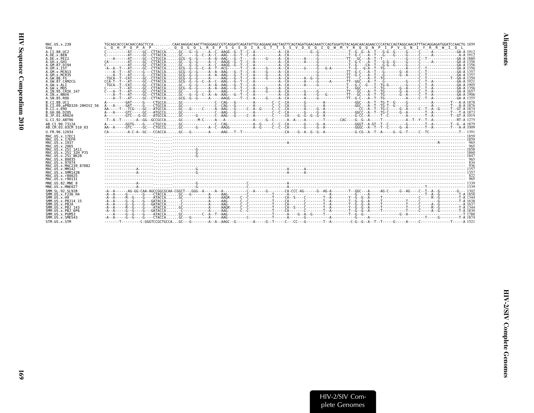| MAC.US.x.239                         | TGCAGCACCCACCACCAGCTCCACAACAAGGACAACTTAGGGAGCCGTCAGGATCAGATATTGCAGGAACAACTAGTTCAGTAGAATCCAATGCATGTACAGACAACAGAACCCCATACCAGTAGGCAACATTTACAGGAACATGGATCCAACTCCAACTCCACTCCATTCCAGTAGGCAACATTTACAGGAACTGCAACTGCATCCAGTAGGC |
|--------------------------------------|------------------------------------------------------------------------------------------------------------------------------------------------------------------------------------------------------------------------|
| Gag                                  | LOHPOPAP O O GOLREPS GS D I A GTTS S V D E O I O W M Y R O O N P<br>I P V G N I Y R R W I O L                                                                                                                          |
| A.CI.88.UC2                          |                                                                                                                                                                                                                        |
| A.DE.x.BEN                           |                                                                                                                                                                                                                        |
| A.DE.x.PET2                          |                                                                                                                                                                                                                        |
| A.GH.x.GH1<br>A.GM.87.D194           |                                                                                                                                                                                                                        |
| A.GM.X.ISY                           |                                                                                                                                                                                                                        |
| A.GM.X.MCN13                         |                                                                                                                                                                                                                        |
| A.GM.x.MCR35                         |                                                                                                                                                                                                                        |
| A. GW. 86. FG                        |                                                                                                                                                                                                                        |
| A. GW. 87. CAM2CG<br>A.GW.x.ALT      |                                                                                                                                                                                                                        |
| A.GW. x.MDS                          |                                                                                                                                                                                                                        |
| A. IN. 95. CRIK 147                  |                                                                                                                                                                                                                        |
| A.IN.x.NNVA                          |                                                                                                                                                                                                                        |
| A.SN.85.ROD                          |                                                                                                                                                                                                                        |
| B.CT.88.UC1                          | A - - - - - - - GAT - - - - G - - - CTGCCA GC - - - - - - - - - - - C - CAG - - G - - - - - - - A - - - - - - C - CAG - - G - - - - - - C - CAG - - G - - - - - - - G - - - C - CAC - - - - - - - G - - - - - - - -    |
| B.CI.09.pPRD320-20HIV2 56            |                                                                                                                                                                                                                        |
| B.CI.X.EHO                           | AA - - - - T - - TCG - - - GC - - ATGCCA GC - - G - - - C - - - A - AAG - - G - - - C - - A - G - - C - - C - - A - C - - C - A - G - - C - - A - G - - C - - A - G - - C - - A - G - - - C - A - G - - G - - G - -    |
| B.GH.86.D205<br>B.JP.01.KR020        |                                                                                                                                                                                                                        |
|                                      |                                                                                                                                                                                                                        |
| G.CI.92.ABT96                        |                                                                                                                                                                                                                        |
| AB.CI.90.7312A                       | A - - - - - - - - GGTG - - - G - - - CTGCCA GC - - - - - - - - - - - C - CAG - - - - - - - - - - - C - C - CAG - - - - - - - C - CAG - - - - - - - - - C - - CAG - - - - - - - G - - C - - C - - C - - C - - C - - C   |
| AB.CM.03.03CM 510 03                 |                                                                                                                                                                                                                        |
| U.FR.96.12034                        |                                                                                                                                                                                                                        |
| MAC. US. x. 17EC1<br>MAC.US.x.17EFR  |                                                                                                                                                                                                                        |
| MAC.US.x.1937                        |                                                                                                                                                                                                                        |
| MAC.US.x.2065                        |                                                                                                                                                                                                                        |
| MAC.US.x.251 1A11                    |                                                                                                                                                                                                                        |
| MAC.US.x.251 <sup>-32H</sup> PJ5     |                                                                                                                                                                                                                        |
| MAC.US.x.251 <sup>-</sup> BK28       |                                                                                                                                                                                                                        |
| MAC.US.x.80035<br>MAC. US. x. 97074  |                                                                                                                                                                                                                        |
| MAC.US.x.MAC239 87082                |                                                                                                                                                                                                                        |
| MAC.US.x.MM142                       |                                                                                                                                                                                                                        |
| MAC.US.x.SMM142B                     |                                                                                                                                                                                                                        |
| MAC.US.x.r80025                      |                                                                                                                                                                                                                        |
| MAC.US.x.r90131                      |                                                                                                                                                                                                                        |
| MNE.US.82.MNE 8                      |                                                                                                                                                                                                                        |
| MNE.US.x.MNE027                      |                                                                                                                                                                                                                        |
| SMM.SL.92.SL92B                      |                                                                                                                                                                                                                        |
| SMM. US. x. F236 H4<br>SMM. US. x.H9 |                                                                                                                                                                                                                        |
| SMM. US. x. PBJ14 15                 |                                                                                                                                                                                                                        |
| SMM.US.x.PBJA                        |                                                                                                                                                                                                                        |
| SMM.US.x.PBJ 143                     |                                                                                                                                                                                                                        |
| $SMM. US. x. PBJ-6P6$                |                                                                                                                                                                                                                        |
| SMM.US.x.PGM53                       |                                                                                                                                                                                                                        |
| SMM.US.x.SME543                      |                                                                                                                                                                                                                        |
| STM.US.x.STM                         |                                                                                                                                                                                                                        |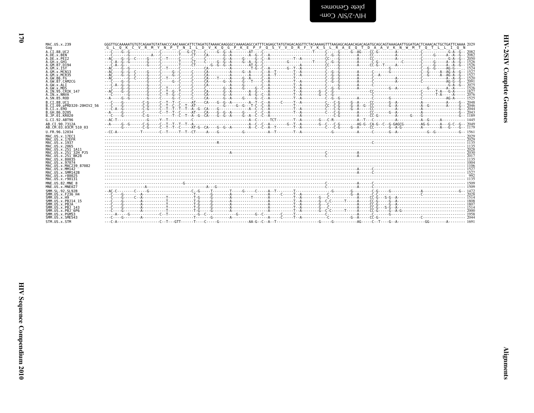| MAC.US.x.239<br>Gag                     | G L Q K C V R M Y N P T N I L D V K Q G P K E P F Q S Y V D R F Y K S L R A E Q T D A A V K N W M T Q T L L I Q N                                                                                                          |  |
|-----------------------------------------|----------------------------------------------------------------------------------------------------------------------------------------------------------------------------------------------------------------------------|--|
| A.CI.88.UC2                             |                                                                                                                                                                                                                            |  |
| A.DE.x.BEN                              | ិស្តិ៍ នេះ បានបញ្ជាក់ នេះ បានបញ្ជាក់ នេះ បញ្ជាក់ នេះ បញ្ជាក់ នេះ បានបញ្ជាក់ នេះ បញ្ជាក់ នេះ បញ្ជាក់ នេះ បញ្ជាក់ នេះ បញ្ជាក់ នេះ បញ្ជាក់ នេះ បញ្ជាក់ នេះ បញ្ជាក់ នេះ បញ្ជាក់ នេះ បញ្ជាក់ នេះ បញ្ជាក់ នេះ បញ្ជាក់ នេះ បញ្ជាក |  |
| A.DE.x.PEI2<br>A.GH.x.GH1               |                                                                                                                                                                                                                            |  |
| A. GM. 87. D194                         |                                                                                                                                                                                                                            |  |
| A.GM.X.ISY                              |                                                                                                                                                                                                                            |  |
| A.GM.x.MCN13                            |                                                                                                                                                                                                                            |  |
| A. GM. x. MCR35                         |                                                                                                                                                                                                                            |  |
| A.GW.86.FG                              |                                                                                                                                                                                                                            |  |
| A.GW.87.CAM2CG<br>A.GW.x.ALI            |                                                                                                                                                                                                                            |  |
| A.GW.x.MDS                              |                                                                                                                                                                                                                            |  |
| A.IN.95.CRIK 147                        |                                                                                                                                                                                                                            |  |
| A. IN. x. NNVA                          |                                                                                                                                                                                                                            |  |
| A. SN. 85. ROD                          |                                                                                                                                                                                                                            |  |
| B.CI.88.UC1                             |                                                                                                                                                                                                                            |  |
| B.CI.09.pPRD320-20HIV2 56               |                                                                                                                                                                                                                            |  |
| B.CI.X.EHO<br>B.GH.86.D205              |                                                                                                                                                                                                                            |  |
| B.JP.01.KR020                           |                                                                                                                                                                                                                            |  |
| G.CI.92.ABT96                           |                                                                                                                                                                                                                            |  |
| AB.CI.90.7312A                          |                                                                                                                                                                                                                            |  |
| AB.CM.03.03CM 510 03                    |                                                                                                                                                                                                                            |  |
| U.FR.96.12034                           |                                                                                                                                                                                                                            |  |
| MAC.US.x.17EC1                          |                                                                                                                                                                                                                            |  |
| MAC.US.x.17EFR                          |                                                                                                                                                                                                                            |  |
| MAC.US.x.1937<br>MAC.US.x.2065          |                                                                                                                                                                                                                            |  |
| MAC.US.x.251 1A11                       |                                                                                                                                                                                                                            |  |
| MAC.US.x.251 32H PJ5                    |                                                                                                                                                                                                                            |  |
| MAC.US.x.251 BK28                       |                                                                                                                                                                                                                            |  |
| MAC.US.x.80035                          |                                                                                                                                                                                                                            |  |
| MAC.US.x.97074<br>MAC.US.x.MAC239 87082 |                                                                                                                                                                                                                            |  |
| MAC.US.x.MM142                          |                                                                                                                                                                                                                            |  |
| MAC.US.x.SMM142B                        |                                                                                                                                                                                                                            |  |
| MAC.US.x.r80025                         |                                                                                                                                                                                                                            |  |
| MAC.US.x.r90131                         |                                                                                                                                                                                                                            |  |
| MNE.U.S.82.MNE 8                        |                                                                                                                                                                                                                            |  |
| MNE.US.x.MNE027                         |                                                                                                                                                                                                                            |  |
| SMM.SL.92.SL92B<br>SMM. US. x. F236 H4  |                                                                                                                                                                                                                            |  |
| SMM.US.x.H9                             |                                                                                                                                                                                                                            |  |
| SMM. U.S. x. PB. 114 15                 |                                                                                                                                                                                                                            |  |
| SMM.US.x.PBJA                           |                                                                                                                                                                                                                            |  |
| SMM. US. x. PBJ 143                     |                                                                                                                                                                                                                            |  |
| SMM.US.x.PBJ <sup>-6P6</sup>            |                                                                                                                                                                                                                            |  |
| SMM.US.x.PGM53<br>SMM.US.x.SME543       |                                                                                                                                                                                                                            |  |
| STM.US.x.STM                            |                                                                                                                                                                                                                            |  |
|                                         |                                                                                                                                                                                                                            |  |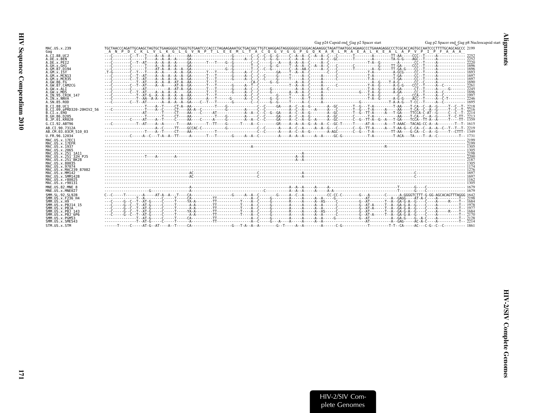<span id="page-18-0"></span>

|                                                                                                                                                                                                                                                                                | Gag p24 Capsid end_Gag p2 Spacer start                                                                                                                              | Gag p2 Spacer end Gag p8 Nucleoca |
|--------------------------------------------------------------------------------------------------------------------------------------------------------------------------------------------------------------------------------------------------------------------------------|---------------------------------------------------------------------------------------------------------------------------------------------------------------------|-----------------------------------|
| MAC.US.x.239<br>Gag                                                                                                                                                                                                                                                            | A N P D C K L V L K G L G V N P T L E E M L T A C O G V G G P G O K A R L M A E A L K E A L A P V P I P F A A A                                                     |                                   |
| A.CI.88.UC2<br>A.DE.x.BEN<br>A.DE.x.PET2<br>A.GH.x.GH1<br>A.GM.87.D194<br>A.GM.X.ISY<br>A.GM.x.MCN13<br>A.GM.x.MCR35<br>A.GW.86.FG<br>A.GW.87.CAM2CG<br>A.GW.x.ALI<br>A.GW.x.MDS<br>A.IN.95.CRIK 147                                                                           |                                                                                                                                                                     |                                   |
| A.IN.x.NNVA<br>A.SN.85.ROD<br>B.CT.88.UC1<br>B.CI.09.pPRD320-20HIV2 56<br>B.CI.X.EHO<br>B.GH.86.D205<br>B.JP.01.KR020<br>G.CI.92.ABT96<br>AB.CI.90.7312A<br>AB.CM.03.03CM 510 03<br>U.FR.96.12034                                                                              | -----------C-----AT----A--T----C-----A4----C------A----G--------A--A--C--C---GA---G--A--G--A--G--A--G--G---T-G-G--AT--G--A---T-GA---TCCA--TT-A--A-----T---T-T- 1359 |                                   |
| MAC.US.x.17EC1<br>MAC.US.x.17EFR<br>MAC. US. x. 1937<br>MAC. US. x. 2065<br>MAC.US.x.251 1A11<br>MAC.US.x.251 <sup>-</sup> 32H PJ5<br>MAC. US. x. 251 <sup>-</sup> BK28<br>MAC.US.x.80035<br>MAC.US.x.97074<br>MAC.US.x.MAC239 87082<br>MAC.US.x.MM142<br>MAC. U.S. x. SMM142B |                                                                                                                                                                     |                                   |
| MAC.US.x.r80025<br>MAC.US.x.r90131<br>MNE.US.82.MNE 8<br>MNE.US.x.MNE027<br>SMM. SL. 92. SL92B<br>SMM.US.x.F236 H4<br>SMM. US. x. H9<br>SMM.US.x.PBJ14 15<br>SMM.US.x.PBJA<br>SMM. U.S. x. PB.1 143<br>$SMM. US. x. PBJ-6P6$<br>SMM.US.x.PGM53<br>SMM. U.S. x. SME543          |                                                                                                                                                                     |                                   |
| STM.US.x.STM                                                                                                                                                                                                                                                                   |                                                                                                                                                                     |                                   |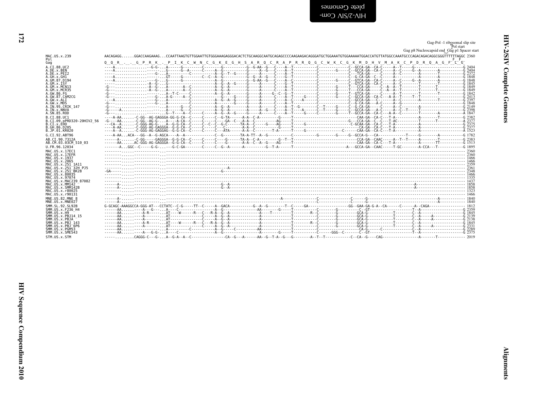<span id="page-19-0"></span>

|                                           | Gag-Pol -1 ribosomal slip site<br>Pol start<br>Gag p8 Nucleocapsid end_Gag p1 Spacer start                                                                 |
|-------------------------------------------|------------------------------------------------------------------------------------------------------------------------------------------------------------|
| MAC.US.x.239                              | AACAGAGGGGACCAAGAAAGCCAATTAAGTGTTGGAATTGTGGGAAAGAGGGACACTCTGCAAGGCAATGCAGAGAGACAGGGATGCTGGAAATGTGGAAAATGGACCATGTTATGGCCAAATGCCCAGACAGGCGGGTTTTTTTAGGC 2360 |
| Pol                                       | Q Q R G P R K . P I K C W N C G K E G H S A R Q C R A P R R Q G C W K C G K M D H V M A K C P D R Q A G F L G                                              |
| Gag<br>A.CI.88.UC2                        |                                                                                                                                                            |
| A.DE.x.BEN                                |                                                                                                                                                            |
| A.DE.x.PET2<br>A.GH.x.GH1                 |                                                                                                                                                            |
| A.GM.87.D194<br>A.GM.X.ISY                |                                                                                                                                                            |
| A.GM.X.MCN13                              |                                                                                                                                                            |
| A.GM.x.MCR35<br>A.GW.86.FG                |                                                                                                                                                            |
| A.GW.87.CAM2CG<br>A.GW.x.ALI              |                                                                                                                                                            |
| A.GW.x.MDS<br>A.IN.95.CRIK 147            |                                                                                                                                                            |
| A.IN.x.NNVA                               |                                                                                                                                                            |
| A.SN.85.ROD<br>B.CI.88.UC1                |                                                                                                                                                            |
| B.CI.09.pPRD320-20HIV2 56                 |                                                                                                                                                            |
| B.CI.X.EHO<br>B. GH. 86. D205             |                                                                                                                                                            |
| B.JP.01.KR020<br>G.CI.92.ABT96            |                                                                                                                                                            |
| AB.CI.90.7312A                            |                                                                                                                                                            |
| AB.CM.03.03CM 510 03                      |                                                                                                                                                            |
| U.FR.96.12034<br>MAC. U.S. x. 17EC1       |                                                                                                                                                            |
| MAC.US.x.17EFR                            |                                                                                                                                                            |
| MAC.US.x.1937<br>MAC.US.x.2065            |                                                                                                                                                            |
| MAC.US.x.251 1A11<br>MAC.US.x.251 32H PJ5 |                                                                                                                                                            |
| MAC.US.x.251 BK28                         |                                                                                                                                                            |
| MAC.US.x.80035<br>MAC.US.x.97074          |                                                                                                                                                            |
| MAC.US.x.MAC239 87082<br>MAC.US.x.MM142   |                                                                                                                                                            |
| MAC.US.x.SMM142B<br>MAC.US.x.r80025       |                                                                                                                                                            |
| MAC.US.x.r90131                           |                                                                                                                                                            |
| MNE.US.82.MNE 8<br>MNE.US.x.MNE027        |                                                                                                                                                            |
| SMM. SL. 92. SL92B                        |                                                                                                                                                            |
| SMM.US.x.F236 H4<br>SMM.US.x.H9           |                                                                                                                                                            |
| SMM. US. x. PBJ14 15                      |                                                                                                                                                            |
| SMM.US.x.PBJA<br>SMM.US.x.PBJ 143         |                                                                                                                                                            |
| SMM.US.x.PBJ 6P6<br>SMM.US.x.PGM53        |                                                                                                                                                            |
| SMM.US.x.SME543                           |                                                                                                                                                            |
| STM.US.x.STM                              |                                                                                                                                                            |

HIV Sequence Compendium 2010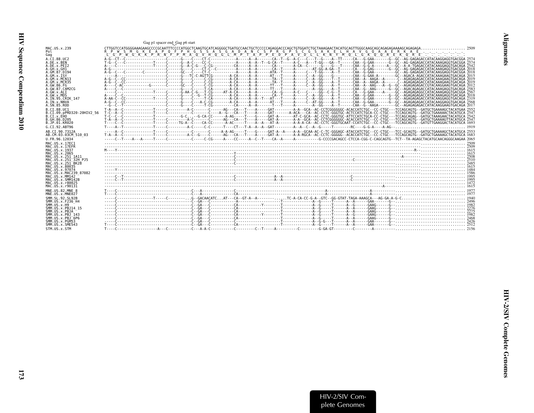<span id="page-20-0"></span>

|                                         | Gag p1 spacer end_Gag p6 start                                                                                                                                                                                                                                                                |
|-----------------------------------------|-----------------------------------------------------------------------------------------------------------------------------------------------------------------------------------------------------------------------------------------------------------------------------------------------|
| MAC.US.x.239                            |                                                                                                                                                                                                                                                                                               |
| Pol<br>Gag                              | G K E A P O F P H G S<br>S A S G A D A N C S P R G P S C G S A K E L H A V G O A A E R K A E<br>-S.<br>the contract of the contract of the con-<br>L G P W G K K P R N F P M A O V H O G L M P T A P P E D P A V D L L K N Y M O L G K O O R E K O R E<br>the contract of the contract of the |
| A.CT.88.UC2                             |                                                                                                                                                                                                                                                                                               |
| A.DE.x.BEN<br>A.DE.x.PEI2               |                                                                                                                                                                                                                                                                                               |
| A.GH.x.GH1<br>A.GM.87.D194              |                                                                                                                                                                                                                                                                                               |
| A.GM.x. ISY                             |                                                                                                                                                                                                                                                                                               |
| A.GM.x.MCN13<br>A.GM. x.MCR35           |                                                                                                                                                                                                                                                                                               |
| A.GW.86.FG                              |                                                                                                                                                                                                                                                                                               |
| A.GW.87.CAM2CG<br>A.GW.x.ALI            |                                                                                                                                                                                                                                                                                               |
| A.GW. x.MDS<br>A.IN.95.CRIK 147         |                                                                                                                                                                                                                                                                                               |
| A.IN.x.NNVA                             |                                                                                                                                                                                                                                                                                               |
| A.SN.85.ROD<br>B.CT.88.UC1              |                                                                                                                                                                                                                                                                                               |
| B.CI.09.pPRD320-20HIV2 56               |                                                                                                                                                                                                                                                                                               |
| B.CI.X.EHO<br>B.GH.86.D205              |                                                                                                                                                                                                                                                                                               |
| B.JP.01.KR020                           |                                                                                                                                                                                                                                                                                               |
| G.CI.92.ABT96                           | . 1919                                                                                                                                                                                                                                                                                        |
| AB.CT.90.7312A<br>AB.CM.03.03CM 510 03  |                                                                                                                                                                                                                                                                                               |
|                                         |                                                                                                                                                                                                                                                                                               |
| U.FR.96.12034                           |                                                                                                                                                                                                                                                                                               |
| MAC. US. x. 17EC1                       |                                                                                                                                                                                                                                                                                               |
| MAC.US.x.17EFR<br>MAC.US.x.1937         |                                                                                                                                                                                                                                                                                               |
| MAC.US.x.2065<br>MAC.US.x.251 1A11      |                                                                                                                                                                                                                                                                                               |
| MAC.US.x.251 <sup>-32H</sup> PJ5        |                                                                                                                                                                                                                                                                                               |
| MAC. US. x. 251 BK28<br>MAC.US.x.80035  |                                                                                                                                                                                                                                                                                               |
| MAC.US.x.97074<br>MAC.US.x.MAC239 87082 |                                                                                                                                                                                                                                                                                               |
| MAC. US. x. MM142                       |                                                                                                                                                                                                                                                                                               |
| MAC.US.x.SMM142B<br>MAC. U.S. x. r80025 |                                                                                                                                                                                                                                                                                               |
| MAC.US.x.r90131                         |                                                                                                                                                                                                                                                                                               |
| MNE.US.82.MNE 8<br>MNE.US.x.MNE027      | $\ddot{a}$                                                                                                                                                                                                                                                                                    |
| SMM. SL. 92. SL92B                      |                                                                                                                                                                                                                                                                                               |
| SMM.US.x.F236 H4<br>SMM.US.x.H9         |                                                                                                                                                                                                                                                                                               |
| SMM.US.x.PBJ14 15                       |                                                                                                                                                                                                                                                                                               |
| SMM.US.x.PBJA<br>SMM. US. x. PBJ 143    |                                                                                                                                                                                                                                                                                               |
| SMM.US.x.PBJ 6P6<br>SMM.US.x.PGM53      |                                                                                                                                                                                                                                                                                               |
| SMM.US.x.SME543<br>STM.US.x.STM         |                                                                                                                                                                                                                                                                                               |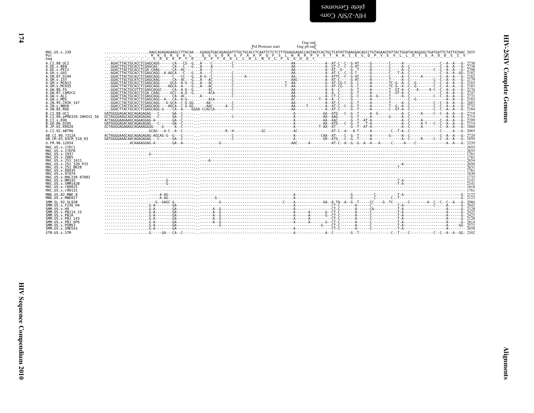<span id="page-21-0"></span>

|                                                          | Gag end<br>Gag p6 end<br>Pol Protease start                                                                                                              |  |
|----------------------------------------------------------|----------------------------------------------------------------------------------------------------------------------------------------------------------|--|
| MAC.US.x.239                                             | .AAGCAGAGAGAAGACCTTACAAGGAGGTGACAGAGGATTTGCTGCACCTCAATTCTCTTTTGGAGGAGACCAGTAGTCACTGCTCATATTGAAGGACAGCCTGTAGAAGTATTACTGGATACAGGGGCTGATGATTCTATTGTAAC 2655 |  |
| Pol<br>Gag                                               |                                                                                                                                                          |  |
| A.CI.88.UC2                                              |                                                                                                                                                          |  |
| A.DE.x.BEN<br>A.DE.x.PEI2                                |                                                                                                                                                          |  |
| A.GH.X.GH1<br>A.GM.87.D194                               |                                                                                                                                                          |  |
| A.GM.X.ISY<br>A.GM.x.MCN13                               |                                                                                                                                                          |  |
| A.GM.x.MCR35<br>A.GW.86.FG                               |                                                                                                                                                          |  |
| A.GW.87.CAM2CG                                           |                                                                                                                                                          |  |
| A.GW.x.ALI<br>A.GW.x.MDS                                 |                                                                                                                                                          |  |
| A.IN.95.CRIK 147<br>A.IN.x.NNVA                          |                                                                                                                                                          |  |
| A.SN.85.ROD<br>B.CT.88.UC1                               |                                                                                                                                                          |  |
| B.CI.09.pPRD320-20HIV2 56                                |                                                                                                                                                          |  |
| B.CI.X.EHO<br>B.GH.86.D205                               |                                                                                                                                                          |  |
| B.JP.01.KR020<br>G.CI.92.ABT96                           |                                                                                                                                                          |  |
| AB.CI.90.7312A                                           |                                                                                                                                                          |  |
| AB.CM.03.03CM 510 03<br>U.FR.96.12034                    |                                                                                                                                                          |  |
| MAC.US.x.17EC1                                           |                                                                                                                                                          |  |
| MAC.US.x.17EFR<br>MAC.US.x.1937                          |                                                                                                                                                          |  |
| MAC.US.x.2065<br>MAC.US.x.251 1A11                       |                                                                                                                                                          |  |
| MAC.US.x.251 <sup>-32H</sup> PJ5<br>MAC. US. x. 251 BK28 |                                                                                                                                                          |  |
| MAC.US.x.80035                                           |                                                                                                                                                          |  |
| MAC.US.x.97074<br>MAC.US.x.MAC239 87082                  |                                                                                                                                                          |  |
| MAC.US.x.MM142<br>MAC.US.x.SMM142B                       |                                                                                                                                                          |  |
| MAC.US.x.r80025<br>MAC.US.x.r90131                       |                                                                                                                                                          |  |
| MNE.US.82.MNE 8<br>MNE.US.x.MNE027                       |                                                                                                                                                          |  |
| SMM.SL.92.SL92B                                          |                                                                                                                                                          |  |
| SMM.US.x.F236 H4<br>SMM.US.x.H9                          | $\ldots\ldots\ldots\ldots\ldots\ldots\ldots\ldots\ldots$                                                                                                 |  |
| SMM. U.S. x. PB. 114 15<br>SMM.US.x.PBJA                 |                                                                                                                                                          |  |
| SMM.US.x.PBJ 143<br>SMM.US.x.PBJ <sup>6P6</sup>          |                                                                                                                                                          |  |
| SMM.US.x.PGM53                                           |                                                                                                                                                          |  |
| SMM.US.x.SME543<br>STM.US.x.STM                          |                                                                                                                                                          |  |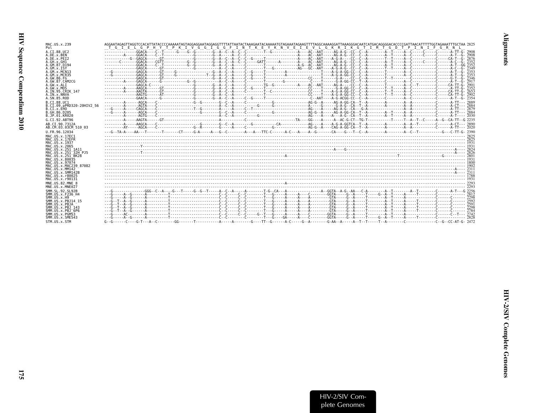| MAC.US.x.239<br>Pol                                                                                                                                                 | AGGAATAGAGTTAGGTCCACATTATACCCCAAAAATAGTAGGAGGAATAGGAGGTTTTATTAATACTAAAGAATAGAAAAATGTAGAAATGAAATTATAGGCAAAAGGATTAAAGGGACAATCATGACAGGGGACACCCCCGATTAACATTTTTGGTAGAAATTTGCTAA 2825<br>T G I E L G P H Y T P K I V G G I G G F I N T K E Y K N V E I E V L G K R I K G T I M T G D T P I N I F<br>GRNL |
|---------------------------------------------------------------------------------------------------------------------------------------------------------------------|----------------------------------------------------------------------------------------------------------------------------------------------------------------------------------------------------------------------------------------------------------------------------------------------------|
| A.CI.88.UC2                                                                                                                                                         |                                                                                                                                                                                                                                                                                                    |
| A.DE.x.BEN                                                                                                                                                          |                                                                                                                                                                                                                                                                                                    |
| A.DE.x.PEI2                                                                                                                                                         |                                                                                                                                                                                                                                                                                                    |
| A.GH.x.GH1                                                                                                                                                          |                                                                                                                                                                                                                                                                                                    |
| A.GM.87.D194                                                                                                                                                        |                                                                                                                                                                                                                                                                                                    |
| A.GM.X.ISY                                                                                                                                                          |                                                                                                                                                                                                                                                                                                    |
| A.GM.x.MCN13                                                                                                                                                        |                                                                                                                                                                                                                                                                                                    |
| A.GM.x.MCR35                                                                                                                                                        |                                                                                                                                                                                                                                                                                                    |
| A.GW.86.FG                                                                                                                                                          |                                                                                                                                                                                                                                                                                                    |
| A.GW.87.CAM2CG                                                                                                                                                      |                                                                                                                                                                                                                                                                                                    |
| A.GW.x.ALI                                                                                                                                                          |                                                                                                                                                                                                                                                                                                    |
| A.GW.x.MDS                                                                                                                                                          |                                                                                                                                                                                                                                                                                                    |
| A.IN.95.CRIK 147                                                                                                                                                    |                                                                                                                                                                                                                                                                                                    |
| A.IN.x.NNVA                                                                                                                                                         |                                                                                                                                                                                                                                                                                                    |
| A.SN.85.ROD                                                                                                                                                         |                                                                                                                                                                                                                                                                                                    |
| B.CI.88.UC1<br>B.CI.09.pPRD320-20HIV2 56<br>B.CI.X.EHO<br>B.GH.86.D205<br>B.JP.01.KR020<br>G.CI.92.ABT96<br>AB.CI.90.7312A<br>AB.CM.03.03CM 510 03<br>U.FR.96.12034 |                                                                                                                                                                                                                                                                                                    |
| MAC.US.x.17EC1                                                                                                                                                      |                                                                                                                                                                                                                                                                                                    |
| MAC.US.x.17EFR                                                                                                                                                      |                                                                                                                                                                                                                                                                                                    |
| MAC.US.x.1937                                                                                                                                                       |                                                                                                                                                                                                                                                                                                    |
| MAC.US.x.2065                                                                                                                                                       |                                                                                                                                                                                                                                                                                                    |
| MAC.US.x.251 1A11                                                                                                                                                   |                                                                                                                                                                                                                                                                                                    |
| MAC.US.x.251 32H PJ5                                                                                                                                                |                                                                                                                                                                                                                                                                                                    |
| MAC. US. x. 251 <sup>-</sup> BK28                                                                                                                                   |                                                                                                                                                                                                                                                                                                    |
| MAC.US.x.80035                                                                                                                                                      |                                                                                                                                                                                                                                                                                                    |
| MAC.US.x.97074                                                                                                                                                      |                                                                                                                                                                                                                                                                                                    |
| MAC. US. x. MAC239 87082                                                                                                                                            |                                                                                                                                                                                                                                                                                                    |
| MAC.US.x.MM142                                                                                                                                                      |                                                                                                                                                                                                                                                                                                    |
| MAC.US.x.SMM142B                                                                                                                                                    |                                                                                                                                                                                                                                                                                                    |
| MAC.US.x.r80025                                                                                                                                                     |                                                                                                                                                                                                                                                                                                    |
| MAC.US.x.r90131                                                                                                                                                     |                                                                                                                                                                                                                                                                                                    |
| MNE.US.82.MNE 8                                                                                                                                                     |                                                                                                                                                                                                                                                                                                    |
| MNE.US.x.MNE027                                                                                                                                                     |                                                                                                                                                                                                                                                                                                    |
| SMM. SL. 92. SL92B                                                                                                                                                  |                                                                                                                                                                                                                                                                                                    |
| SMM. US. x. F236 H4                                                                                                                                                 |                                                                                                                                                                                                                                                                                                    |
| SMM.US. x.H9                                                                                                                                                        |                                                                                                                                                                                                                                                                                                    |
| SMM.US.x.PBJ14 15                                                                                                                                                   |                                                                                                                                                                                                                                                                                                    |
| SMM.US.x.PBJA                                                                                                                                                       |                                                                                                                                                                                                                                                                                                    |
| SMM. US. x. PBJ 143                                                                                                                                                 |                                                                                                                                                                                                                                                                                                    |
| SMM.US.x.PBJ <sup>6P6</sup>                                                                                                                                         |                                                                                                                                                                                                                                                                                                    |
| SMM.US.x.PGM53                                                                                                                                                      |                                                                                                                                                                                                                                                                                                    |
| SMM.US.x.SME543                                                                                                                                                     |                                                                                                                                                                                                                                                                                                    |
| STM.US.x.STM                                                                                                                                                        |                                                                                                                                                                                                                                                                                                    |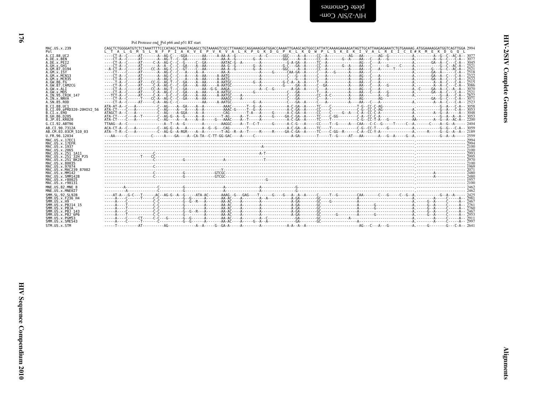| ļ<br>ľ |  |
|--------|--|
| ì<br>i |  |
| 5<br>Í |  |

<span id="page-23-0"></span>blete Genomes<br>PHV-2/SIV Com-

| CAGCTCTGGGGATGTCTCTAAATTTTCCCATAGCTAAAGTAGAGCCTGTAAAAGTCGCCTTAAAGCCAGGAAAGGATGGACCAAAATTGAAGCAGTGGCCATTATCAAAAGAAAAGATAGTTGCATTAAGAGAAATCTGTGAAAAG, ATGGAAAAGGATGGTCAGTTGGCA 2994<br>MAC.US.x.239<br>L T A L G M S L N F P I A K V E P V K V A L K P G K D G P K L K Q W P L S K E K I V A L R E I C E#K M E K D G Q L<br>A.CI.88.UC2<br>A.DE.x.BEN<br>A.DE.x.PEI2<br>A.GH.x.GH1<br>A.GM.87.D194<br>A.GM.x.ISY<br>A.GM.x.MCN13<br>A.GM.x.MCR35<br>A.GW.86.FG<br>A.GW.87.CAM2CG<br>A.GW.x.ALI<br>A.GW.x.MDS<br>A.IN.95.CRIK 147<br>A.IN.x.NNVA<br>A.SN.85.ROD<br>B.CI.88.UC1<br>B.CI.09.pPRD320-20HIV2 56<br>B.CI.x.EHO<br>B.GH.86.D205<br>B.JP.01.KR020<br>G.CI.92.ABT96<br>AB.CI.90.7312A<br>AB.CM.03.03CM 510 03<br>U.FR.96.12034<br>MAC.US.x.17EC1<br>MAC.US.x.17EFR<br>MAC.US.x.1937<br>MAC.US.x.2065<br>MAC.US.x.251 1A11<br>MAC.US.x.251 <sup>-</sup> 32H PJ5<br>MAC.US.x.251 <sup>-</sup> BK28<br>MAC.US.x.80035<br>MAC.US.x.97074<br>MAC.US.x.MAC239 87082<br>MAC.US.x.MM142<br>MAC.US.x.SMM142B<br>MAC.US.x.r80025<br>MAC.US.x.r90131<br>MNE.US.82.MNE 8<br>MNE.US.x.MNE027<br>SMM.SL.92.SL92B<br>SMM.US.x.F236 H4<br>SMM.US.x.H9<br>SMM.US.x.PBJ14 15<br>SMM.US.x.PBJA<br>SMM.US.x.PBJ 143<br>SMM.US.x.PBJ <sup>-</sup> 6P6<br>SMM.US.x.PGM53<br>SMM.US.x.SME543 |              | Pol Protease end Pol p66 and p51 RT start |  |
|----------------------------------------------------------------------------------------------------------------------------------------------------------------------------------------------------------------------------------------------------------------------------------------------------------------------------------------------------------------------------------------------------------------------------------------------------------------------------------------------------------------------------------------------------------------------------------------------------------------------------------------------------------------------------------------------------------------------------------------------------------------------------------------------------------------------------------------------------------------------------------------------------------------------------------------------------------------------------------------------------------------------------------------------------------------------------------------------------------------------------------------------------------------------------------------------------------------------------------------------------------------------------|--------------|-------------------------------------------|--|
|                                                                                                                                                                                                                                                                                                                                                                                                                                                                                                                                                                                                                                                                                                                                                                                                                                                                                                                                                                                                                                                                                                                                                                                                                                                                            |              |                                           |  |
|                                                                                                                                                                                                                                                                                                                                                                                                                                                                                                                                                                                                                                                                                                                                                                                                                                                                                                                                                                                                                                                                                                                                                                                                                                                                            |              |                                           |  |
|                                                                                                                                                                                                                                                                                                                                                                                                                                                                                                                                                                                                                                                                                                                                                                                                                                                                                                                                                                                                                                                                                                                                                                                                                                                                            |              |                                           |  |
|                                                                                                                                                                                                                                                                                                                                                                                                                                                                                                                                                                                                                                                                                                                                                                                                                                                                                                                                                                                                                                                                                                                                                                                                                                                                            |              |                                           |  |
|                                                                                                                                                                                                                                                                                                                                                                                                                                                                                                                                                                                                                                                                                                                                                                                                                                                                                                                                                                                                                                                                                                                                                                                                                                                                            |              |                                           |  |
|                                                                                                                                                                                                                                                                                                                                                                                                                                                                                                                                                                                                                                                                                                                                                                                                                                                                                                                                                                                                                                                                                                                                                                                                                                                                            |              |                                           |  |
|                                                                                                                                                                                                                                                                                                                                                                                                                                                                                                                                                                                                                                                                                                                                                                                                                                                                                                                                                                                                                                                                                                                                                                                                                                                                            |              |                                           |  |
|                                                                                                                                                                                                                                                                                                                                                                                                                                                                                                                                                                                                                                                                                                                                                                                                                                                                                                                                                                                                                                                                                                                                                                                                                                                                            |              |                                           |  |
|                                                                                                                                                                                                                                                                                                                                                                                                                                                                                                                                                                                                                                                                                                                                                                                                                                                                                                                                                                                                                                                                                                                                                                                                                                                                            | STM.US.x.STM |                                           |  |

176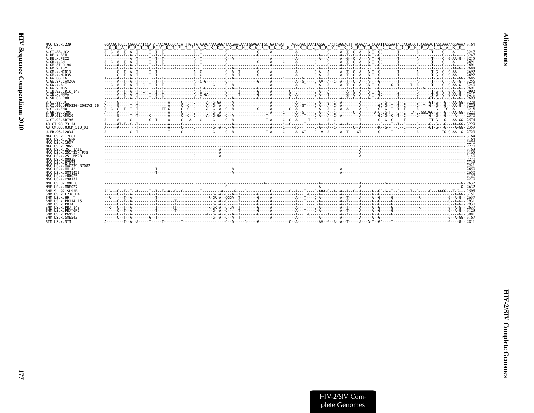| MAC.US.x.239                                   | GGAAGCTCCCCCAACCAATCCATACAACACCCCCACATTTGCTATAAAGAAAAAGGATAAGAACAAATGGAGAATGCTGATAGATTTTAGGGAACTAAATAGGGTCACTCAGGACTTTACGGAAGTCCAATTAGGAATACCACACCCTGCAGGACTAGCAAAAAGGAAAA 3164 |  |
|------------------------------------------------|---------------------------------------------------------------------------------------------------------------------------------------------------------------------------------|--|
| Po <sub>1</sub>                                | E E A P P T N P Y N T P T F A I K K K D K N K W R M L I D F R E L N R V T O D F T E V O L G I P H P A G L A K R                                                                 |  |
| A.CT.88.UC2                                    |                                                                                                                                                                                 |  |
| A.DE.x.BEN<br>A.DE.X.PET2                      |                                                                                                                                                                                 |  |
| A.GH.x.GH1                                     |                                                                                                                                                                                 |  |
| A.GM.87.D194<br>A.GM.X.ISY                     |                                                                                                                                                                                 |  |
| A.GM.x.MCN13                                   |                                                                                                                                                                                 |  |
| A.GM.x.MCR35                                   |                                                                                                                                                                                 |  |
| A. GW. 86. FG<br>A.GW.87.CAM2CG                |                                                                                                                                                                                 |  |
| A.GW.x.ALT                                     |                                                                                                                                                                                 |  |
| A.GW.x.MDS                                     |                                                                                                                                                                                 |  |
| A.IN.95.CRIK 147<br>A.IN.x.NNVA                |                                                                                                                                                                                 |  |
| A. SN. 85. ROD                                 |                                                                                                                                                                                 |  |
| B.CI.88.UC1                                    |                                                                                                                                                                                 |  |
| B.CI.09.pPRD320-20HIV2 56<br>B.CI.x.EHO        |                                                                                                                                                                                 |  |
| B. GH. 86. D205                                |                                                                                                                                                                                 |  |
| B.JP.01.KR020                                  |                                                                                                                                                                                 |  |
| G.CI.92.ABT96                                  |                                                                                                                                                                                 |  |
| AB.CT.90.7312A<br>AB.CM.03.03CM 510 03         |                                                                                                                                                                                 |  |
| U.FR.96.12034                                  |                                                                                                                                                                                 |  |
| MAC.US.x.17EC1                                 |                                                                                                                                                                                 |  |
| MAC.US.x.17EFR                                 |                                                                                                                                                                                 |  |
| MAC. US. x. 1937<br>MAC.US.x.2065              |                                                                                                                                                                                 |  |
| MAC.US.x.251 1A11                              |                                                                                                                                                                                 |  |
| MAC.US.x.251 32H PJ5<br>MAC.US.x.251 BK28      |                                                                                                                                                                                 |  |
| MAC.US.x.80035                                 |                                                                                                                                                                                 |  |
| MAC. U.S. x. 97074                             |                                                                                                                                                                                 |  |
| MAC.US.x.MAC239 87082<br>MAC.US.x.MM142        |                                                                                                                                                                                 |  |
| MAC.US.x.SMM142B                               |                                                                                                                                                                                 |  |
| MAC. U.S. x. r80025<br>MAC.US.x.r90131         |                                                                                                                                                                                 |  |
| MNE.US.82.MNE 8                                |                                                                                                                                                                                 |  |
| MNE.US.x.MNE027                                |                                                                                                                                                                                 |  |
| SMM. SL. 92. SL92B                             |                                                                                                                                                                                 |  |
| SMM. US. x. F236 H4<br>SMM. US. x.H9           |                                                                                                                                                                                 |  |
| SMM. U.S. x. PB. 114 15                        |                                                                                                                                                                                 |  |
| SMM.US.x.PBJA                                  |                                                                                                                                                                                 |  |
| SMM. U.S. x. PB.1 143<br>$SMM. US. x. PBJ-6P6$ |                                                                                                                                                                                 |  |
| SMM.US.x.PGM53                                 |                                                                                                                                                                                 |  |
| SMM.US.x.SME543                                |                                                                                                                                                                                 |  |
| STM.US.x.STM                                   |                                                                                                                                                                                 |  |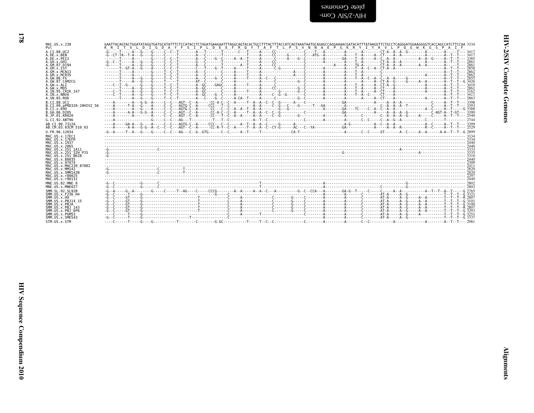| plete Genomes  |  |
|----------------|--|
| -ພoງ AIS/Շ-AIH |  |

| MAC.US.x.239                   | GAATTACAGTACTGGATATAGGTGATACTACTATTTCTCCATACCTCTAGATGAAGAATTTAGGCAGTACACTGCCTTTACTTTACCATCAGTAAATAATGCAGAGCCAGGAAAACGATACATTTATAAGGTTCTGCCTCAGGGATGGAAGGGGTCACCAGCCATCTTCCAA 3334 |
|--------------------------------|-----------------------------------------------------------------------------------------------------------------------------------------------------------------------------------|
| Pol                            | K R I T V L D I G D A Y F S I P L D E E F R O Y T A F T L P S V N N A E P G K R Y I Y K V L P O G W K G S P A I F                                                                 |
| A.CI.88.UC2                    |                                                                                                                                                                                   |
| A.DE.x.BEN                     |                                                                                                                                                                                   |
| A.DE.x.PEI2                    |                                                                                                                                                                                   |
| A.GH.x.GH1                     |                                                                                                                                                                                   |
| A.GM.87.D194                   |                                                                                                                                                                                   |
| A.GM.x.TSY                     |                                                                                                                                                                                   |
| A.GM.x.MCN13                   |                                                                                                                                                                                   |
| A. GM. x. MCR35                |                                                                                                                                                                                   |
| A.GW.86.FG                     |                                                                                                                                                                                   |
| A.GW.87.CAM2CG                 |                                                                                                                                                                                   |
| A.GW.x.ALI                     |                                                                                                                                                                                   |
| A.GW.x.MDS                     |                                                                                                                                                                                   |
| A.IN.95.CRIK 147               |                                                                                                                                                                                   |
| A.IN.x.NNVA                    |                                                                                                                                                                                   |
| A.SN.85.ROD                    |                                                                                                                                                                                   |
| B.CI.88.UC1                    |                                                                                                                                                                                   |
| B.CI.09.pPRD320-20HIV2 56      |                                                                                                                                                                                   |
| B.CI.x.EHO                     |                                                                                                                                                                                   |
| B.GH.86.D205                   |                                                                                                                                                                                   |
| B.JP.01.KR020                  |                                                                                                                                                                                   |
| G.CI.92.ABT96                  |                                                                                                                                                                                   |
| AB.CI.90.7312A                 |                                                                                                                                                                                   |
| AB.CM.03.03CM 510 03           |                                                                                                                                                                                   |
| U.FR.96.12034                  |                                                                                                                                                                                   |
| MAC.US.x.17EC1                 |                                                                                                                                                                                   |
| MAC.US.x.17EFR                 |                                                                                                                                                                                   |
| MAC.US.x.1937                  |                                                                                                                                                                                   |
| MAC.US.x.2065                  |                                                                                                                                                                                   |
| MAC.US.x.251 1A11              |                                                                                                                                                                                   |
| MAC.US.x.251 32H PJ5           |                                                                                                                                                                                   |
| MAC.US.x.251 <sup>-</sup> BK28 |                                                                                                                                                                                   |
| MAC.US.x.80035                 |                                                                                                                                                                                   |
| MAC. U.S. x. 97074             |                                                                                                                                                                                   |
| MAC. U.S. x. MAC239 87082      |                                                                                                                                                                                   |
| MAC.US.x.MM142                 |                                                                                                                                                                                   |
| MAC.US.x.SMM142B               |                                                                                                                                                                                   |
| MAC.US.x.r80025                |                                                                                                                                                                                   |
| MAC.US.x.r90131                |                                                                                                                                                                                   |
| MNE.US.82.MNE 8                |                                                                                                                                                                                   |
| MNE.US.x.MNE027                |                                                                                                                                                                                   |
| SMM. SL. 92. SL92B             |                                                                                                                                                                                   |
| SMM.US.x.F236 H4               |                                                                                                                                                                                   |
| SMM.US. x.H9                   |                                                                                                                                                                                   |
| SMM. U.S. x. PB. 114 15        |                                                                                                                                                                                   |
| SMM.US.x.PBJA                  |                                                                                                                                                                                   |
| SMM. U.S. x. PB.1 143          |                                                                                                                                                                                   |
| SMM.US.x.PBJ <sup>6P6</sup>    |                                                                                                                                                                                   |
| SMM.US.x.PGM53                 |                                                                                                                                                                                   |
| SMM. U.S. x. SME543            |                                                                                                                                                                                   |
| STM.US.x.STM                   |                                                                                                                                                                                   |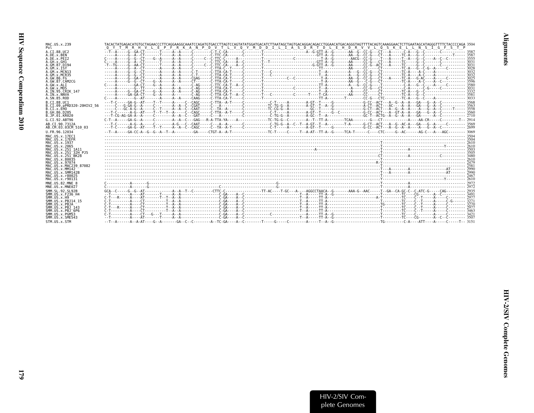| MAC.US.x.239                       | TACACTATGAGACATGTGCTAGAACCCTTCAGGAAGGCAAATCCAGATGTGACCTTAGTCCAGTATATGGATGACATCTTAATAGCTAGTGACAGGACATGAACATGACAGGGTAGTTTTACAGTCAAAGGAACTCTTGAATAGCATAGGGTTTTCTACCCCAGA_3504                                                                                 |  |
|------------------------------------|------------------------------------------------------------------------------------------------------------------------------------------------------------------------------------------------------------------------------------------------------------|--|
| Pol                                | O Y T M R H V L E P F R K A N P D V T L V O Y M D D I L I A S D R T D L E H D R V V L O S K E L L N S I G F S T                                                                                                                                            |  |
| A.CT.88.UC2                        |                                                                                                                                                                                                                                                            |  |
| A.DE.x.BEN<br>A.DE.x.PET2          |                                                                                                                                                                                                                                                            |  |
| A.GH.x.GH1                         |                                                                                                                                                                                                                                                            |  |
| A.GM.87.D194                       |                                                                                                                                                                                                                                                            |  |
| A.GM.X.ISY                         |                                                                                                                                                                                                                                                            |  |
| A.GM.X.MCN13<br>A.GM.x.MCR35       | 3032                                                                                                                                                                                                                                                       |  |
| A.GW.86.FG                         |                                                                                                                                                                                                                                                            |  |
| A. GW. 87. CAM2CG                  |                                                                                                                                                                                                                                                            |  |
| A.GW.x.ALI                         | $c_{11}$ $c_{22}$ $c_{33}$ $c_{41}$ $c_{54}$ $c_{64}$ $c_{74}$ $c_{85}$ $c_{10}$ $c_{11}$ $c_{12}$ $c_{13}$ $c_{14}$ $c_{15}$ $c_{16}$ $c_{17}$ $c_{18}$ $c_{19}$ $c_{10}$ $c_{11}$ $c_{12}$ $c_{13}$ $c_{15}$ $c_{16}$ $c_{17}$ $c_{18}$ $c_{19}$ $c_{10$ |  |
| A.GW.x.MDS<br>A. IN. 95. CRIK 147  |                                                                                                                                                                                                                                                            |  |
| A. IN. x. NNVA                     |                                                                                                                                                                                                                                                            |  |
| A. SN. 85. ROD                     |                                                                                                                                                                                                                                                            |  |
| B.CT.88.UC1                        |                                                                                                                                                                                                                                                            |  |
| B.CI.09.pPRD320-20HIV2 56          |                                                                                                                                                                                                                                                            |  |
| B.CI.X.EHO<br>B.GH.86.D205         |                                                                                                                                                                                                                                                            |  |
| B.JP.01.KR020                      |                                                                                                                                                                                                                                                            |  |
| G.CT.92.ABT96                      |                                                                                                                                                                                                                                                            |  |
| AB.CI.90.7312A                     |                                                                                                                                                                                                                                                            |  |
| AB.CM.03.03CM 510 03               |                                                                                                                                                                                                                                                            |  |
| U.FR.96.12034                      |                                                                                                                                                                                                                                                            |  |
| MAC. US. x. 17EC1                  |                                                                                                                                                                                                                                                            |  |
| MAC.US.x.17EFR                     |                                                                                                                                                                                                                                                            |  |
| MAC.US.x.1937<br>MAC.US.x.2065     |                                                                                                                                                                                                                                                            |  |
| MAC.US.x.251 1A11                  |                                                                                                                                                                                                                                                            |  |
| MAC.US.x.251 32H PJ5               |                                                                                                                                                                                                                                                            |  |
| MAC.US.x.251 BK28                  |                                                                                                                                                                                                                                                            |  |
| MAC.US.x.80035<br>MAC.US.x.97074   |                                                                                                                                                                                                                                                            |  |
| MAC.US.x.MAC239 87082              |                                                                                                                                                                                                                                                            |  |
| MAC.US.x.MM142                     |                                                                                                                                                                                                                                                            |  |
| MAC.US.x.SMM142B                   |                                                                                                                                                                                                                                                            |  |
| MAC.US.x.r80025<br>MAC.US.x.r90131 |                                                                                                                                                                                                                                                            |  |
| MNE.US.82.MNE 8                    | <u> Carrier (1988), 1997, 1997, 1997, 1997, 1998, 1998, 1998, 1998, 1999, 1998, 1999, 1999, 1999, 1999, 1999, 199</u>                                                                                                                                      |  |
| MNE.US.x.MNE027                    |                                                                                                                                                                                                                                                            |  |
| SMM. SL. 92. SL92B                 |                                                                                                                                                                                                                                                            |  |
| SMM.US.x.F236 H4                   |                                                                                                                                                                                                                                                            |  |
| SMM. US. x.H9                      |                                                                                                                                                                                                                                                            |  |
| SMM.US.x.PBJ14 15<br>SMM.US.x.PBJA |                                                                                                                                                                                                                                                            |  |
| SMM. U.S. x. PB.1 143              |                                                                                                                                                                                                                                                            |  |
| SMM.US. x. PBJ 6P6                 |                                                                                                                                                                                                                                                            |  |
| SMM.US.x.PGM53                     |                                                                                                                                                                                                                                                            |  |
| SMM.US.x.SME543                    |                                                                                                                                                                                                                                                            |  |
| STM.US.x.STM                       |                                                                                                                                                                                                                                                            |  |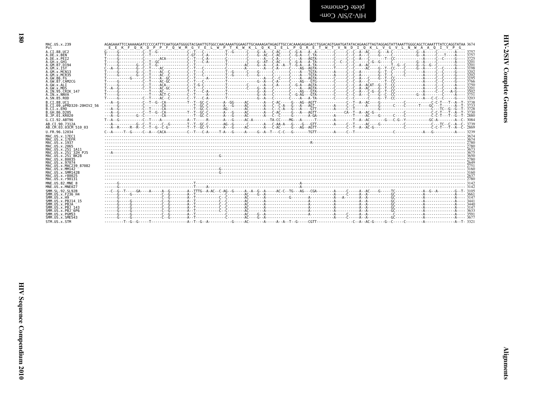| plete Cenomes  |  |
|----------------|--|
| -wo) AIS/Z-AIH |  |

| MAC.US.x.239                      | AGAGAAATTCCAAAAAGATCCCCCATTTCAATGGATGGGTACGAATTGTGGCCAACAAATTGGAAATTGCAAAAGATAGAAGATGCCACAAAGGAGACCTGGACAGTGAATGATATACAGAAGTTAGTAGGAGTATTAAATTGGGCAGCTCAAATTTATCCAGGTATAA 3674                                                |
|-----------------------------------|-------------------------------------------------------------------------------------------------------------------------------------------------------------------------------------------------------------------------------|
| Pol                               | E E K F 0 K D P P F 0 W M G Y E L W P T K W K L O K I E L P 0 R E T W T V N D T 0 K L V G V L N W A A 0 T Y P G                                                                                                               |
| A.CI.88.UC2                       |                                                                                                                                                                                                                               |
| A.DE.x.BEN                        |                                                                                                                                                                                                                               |
| A.DE.X.PEI2                       |                                                                                                                                                                                                                               |
| A.GH.x.GH1                        |                                                                                                                                                                                                                               |
| A.GM.87.D194                      |                                                                                                                                                                                                                               |
| A.GM.X.ISY                        |                                                                                                                                                                                                                               |
| A.GM.x.MCN13                      |                                                                                                                                                                                                                               |
| A.GM.x.MCR35                      |                                                                                                                                                                                                                               |
| A.GW.86.FG                        |                                                                                                                                                                                                                               |
| A.GW.87.CAM2CG                    |                                                                                                                                                                                                                               |
| A.GW.x.ALI                        |                                                                                                                                                                                                                               |
| A.GW.x.MDS                        |                                                                                                                                                                                                                               |
| A.IN.95.CRIK 147                  |                                                                                                                                                                                                                               |
| A.IN.x.NNVA                       |                                                                                                                                                                                                                               |
| A.SN.85.ROD                       |                                                                                                                                                                                                                               |
| B.CI.88.UC1                       |                                                                                                                                                                                                                               |
| B.CI.09.pPRD320-20HIV2 56         |                                                                                                                                                                                                                               |
| B.CI.x.EHO                        |                                                                                                                                                                                                                               |
| B.GH.86.D205                      |                                                                                                                                                                                                                               |
| B.JP.01.KR020                     |                                                                                                                                                                                                                               |
| G.CI.92.ABT96                     |                                                                                                                                                                                                                               |
| AB.CI.90.7312A                    | AG.-C--T-----C--G--------T--T--GC-C-------AG--G------C------A---C-AA-A---G----GTT------A----C-T----AC---G-----C-------C--------C---TC--C--A--C- 3739                                                                          |
| AB.CM.03.03CM 510 03              |                                                                                                                                                                                                                               |
| U.FR.96.12034                     | C - A - - - - T - G - - - - C - A - - CACA - - - - - - - C - T - - C - A - - - T - A - - G - - - TA - - G - - - - - A - - - C - A - - - T - - C - A - - - C - A - - - C - A - - - C - A - - - T - - C - C - - - - - A - - C - |
| MAC.US.x.17EC1                    |                                                                                                                                                                                                                               |
| MAC.US.x.17EFR                    |                                                                                                                                                                                                                               |
| MAC.US.x.1937                     |                                                                                                                                                                                                                               |
| MAC. US. x. 2065                  |                                                                                                                                                                                                                               |
| MAC.US.x.251 1A11                 |                                                                                                                                                                                                                               |
| MAC.US.x.251 32H PJ5              |                                                                                                                                                                                                                               |
| MAC. US. x. 251 <sup>-</sup> BK28 |                                                                                                                                                                                                                               |
| MAC.US.x.80035                    |                                                                                                                                                                                                                               |
| MAC. U.S. x. 97074                |                                                                                                                                                                                                                               |
| MAC.US.x.MAC239 87082             |                                                                                                                                                                                                                               |
| MAC. US. x. MM142                 |                                                                                                                                                                                                                               |
| MAC.US.x.SMM142B                  |                                                                                                                                                                                                                               |
| MAC. US. x. r80025                |                                                                                                                                                                                                                               |
| MAC.US.x.r90131                   |                                                                                                                                                                                                                               |
| MNE.US.82.MNE 8                   |                                                                                                                                                                                                                               |
| MNE.US.x.MNE027                   |                                                                                                                                                                                                                               |
| SMM. SL. 92. SL92B                |                                                                                                                                                                                                                               |
| SMM.US.x.F236 H4                  |                                                                                                                                                                                                                               |
| SMM.US.x.H9                       |                                                                                                                                                                                                                               |
| SMM. US. x. PBJ14 15              |                                                                                                                                                                                                                               |
| SMM.US.x.PBJA                     |                                                                                                                                                                                                                               |
| SMM.US.x.PBJ 143                  |                                                                                                                                                                                                                               |
| $SMM. US. x. PBJ-6P6$             |                                                                                                                                                                                                                               |
| SMM.US.x.PGM53                    |                                                                                                                                                                                                                               |
| SMM. US. x. SME543                |                                                                                                                                                                                                                               |
| STM.US.x.STM                      |                                                                                                                                                                                                                               |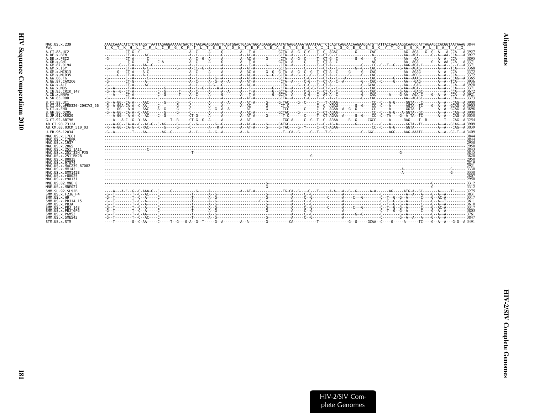| MAC.US.x.239<br>Pol                                                                                                                                                                                                                                                                             | HL CRL IRGKMTL TEEVOWTEMAE AEYEENKIIL SOE OE GCYYOEGKP<br>T K<br>L E A T V I |
|-------------------------------------------------------------------------------------------------------------------------------------------------------------------------------------------------------------------------------------------------------------------------------------------------|------------------------------------------------------------------------------|
| A.CI.88.UC2<br>A.DE.x.BEN<br>A.DE.x.PEI2<br>A.GH.x.GH1<br>A.GM.87.D194<br>A.GM.X.ISY<br>A.GM.x.MCN13<br>A.GM.x.MCR35<br>A. GW. 86. FG<br>A.GW.87.CAM2CG<br>A.GW.x.ALI<br>A.GW.x.MDS<br>A.IN.95.CRIK 147<br>A.IN.x.NNVA<br>A.SN.85.ROD<br>B.CT.88.UC1<br>B.CI.09.pPRD320-20HIV2 56<br>B.CI.X.EHO | $-- 3895$<br>---A 3920<br>- - - 3371                                         |
| B. GH. 86. D205<br>B.JP.01.KR020<br>G.CI.92.ABT96<br>AB.CT.90.7312A<br>AB.CM.03.03CM 510 03                                                                                                                                                                                                     |                                                                              |
| U.FR.96.12034<br>MAC.US.x.17EC1<br>MAC.US.x.17EFR<br>MAC.US.x.1937<br>MAC.US.x.2065<br>MAC.US.x.251 1A11<br>MAC.US.x.251 32H PJ5<br>MAC.US.x.251 <sup>-</sup> BK28<br>MAC.US.x.80035<br>MAC. US. x. 97074<br>MAC.US.x.MAC239 87082<br>MAC.US.x.MM142                                            |                                                                              |
| MAC.US.x.SMM142B<br>MAC.US.x.r80025<br>MAC.US.x.r90131<br>MNE.US.82.MNE 8<br>MNE.US.x.MNE027                                                                                                                                                                                                    |                                                                              |
| SMM. SL. 92. SL92B<br>SMM. US. x. F236 H4<br>SMM. US. x.H9<br>SMM.US.x.PBJ14 15<br>SMM.US.x.PBJA<br>SMM. U.S. x. PB.1 143<br>SMM.US.x.PBJ 6P6<br>SMM.US.x.PGM53<br>SMM.US.x.SME543<br>STM.US.x.STM                                                                                              |                                                                              |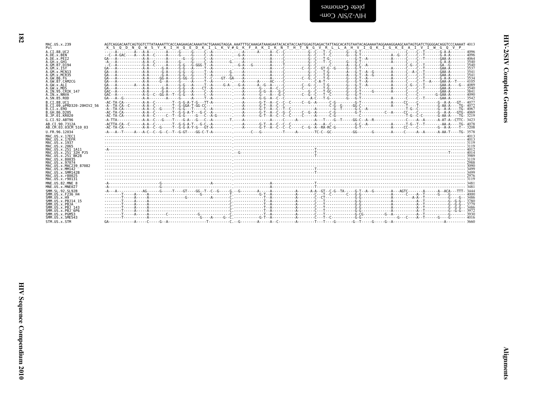| plete Cenomes  |
|----------------|
| HIN-3\8IN Com- |

| MAC.US.x.239                                                                 |                                                                                                                                                                                                                                                                                                                                                                                                                                                           |
|------------------------------------------------------------------------------|-----------------------------------------------------------------------------------------------------------------------------------------------------------------------------------------------------------------------------------------------------------------------------------------------------------------------------------------------------------------------------------------------------------------------------------------------------------|
| Pol                                                                          | K S O D N O W S Y K I H O E D K I L K V # G K F A K I K N T H T N G V R L L A H V I O K I G K E A I V I W G O V P                                                                                                                                                                                                                                                                                                                                         |
| A.CI.88.UC2                                                                  |                                                                                                                                                                                                                                                                                                                                                                                                                                                           |
| A.DE.x.BEN                                                                   |                                                                                                                                                                                                                                                                                                                                                                                                                                                           |
| A.DE.x.PEI2                                                                  |                                                                                                                                                                                                                                                                                                                                                                                                                                                           |
| A.GH.x.GH1                                                                   |                                                                                                                                                                                                                                                                                                                                                                                                                                                           |
| A. GM. 87. D194                                                              |                                                                                                                                                                                                                                                                                                                                                                                                                                                           |
| A.GM.X.ISY                                                                   |                                                                                                                                                                                                                                                                                                                                                                                                                                                           |
| A.GM.x.MCN13                                                                 |                                                                                                                                                                                                                                                                                                                                                                                                                                                           |
| A.GM.x.MCR35                                                                 |                                                                                                                                                                                                                                                                                                                                                                                                                                                           |
| A.GW.86.FG                                                                   |                                                                                                                                                                                                                                                                                                                                                                                                                                                           |
| A. GW. 87. CAM2CG                                                            |                                                                                                                                                                                                                                                                                                                                                                                                                                                           |
| A.GW.X.ALI                                                                   |                                                                                                                                                                                                                                                                                                                                                                                                                                                           |
| A.GW.x.MDS                                                                   |                                                                                                                                                                                                                                                                                                                                                                                                                                                           |
| A.IN.95.CRIK 147                                                             |                                                                                                                                                                                                                                                                                                                                                                                                                                                           |
| A.IN.x.NNVA                                                                  |                                                                                                                                                                                                                                                                                                                                                                                                                                                           |
| A.SN.85.ROD                                                                  |                                                                                                                                                                                                                                                                                                                                                                                                                                                           |
| B.CI.88.UC1                                                                  |                                                                                                                                                                                                                                                                                                                                                                                                                                                           |
| B.CI.09.pPRD320-20HIV2 56                                                    | $\frac{1}{2} \cdot \frac{1}{2} \cdot \frac{1}{2} \cdot \frac{1}{2} \cdot \frac{1}{2} \cdot \frac{1}{2} \cdot \frac{1}{2} \cdot \frac{1}{2} \cdot \frac{1}{2} \cdot \frac{1}{2} \cdot \frac{1}{2} \cdot \frac{1}{2} \cdot \frac{1}{2} \cdot \frac{1}{2} \cdot \frac{1}{2} \cdot \frac{1}{2} \cdot \frac{1}{2} \cdot \frac{1}{2} \cdot \frac{1}{2} \cdot \frac{1}{2} \cdot \frac{1}{2} \cdot \frac{1}{2} \cdot \frac{1}{2} \cdot \frac{1}{2} \cdot \frac{1$ |
| B.CI.X.EHO                                                                   |                                                                                                                                                                                                                                                                                                                                                                                                                                                           |
| B. GH. 86. D205                                                              |                                                                                                                                                                                                                                                                                                                                                                                                                                                           |
| B.JP.01.KR020                                                                |                                                                                                                                                                                                                                                                                                                                                                                                                                                           |
| G.CT.92.ABT96                                                                |                                                                                                                                                                                                                                                                                                                                                                                                                                                           |
| AB.CI.90.7312A                                                               |                                                                                                                                                                                                                                                                                                                                                                                                                                                           |
| AB.CM.03.03CM 510 03                                                         | $-40-70-7$                                                                                                                                                                                                                                                                                                                                                                                                                                                |
| U.FR.96.12034                                                                |                                                                                                                                                                                                                                                                                                                                                                                                                                                           |
| MAC.US.x.17EC1                                                               |                                                                                                                                                                                                                                                                                                                                                                                                                                                           |
| MAC.US.x.17EFR                                                               |                                                                                                                                                                                                                                                                                                                                                                                                                                                           |
| MAC. US. x. 1937                                                             |                                                                                                                                                                                                                                                                                                                                                                                                                                                           |
| MAC.US.x.2065                                                                |                                                                                                                                                                                                                                                                                                                                                                                                                                                           |
| MAC.US.x.251 1A11                                                            |                                                                                                                                                                                                                                                                                                                                                                                                                                                           |
| MAC.US.x.251 32H PJ5                                                         |                                                                                                                                                                                                                                                                                                                                                                                                                                                           |
| MAC. US. x. 251 BK28                                                         |                                                                                                                                                                                                                                                                                                                                                                                                                                                           |
| MAC.US.x.80035                                                               |                                                                                                                                                                                                                                                                                                                                                                                                                                                           |
| MAC. US. x. 97074                                                            |                                                                                                                                                                                                                                                                                                                                                                                                                                                           |
| MAC.US.x.MAC239 87082                                                        |                                                                                                                                                                                                                                                                                                                                                                                                                                                           |
| MAC.US.x.MM142                                                               |                                                                                                                                                                                                                                                                                                                                                                                                                                                           |
| MAC.US.x.SMM142B                                                             |                                                                                                                                                                                                                                                                                                                                                                                                                                                           |
| MAC.US.x.r80025                                                              |                                                                                                                                                                                                                                                                                                                                                                                                                                                           |
| MAC.US.x.r90131                                                              |                                                                                                                                                                                                                                                                                                                                                                                                                                                           |
| MNE.US.82.MNE 8<br>MNE.US.x.MNE027                                           |                                                                                                                                                                                                                                                                                                                                                                                                                                                           |
| SMM.SL.92.SL92B<br>SMM. US. x. F236 H4<br>SMM. US. x.H9<br>SMM.US.x.PBJ14 15 |                                                                                                                                                                                                                                                                                                                                                                                                                                                           |
| SMM.US.x.PBJA<br>SMM. U.S. x. PB.1 143<br>SMM.US.x.PBJ 6P6                   |                                                                                                                                                                                                                                                                                                                                                                                                                                                           |
| SMM.US.x.PGM53<br>SMM. US. x. SME543<br>STM.US.x.STM                         |                                                                                                                                                                                                                                                                                                                                                                                                                                                           |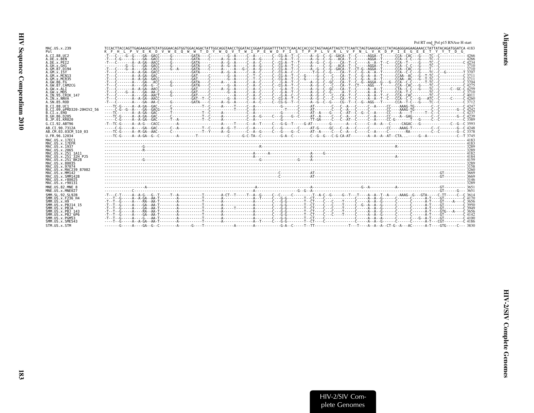<span id="page-30-0"></span>

|                                                                                                                                                                                                                                                                                                                       | Pol RT end_Pol p15 RNAse H start                                                                                                                                                                                                                                                                                                                                                                                                                                                                                                                                                                                                                                                                                                                                                                                                                                                                                                                                                                                                                         |  |
|-----------------------------------------------------------------------------------------------------------------------------------------------------------------------------------------------------------------------------------------------------------------------------------------------------------------------|----------------------------------------------------------------------------------------------------------------------------------------------------------------------------------------------------------------------------------------------------------------------------------------------------------------------------------------------------------------------------------------------------------------------------------------------------------------------------------------------------------------------------------------------------------------------------------------------------------------------------------------------------------------------------------------------------------------------------------------------------------------------------------------------------------------------------------------------------------------------------------------------------------------------------------------------------------------------------------------------------------------------------------------------------------|--|
| MAC.US.x.239<br>Pol                                                                                                                                                                                                                                                                                                   | TCCACTTACCAGTTGAGAAGGATGTATGGGAACAGTGGTGGACAGACTATTGGCAGGTAACCTGGATACCGGAATGGGATTTTATCTCAACACCGCCTAGTAAGATTAGTCTTCAATCTAGTGAAGGACCCTATAGAGGGAGAAGAAACCTATTATACAGATGGATCGA 4183<br>V W E O W W T<br>D Y W O V T W I P E W D F I S T P P L V R L V F N L V K D<br>E K D<br>P<br>I E G E E T Y Y T D<br>KFHL<br>V                                                                                                                                                                                                                                                                                                                                                                                                                                                                                                                                                                                                                                                                                                                                           |  |
| A.CI.88.UC2<br>A.DE.x.BEN<br>A.DE.x.PEI2<br>A.GH.x.GH1<br>A.GM.87.D194<br>$A.GM.x.$ TSY<br>A.GM.x.MCN13<br>A. GM. x. MCR35<br>A.GW.86.FG<br>A.GW.87.CAM2CG<br>A.GW.x.ALI<br>A.GW.x.MDS<br>A.IN.95.CRIK 147<br>A.IN.x.NNVA<br>A.SN.85.ROD<br>B.CT.88.UC1<br>B.CI.09.pPRD320-20HIV2 56<br>B.CI.X.EHO<br>B. GH. 86. D205 | $-1-\frac{1}{2}$ , $-1-\frac{1}{2}$ , $-1-\frac{1}{2}$ , $-1-\frac{1}{2}$ , $-1-\frac{1}{2}$ , $-1-\frac{1}{2}$ , $-1-\frac{1}{2}$ , $-1-\frac{1}{2}$ , $-1-\frac{1}{2}$ , $-1-\frac{1}{2}$ , $-1-\frac{1}{2}$ , $-1-\frac{1}{2}$ , $-1-\frac{1}{2}$ , $-1-\frac{1}{2}$ , $-1-\frac{1}{2}$ , $-1-\frac{1}{2}$<br>-T--C-------A---GA-G-C-----G--------GATA---C-------G-A----C--A-C----C--G-A-T-C----A-G--C--CA--G--CA--T--CT---AGG---T-----CA-CAC--G---G---TC--C---------CA-7<br>$-1-\frac{1}{2}-\frac{1}{2}-\frac{1}{2}-\frac{1}{2}-\frac{1}{2}-\frac{1}{2}-\frac{1}{2}-\frac{1}{2}-\frac{1}{2}-\frac{1}{2}-\frac{1}{2}-\frac{1}{2}-\frac{1}{2}-\frac{1}{2}-\frac{1}{2}-\frac{1}{2}-\frac{1}{2}-\frac{1}{2}-\frac{1}{2}-\frac{1}{2}-\frac{1}{2}-\frac{1}{2}-\frac{1}{2}-\frac{1}{2}-\frac{1}{2}-\frac{1}{2}-\frac{1}{2}-\frac{1}{2}-\frac{1}{2}-\frac{1}{2}-\frac{1}{2}-\$<br>-T--C------A---GA--AA-C-----G---------GATA---C-----A--G--A--C--A-C----C--A-C---C-G--T--C---A--G--C-------CG--T--C--G--AGG---T------CCA--T-C---G-------CCA--TC--C--------CC |  |
| B.JP.01.KR020<br>G.CI.92.ABT96                                                                                                                                                                                                                                                                                        |                                                                                                                                                                                                                                                                                                                                                                                                                                                                                                                                                                                                                                                                                                                                                                                                                                                                                                                                                                                                                                                          |  |
| AB.CT.90.7312A<br>AB.CM.03.03CM 510 03<br>U.FR.96.12034                                                                                                                                                                                                                                                               |                                                                                                                                                                                                                                                                                                                                                                                                                                                                                                                                                                                                                                                                                                                                                                                                                                                                                                                                                                                                                                                          |  |
| MAC.US.x.17EC1<br>MAC.US.x.17EFR<br>MAC. US. x. 1937<br>MAC. US. x. 2065<br>MAC.US.x.251 1A11<br>MAC.US.x.251 32H PJ5<br>MAC.US.x.251 <sup>-</sup> BK28<br>MAC.US.x.80035<br>MAC.US.x.97074<br>MAC.US.x.MAC239 87082<br>MAC.US.x.MM142<br>MAC.US.x.SMM142B<br>MAC.US.x.r80025                                         | $- - - - -$                                                                                                                                                                                                                                                                                                                                                                                                                                                                                                                                                                                                                                                                                                                                                                                                                                                                                                                                                                                                                                              |  |
| MAC.US.x.r90131<br>MNE.US.82.MNE 8<br>MNE.US.x.MNE027<br>SMM. SL. 92. SL92B                                                                                                                                                                                                                                           |                                                                                                                                                                                                                                                                                                                                                                                                                                                                                                                                                                                                                                                                                                                                                                                                                                                                                                                                                                                                                                                          |  |
| SMM. US. x. F236 H4<br>SMM. US. x.H9<br>SMM.US.x.PBJ14 15<br>SMM.US.x.PBJA<br>SMM.US.x.PBJ 143<br>SMM.US.x.PBJ <sup>6P6</sup><br>SMM. U.S. x. PGM53<br>SMM.US.x.SME543<br>STM.US.x.STM                                                                                                                                |                                                                                                                                                                                                                                                                                                                                                                                                                                                                                                                                                                                                                                                                                                                                                                                                                                                                                                                                                                                                                                                          |  |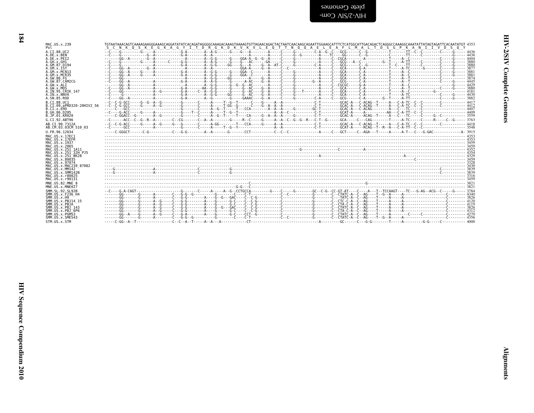| somnao: ) otoln                              |  |  |
|----------------------------------------------|--|--|
| $-WO \cap \overline{A}K/Z$ - $\overline{A}H$ |  |  |

| MAC.US.x.239                              | TGTAATAAACAGTCAAAAGAAGGGAAAGCAGGATATATCACAGATAGGGGCAAAGGCAAAGTAAAAGTGTTAGAACAGACTACTAATCAACAGAATTGGAAGCATTTCTCATGGCATTCACGGCCATTCACGGGCCAAAGGCAAATTATAGTAGATTCACAATATGT 4353 |
|-------------------------------------------|------------------------------------------------------------------------------------------------------------------------------------------------------------------------------|
| Pol                                       | S C N K O S K E G K A G Y I T D R G K D K V K V L E O T T N O O A E L E A F L M A L T D S G P K A N I I V D S O Y                                                            |
| A.CI.88.UC2                               |                                                                                                                                                                              |
| A.DE.x.BEN                                |                                                                                                                                                                              |
| A.DE.x.PEI2                               |                                                                                                                                                                              |
| A.GH.X.GH1                                |                                                                                                                                                                              |
| A.GM.87.D194                              |                                                                                                                                                                              |
| A.GM.X.ISY                                |                                                                                                                                                                              |
| A.GM.x.MCN13                              |                                                                                                                                                                              |
| A.GM. x.MCR35                             |                                                                                                                                                                              |
| A.GW.86.FG                                |                                                                                                                                                                              |
| A.GW.87.CAM2CG                            |                                                                                                                                                                              |
| A.GW.x.ALT                                |                                                                                                                                                                              |
| A.GW.x.MDS                                |                                                                                                                                                                              |
| A. IN. 95. CRIK 147<br>A.IN.x.NNVA        |                                                                                                                                                                              |
| A.SN.85.ROD<br>B.CI.88.UC1                |                                                                                                                                                                              |
| B.CI.09.pPRD320-20HIV2 56                 |                                                                                                                                                                              |
| B.CT.x.EHO                                |                                                                                                                                                                              |
| B.GH.86.D205                              |                                                                                                                                                                              |
| B.JP.01.KR020                             |                                                                                                                                                                              |
| G.CI.92.ABT96                             |                                                                                                                                                                              |
| AB.CI.90.7312A                            |                                                                                                                                                                              |
| AB.CM.03.03CM 510 03                      |                                                                                                                                                                              |
| U.FR.96.12034                             |                                                                                                                                                                              |
| MAC.US.x.17EC1<br>MAC.US.x.17EFR          |                                                                                                                                                                              |
| MAC.US.x.1937<br>MAC.US.x.2065            |                                                                                                                                                                              |
| MAC.US.x.251 1A11<br>MAC.US.x.251 32H PJ5 |                                                                                                                                                                              |
| MAC.US.x.251 <sup>-</sup> BK28            |                                                                                                                                                                              |
| MAC.US.x.80035                            |                                                                                                                                                                              |
| MAC.US.x.97074                            |                                                                                                                                                                              |
| MAC.US.x.MAC239 87082                     |                                                                                                                                                                              |
| MAC.US.x.MM142                            |                                                                                                                                                                              |
| MAC.US.x.SMM142B                          |                                                                                                                                                                              |
| MAC.US.x.r80025                           |                                                                                                                                                                              |
| MAC.US.x.r90131                           |                                                                                                                                                                              |
| MNE.US.82.MNE 8                           |                                                                                                                                                                              |
| MNE.US.x.MNE027                           |                                                                                                                                                                              |
| SMM. SL. 92. SL92B                        |                                                                                                                                                                              |
| SMM.US.x.F236 H4                          |                                                                                                                                                                              |
| SMM.US.x.H9                               |                                                                                                                                                                              |
| SMM. U.S. x. PB. 114 15                   |                                                                                                                                                                              |
| SMM.US.x.PBJA                             |                                                                                                                                                                              |
| SMM. U.S. x. PB.1 143                     |                                                                                                                                                                              |
| $SMM. US. x. PBJ-6P6$                     |                                                                                                                                                                              |
| SMM. U.S. x. PGM53                        |                                                                                                                                                                              |
| SMM. U.S. x. SME543                       |                                                                                                                                                                              |
| STM.US.x.STM                              |                                                                                                                                                                              |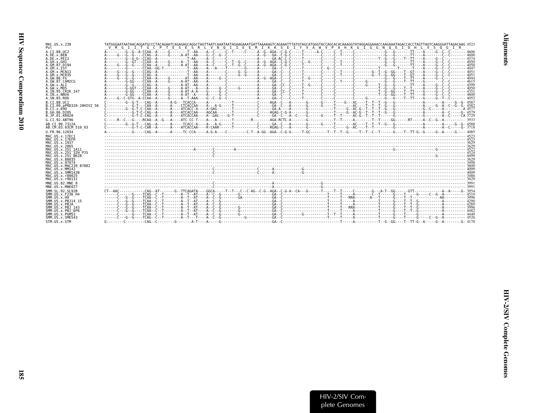| MAC.US.x.239                              |                                                                                                                 |
|-------------------------------------------|-----------------------------------------------------------------------------------------------------------------|
| Pol                                       | V M G I I T G C P T E S E S R L V N O I I E E M I K K S E I Y V A W V P A H K G I G G N O E I D H L V S O G I R |
| A.CI.88.UC2                               |                                                                                                                 |
| A.DE.X.BEN<br>A.DE.x.PEI2                 |                                                                                                                 |
| A.GH.x.GH1                                |                                                                                                                 |
| A.GM.87.D194<br>A.GM.x.ISY                |                                                                                                                 |
| A.GM.x.MCN13                              |                                                                                                                 |
| A.GM.x.MCR35                              |                                                                                                                 |
| A.GW.86.FG<br>A.GW.87.CAM2CG              |                                                                                                                 |
| A.GW.x.ALI                                |                                                                                                                 |
| A.GW.x.MDS<br>A.IN.95.CRIK 147            |                                                                                                                 |
| A.IN.x.NNVA                               |                                                                                                                 |
| A.SN.85.ROD                               |                                                                                                                 |
| B.CI.88.UC1<br>B.CI.09.pPRD320-20HIV2 56  |                                                                                                                 |
| B.CT.x.EHO                                |                                                                                                                 |
| B. GH. 86. D205                           |                                                                                                                 |
| B.JP.01.KR020                             |                                                                                                                 |
| G.CI.92.ABT96                             |                                                                                                                 |
| AB.CI.90.7312A<br>AB.CM.03.03CM 510 03    |                                                                                                                 |
| U.FR.96.12034                             |                                                                                                                 |
| MAC.US.x.17EC1                            |                                                                                                                 |
| MAC.US.x.17EFR<br>MAC. US. x. 1937        |                                                                                                                 |
| MAC.US.x.2065                             |                                                                                                                 |
| MAC.US.x.251 1A11<br>MAC.US.x.251 32H PJ5 |                                                                                                                 |
| MAC.US.x.251 <sup>-</sup> BK28            |                                                                                                                 |
| MAC.US.x.80035                            |                                                                                                                 |
| MAC.US.x.97074<br>MAC.US.x.MAC239 87082   |                                                                                                                 |
| MAC.US.x.MM142                            |                                                                                                                 |
| MAC.US.x.SMM142B<br>MAC.US.x.r80025       |                                                                                                                 |
| MAC.US.x.r90131                           |                                                                                                                 |
| MNE.US.82.MNE 8                           |                                                                                                                 |
| MNE.US.x.MNE027                           |                                                                                                                 |
| SMM. SL. 92. SL92B<br>SMM.US.x.F236 H4    |                                                                                                                 |
| SMM. US. x.H9                             |                                                                                                                 |
| SMM. US. x. PBJ14 15                      |                                                                                                                 |
| SMM.US.x.PBJA<br>SMM.US.x.PBJ 143         |                                                                                                                 |
| SMM.US.x.PBJ 6P6                          |                                                                                                                 |
| SMM.US.x.PGM53<br>SMM.US.x.SME543         |                                                                                                                 |
| STM.US.x.STM                              |                                                                                                                 |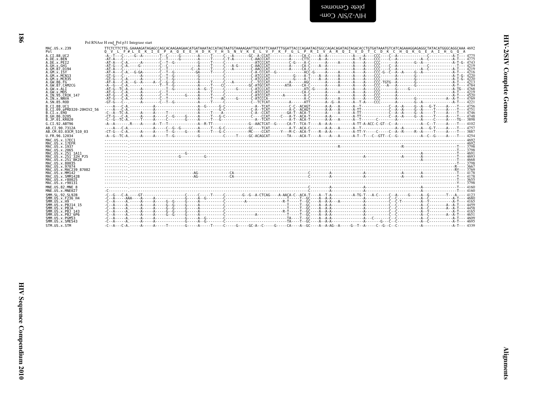<span id="page-33-0"></span>blete Genomes<br>HIV-2/SIV Com-

### Pol RNAse H end Pol p31 Integrase start

| MAC.US.x.239<br>Pol                                                 | O V L F#L E K I E P A O E E H D K Y H S N V K E L V F K F G L P R I V A R O I V D T C D K C H O K G E A I H G O A                                                                                                                                                                                                                  |  |
|---------------------------------------------------------------------|------------------------------------------------------------------------------------------------------------------------------------------------------------------------------------------------------------------------------------------------------------------------------------------------------------------------------------|--|
| A.CI.88.UC2<br>A.DE.x.BEN                                           |                                                                                                                                                                                                                                                                                                                                    |  |
| A.DE.x.PET2                                                         |                                                                                                                                                                                                                                                                                                                                    |  |
| A.GH.x.GH1<br>A.GM.87.D194                                          |                                                                                                                                                                                                                                                                                                                                    |  |
| A.GM.x.ISY                                                          |                                                                                                                                                                                                                                                                                                                                    |  |
| A.GM.x.MCN13<br>.GM. x.MCR35                                        |                                                                                                                                                                                                                                                                                                                                    |  |
| 4.GW.86.FG<br>A.GW.87.CAM2CG                                        |                                                                                                                                                                                                                                                                                                                                    |  |
| A.GW.x.ALI                                                          |                                                                                                                                                                                                                                                                                                                                    |  |
| A.GW.x.MDS<br>4.IN.95.CRIK 147                                      |                                                                                                                                                                                                                                                                                                                                    |  |
| A.IN.x.NNVA<br>4.SN.85.ROD                                          | $-61.6 - 61.7 - 61.7 - 61.7 - 61.7 - 61.7 - 61.7 - 61.7 - 61.7 - 61.7 - 61.7 - 61.7 - 61.7 - 61.7 - 61.7 - 61.7 - 61.7 - 61.7 - 61.7 - 61.7 - 61.7 - 61.7 - 61.7 - 61.7 - 61.7 - 61.7 - 61.7 - 61.7 - 61.7 - 61.7 - 61.7 - 61.7 - 61.7 - 61.7 - 61.7 - 61.7 - 61.$                                                                 |  |
| B.CT.88.UC1                                                         |                                                                                                                                                                                                                                                                                                                                    |  |
| B.CI.09.pPRD320-20HIV2 56<br>B.CI.x.EHO                             |                                                                                                                                                                                                                                                                                                                                    |  |
| B.GH.86.D205                                                        |                                                                                                                                                                                                                                                                                                                                    |  |
| B.JP.01.KR020<br>G.CI.92.ABT96                                      |                                                                                                                                                                                                                                                                                                                                    |  |
| AB.CI.90.7312A                                                      |                                                                                                                                                                                                                                                                                                                                    |  |
| AB.CM.03.03CM 510 03                                                |                                                                                                                                                                                                                                                                                                                                    |  |
|                                                                     |                                                                                                                                                                                                                                                                                                                                    |  |
| J.FR.96.12034                                                       |                                                                                                                                                                                                                                                                                                                                    |  |
| MAC.US.x.17EC1<br>MAC.US.x.17EFR                                    |                                                                                                                                                                                                                                                                                                                                    |  |
| MAC.US.x.1937                                                       |                                                                                                                                                                                                                                                                                                                                    |  |
| MAC.US.x.2065<br>MAC.US.x.251 1A11                                  |                                                                                                                                                                                                                                                                                                                                    |  |
| MAC.US.x.251 <sup>—</sup> 32H PJ5<br>MAC.US.x.251 <sup>-</sup> BK28 |                                                                                                                                                                                                                                                                                                                                    |  |
| MAC.US.x.80035                                                      |                                                                                                                                                                                                                                                                                                                                    |  |
| MAC.US.x.97074<br>MAC.US.x.MAC239 87082                             |                                                                                                                                                                                                                                                                                                                                    |  |
| MAC.US.x.MM142<br>MAC.US.x.SMM142B                                  |                                                                                                                                                                                                                                                                                                                                    |  |
| MAC.US.x.r80025                                                     |                                                                                                                                                                                                                                                                                                                                    |  |
| MAC.US.x.r90131<br>MNE.US.82.MNE 8                                  |                                                                                                                                                                                                                                                                                                                                    |  |
| MNE.US.x.MNE027                                                     |                                                                                                                                                                                                                                                                                                                                    |  |
| SMM.SL.92.SL92B<br>SMM.US.x.F236 H4                                 |                                                                                                                                                                                                                                                                                                                                    |  |
| SMM.US.x.H9                                                         |                                                                                                                                                                                                                                                                                                                                    |  |
| SMM.US.x.PBJ14 15<br>SMM.US.x.PBJA                                  |                                                                                                                                                                                                                                                                                                                                    |  |
| SMM.US.x.PBJ 143                                                    | $\overline{A_1}$ , $\overline{A_2}$ , $\overline{A_3}$ , $\overline{A_4}$ , $\overline{A_5}$ , $\overline{A_6}$ , $\overline{A_7}$ , $\overline{A_8}$ , $\overline{A_9}$ , $\overline{A_1}$ , $\overline{A_2}$ , $\overline{A_3}$ , $\overline{A_4}$ , $\overline{A_5}$ , $\overline{A_6}$ , $\overline{A_7}$ , $\overline{A_8}$ , |  |
| SMM.US.x.PBJ <sup>-</sup> 6P6<br>SMM.US.x.PGM53                     |                                                                                                                                                                                                                                                                                                                                    |  |
| SMM.US.x.SME543<br>STM.US.x.STM                                     |                                                                                                                                                                                                                                                                                                                                    |  |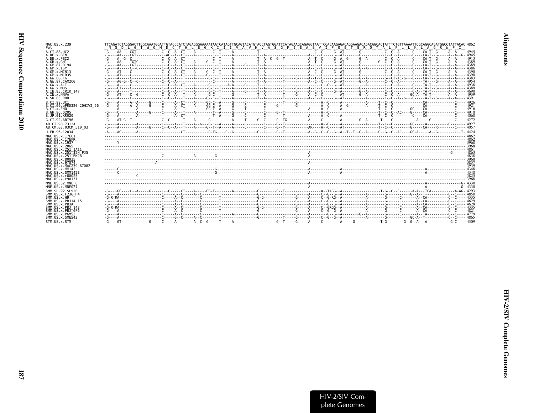| l<br>: |
|--------|
|        |
| ľ      |
| Š      |

| MAC.US.x.239<br>Pol                                       | TTCAGATCTAGGGACTTGGCAAATGGATTGTACCCATCTAGAGGGAAAAATAATCATAGTCAGTACATGTAGATGGATTCGATAGAAGGCAGAGGGTAATTCCACAAGGACAGGAAGACAGCAGCACTATTTCTGTTAAAATTGGCAGAGGCAGATGGCCTATTACAC. 4862<br>N S D L G T W O M D C T H L E G K I I I V A V H V A S G F I E A E V I P O E T G R O T A L F L L K L A G R W P I |              |
|-----------------------------------------------------------|---------------------------------------------------------------------------------------------------------------------------------------------------------------------------------------------------------------------------------------------------------------------------------------------------|--------------|
| A.CI.88.UC2                                               |                                                                                                                                                                                                                                                                                                   |              |
| A.DE.x.BEN<br>A.DE.x.PEI2                                 |                                                                                                                                                                                                                                                                                                   |              |
| A.GH.x.GH1                                                |                                                                                                                                                                                                                                                                                                   |              |
| A.GM.87.D194<br>A.GM.X.ISY                                |                                                                                                                                                                                                                                                                                                   | - - - - 4386 |
| A.GM.X.MCN13                                              |                                                                                                                                                                                                                                                                                                   |              |
| A.GM. x.MCR35                                             |                                                                                                                                                                                                                                                                                                   |              |
| A. GW. 86. FG<br>A.GW.87.CAM2CG                           |                                                                                                                                                                                                                                                                                                   |              |
| A.GW.x.ALI                                                |                                                                                                                                                                                                                                                                                                   |              |
| A.GW.x.MDS<br>A.IN.95.CRIK 147                            |                                                                                                                                                                                                                                                                                                   |              |
| A. IN. x. NNVA                                            |                                                                                                                                                                                                                                                                                                   |              |
| A.SN.85.ROD                                               |                                                                                                                                                                                                                                                                                                   |              |
| B.CT.88.UC1<br>B.CI.09.pPRD320-20HIV2 56                  |                                                                                                                                                                                                                                                                                                   |              |
| B.CT.x.EHO                                                |                                                                                                                                                                                                                                                                                                   |              |
| B. GH. 86. D205                                           |                                                                                                                                                                                                                                                                                                   |              |
| B.JP.01.KR020<br>G.CT.92.ABT96                            |                                                                                                                                                                                                                                                                                                   |              |
| AB.CT.90.7312A                                            |                                                                                                                                                                                                                                                                                                   |              |
| AB.CM.03.03CM 510 03                                      | -G----A--------A-----G-----C--C--A---T---A----G-T-A-----A-----C------C-----G-Y----------AR----A-C----AT---------T--C--C------G-----G----AT-----A-----A-----C---- 4057                                                                                                                             |              |
| U.FR.96.12034                                             |                                                                                                                                                                                                                                                                                                   |              |
| MAC. US. x. 17EC1                                         |                                                                                                                                                                                                                                                                                                   |              |
| MAC.US.x.17EFR<br>MAC. US. x. 1937                        |                                                                                                                                                                                                                                                                                                   |              |
| MAC. US. x. 2065                                          |                                                                                                                                                                                                                                                                                                   |              |
| MAC.US.x.251 1A11<br>MAC. US. x. 251 <sup>-32H</sup> P.15 |                                                                                                                                                                                                                                                                                                   |              |
| MAC.US.x.251 BK28                                         |                                                                                                                                                                                                                                                                                                   |              |
| MAC.US.x.80035                                            |                                                                                                                                                                                                                                                                                                   |              |
| MAC. U.S. x. 97074<br>MAC.US.x.MAC239 87082               |                                                                                                                                                                                                                                                                                                   |              |
| MAC.US.x.MM142                                            |                                                                                                                                                                                                                                                                                                   |              |
| MAC.US.x.SMM142B<br>MAC.US.x.r80025                       |                                                                                                                                                                                                                                                                                                   |              |
| MAC. US. x. r90131                                        |                                                                                                                                                                                                                                                                                                   |              |
| MNE.U.S.82.MNE 8                                          |                                                                                                                                                                                                                                                                                                   |              |
| MNE.US.x.MNE027                                           |                                                                                                                                                                                                                                                                                                   |              |
| SMM. SL. 92. SL92B<br>SMM.US.x.F236 H4                    |                                                                                                                                                                                                                                                                                                   |              |
| SMM.US.x.H9                                               |                                                                                                                                                                                                                                                                                                   |              |
| SMM.US.x.PBJ14 15                                         |                                                                                                                                                                                                                                                                                                   |              |
| SMM.US.x.PBJA<br>SMM. U.S. x. PB.1 143                    |                                                                                                                                                                                                                                                                                                   |              |
| SMM.US.x.PBJ 6P6                                          |                                                                                                                                                                                                                                                                                                   |              |
| SMM.US.x.PGM53<br>SMM.US.x.SME543                         |                                                                                                                                                                                                                                                                                                   |              |
| STM.US.x.STM                                              |                                                                                                                                                                                                                                                                                                   |              |
|                                                           |                                                                                                                                                                                                                                                                                                   |              |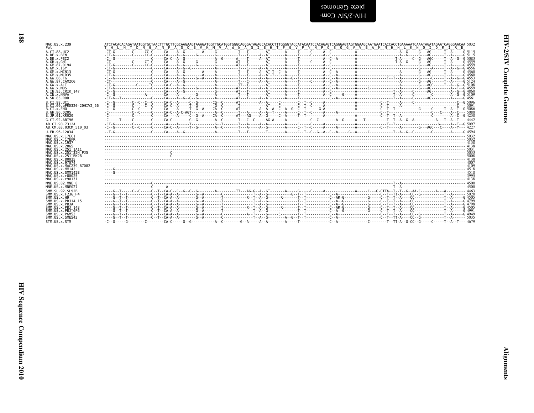| MAC.US.x.239                                                                            |                                                               |
|-----------------------------------------------------------------------------------------|---------------------------------------------------------------|
| Pol                                                                                     | THL HTDNG ANFASOEVK MVAWWAGIEHTFGVPYNPOSOGVVEAMNHHLK NOIDRIRE |
| A.CI.88.UC2                                                                             |                                                               |
| A.DE.x.BEN                                                                              |                                                               |
| A.DE.x.PEI2                                                                             |                                                               |
| A.GH.x.GH1                                                                              |                                                               |
| A.GM.87.D194                                                                            |                                                               |
| A.GM.x.ISY                                                                              |                                                               |
| A.GM.X.MCN13                                                                            |                                                               |
| A. GM. x. MCR35                                                                         |                                                               |
| A.GW.86.FG                                                                              |                                                               |
| A.GW.87.CAM2CG                                                                          |                                                               |
| A.GW.x.ALT                                                                              |                                                               |
| A.GW.x.MDS                                                                              |                                                               |
| A.IN.95.CRIK 147                                                                        |                                                               |
| A. IN. x. NNVA                                                                          |                                                               |
| A.SN.85.ROD                                                                             |                                                               |
| B.CI.88.UC1<br>B.CI.09.pPRD320-20HIV2 56<br>B.CI.x.EHO<br>B.GH.86.D205<br>B.JP.01.KR020 |                                                               |
| G.CI.92.ABT96                                                                           |                                                               |
| AB.CI.90.7312A                                                                          |                                                               |
| AB.CM.03.03CM 510 03                                                                    |                                                               |
| U.FR.96.12034                                                                           |                                                               |
| MAC. U.S. x. 17EC1                                                                      |                                                               |
| MAC.US.x.17EFR                                                                          |                                                               |
| MAC.US.x.1937                                                                           |                                                               |
| MAC. US. x. 2065                                                                        |                                                               |
| MAC.US.x.251 1A11                                                                       |                                                               |
| MAC.US.x.251 32H PJ5                                                                    |                                                               |
| MAC.US.x.251 <sup>-</sup> BK28                                                          |                                                               |
| MAC. U.S. x. 80035                                                                      |                                                               |
| MAC.US.x.97074                                                                          |                                                               |
| MAC. US. x. MAC239 87082                                                                |                                                               |
| MAC. US. x. MM142                                                                       |                                                               |
| MAC. US. x. SMM142B                                                                     |                                                               |
| MAC. US. x. r80025                                                                      |                                                               |
| MAC.US.x.r90131                                                                         |                                                               |
| MNE.US.82.MNE 8                                                                         |                                                               |
| MNE.US.x.MNE027                                                                         |                                                               |
| SMM. SL. 92. SL92B                                                                      |                                                               |
| SMM. US. x. F236 H4                                                                     |                                                               |
| SMM.US.x.H9                                                                             |                                                               |
| SMM. US. x. PBJ14 15                                                                    |                                                               |
| SMM.US.x.PBJA                                                                           |                                                               |
| SMM. U.S. x. PB.1 143                                                                   |                                                               |
| SMM.US.x.PBJ <sup>6P6</sup>                                                             |                                                               |
| SMM.US.x.PGM53                                                                          |                                                               |
| SMM. US. x. SME543                                                                      |                                                               |
| STM.US.x.STM                                                                            |                                                               |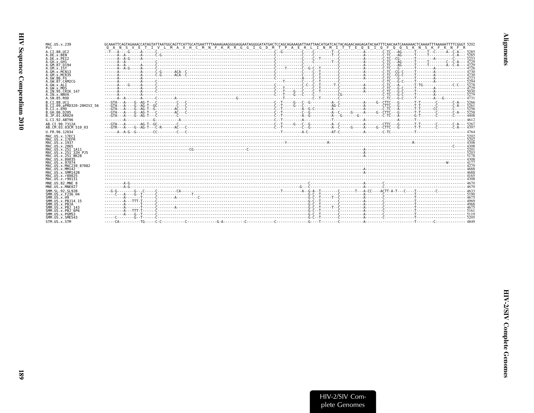| MAC.US.x.239<br>Pol                         | O A N S V E T I V L M A V H C M N F K R G G I G D M T P A E R L I N M I T T E O E I O F O O S K N S K F K N F R |  |  |
|---------------------------------------------|-----------------------------------------------------------------------------------------------------------------|--|--|
| A.CT.88.UC2                                 |                                                                                                                 |  |  |
| A.DE.x.BEN<br>A.DE.X.PET2                   | A.GA.com/internation/internation/internation/internation/internation/internation/internation/interna            |  |  |
| A.GH.x.GH1                                  |                                                                                                                 |  |  |
| A.GM.87.D194<br>$A.GM.x.$ TSY               |                                                                                                                 |  |  |
| A.GM.x.MCN13                                |                                                                                                                 |  |  |
| A.GM.x.MCR35<br>A.GW.86.FG                  |                                                                                                                 |  |  |
| A. GW. 87. CAM2CG                           |                                                                                                                 |  |  |
| A.GW.x.ALI                                  |                                                                                                                 |  |  |
| A.GW.x.MDS<br>A.IN.95.CRIK 147              |                                                                                                                 |  |  |
| A.IN.x.NNVA                                 |                                                                                                                 |  |  |
| A.SN.85.ROD<br>B.CI.88.UC1                  |                                                                                                                 |  |  |
| B.CI.09.pPRD320-20HIV2 56                   |                                                                                                                 |  |  |
| B.CI.X.EHO<br>B. GH. 86. D205               |                                                                                                                 |  |  |
| B.JP.01.KR020                               |                                                                                                                 |  |  |
| G.CI.92.ABT96                               |                                                                                                                 |  |  |
| AB.CI.90.7312A                              |                                                                                                                 |  |  |
| AB.CM.03.03CM 510 03<br>U.FR.96.12034       |                                                                                                                 |  |  |
| MAC.US.x.17EC1                              |                                                                                                                 |  |  |
| MAC.US.x.17EFR                              |                                                                                                                 |  |  |
| MAC.US.x.1937<br>MAC.US.x.2065              |                                                                                                                 |  |  |
| MAC.US.x.251 1A11                           |                                                                                                                 |  |  |
| MAC.US.x.251 32H PJ5<br>MAC.US.x.251 BK28   |                                                                                                                 |  |  |
| MAC.US.x.80035                              |                                                                                                                 |  |  |
| MAC. U.S. x. 97074<br>MAC.US.x.MAC239 87082 |                                                                                                                 |  |  |
| MAC.US.x.MM142                              |                                                                                                                 |  |  |
| MAC.US.x.SMM142B<br>MAC.US.x.r80025         |                                                                                                                 |  |  |
| MAC. US. x. r90131                          |                                                                                                                 |  |  |
| MNE.US.82.MNE 8<br>MNE.US.x.MNE027          |                                                                                                                 |  |  |
| SMM.SL.92.SL92B                             |                                                                                                                 |  |  |
| SMM. US. x. F236 H4                         |                                                                                                                 |  |  |
| SMM.US.x.H9<br>SMM. US. x. PBJ14 15         |                                                                                                                 |  |  |
| SMM.US.x.PBJA                               |                                                                                                                 |  |  |
| SMM.US.x.PBJ 143<br>SMM.US.x.PBJ 6P6        |                                                                                                                 |  |  |
| SMM.US.x.PGM53                              |                                                                                                                 |  |  |
| SMM.US.x.SME543<br>STM.US.x.STM             |                                                                                                                 |  |  |
|                                             |                                                                                                                 |  |  |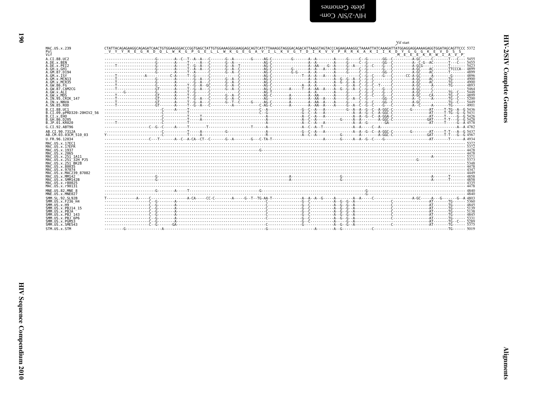<span id="page-37-0"></span>

|                                                        | Vif start                                                                                                                                                                                                                                                                                      |  |
|--------------------------------------------------------|------------------------------------------------------------------------------------------------------------------------------------------------------------------------------------------------------------------------------------------------------------------------------------------------|--|
| MAC.US.x.239<br>Pol                                    | CTATTACAGAGAAGGCAGAGATCAACTGTGGAAGGGACCCGGTGAGCTATTGTGGAAAGGGGAAGGAGCAGTCATCTTAAAGGTAGGACACACATTAAGGTAGTACCCAGAAGAAAGGCTAAAATTATCAAAGATTATGGAGGAGAAAGGGTGGATAGCAGTTCCC 5372<br>V Y Y R E G R D O L W K G P G E L L W K G E G A V T L K V G T D T K V V P R R K A K T T K D Y G G G K E V D S S |  |
| Vif                                                    | MEEEEKRWIAVP                                                                                                                                                                                                                                                                                   |  |
| A.CI.88.UC2<br>A.DE.x.BEN                              |                                                                                                                                                                                                                                                                                                |  |
| A.DE.x.PEI2                                            |                                                                                                                                                                                                                                                                                                |  |
| A.GH.x.GH1<br>A.GM.87.D194                             |                                                                                                                                                                                                                                                                                                |  |
| A.GM.X.ISY<br>A.GM.x.MCN13                             |                                                                                                                                                                                                                                                                                                |  |
| A.GM.x.MCR35                                           |                                                                                                                                                                                                                                                                                                |  |
| A. GW. 86. FG<br>A.GW.87.CAM2CG                        |                                                                                                                                                                                                                                                                                                |  |
| A.GW.x.ALI                                             |                                                                                                                                                                                                                                                                                                |  |
| A.GW.x.MDS<br>A.IN.95.CRIK 147                         |                                                                                                                                                                                                                                                                                                |  |
| A.IN.x.NNVA<br>A.SN.85.ROD                             |                                                                                                                                                                                                                                                                                                |  |
| B.CT.88.UC1                                            |                                                                                                                                                                                                                                                                                                |  |
| B.CI.09.pPRD320-20HIV2 56<br>B.CI.x.EHO                |                                                                                                                                                                                                                                                                                                |  |
| B.GH.86.D205                                           |                                                                                                                                                                                                                                                                                                |  |
| B.JP.01.KR020<br>G.CI.92.ABT96                         |                                                                                                                                                                                                                                                                                                |  |
| AB.CI.90.7312A                                         |                                                                                                                                                                                                                                                                                                |  |
| AB.CM.03.03CM 510 03                                   |                                                                                                                                                                                                                                                                                                |  |
| U.FR.96.12034                                          |                                                                                                                                                                                                                                                                                                |  |
| MAC.US.x.17EC1<br>MAC.US.x.17EFR                       |                                                                                                                                                                                                                                                                                                |  |
| MAC. US. x. 1937<br>MAC.US.x.2065                      |                                                                                                                                                                                                                                                                                                |  |
| MAC.US.x.251 1A11                                      |                                                                                                                                                                                                                                                                                                |  |
| MAC.US.x.251 32H PJ5<br>MAC.US.x.251 <sup>-</sup> BK28 |                                                                                                                                                                                                                                                                                                |  |
| MAC.US.x.80035<br>MAC. U.S. x. 97074                   |                                                                                                                                                                                                                                                                                                |  |
| MAC.US.x.MAC239 87082                                  |                                                                                                                                                                                                                                                                                                |  |
| MAC. US. x. MM142<br>MAC.US.x.SMM142B                  |                                                                                                                                                                                                                                                                                                |  |
| MAC.US.x.r80025<br>MAC.US.x.r90131                     |                                                                                                                                                                                                                                                                                                |  |
| MNE.US.82.MNE 8                                        |                                                                                                                                                                                                                                                                                                |  |
| MNE.US.x.MNE027                                        |                                                                                                                                                                                                                                                                                                |  |
| SMM. SL. 92. SL92B<br>SMM. US. x. F236 H4              |                                                                                                                                                                                                                                                                                                |  |
| SMM. US. x.H9                                          |                                                                                                                                                                                                                                                                                                |  |
| SMM.US.x.PBJ14 15<br>SMM.US.x.PBJA                     |                                                                                                                                                                                                                                                                                                |  |
| SMM. US. x. PBJ 143<br>$SMM. US. x. PBJ-6P6$           |                                                                                                                                                                                                                                                                                                |  |
| SMM.US.x.PGM53                                         |                                                                                                                                                                                                                                                                                                |  |
| SMM.US.x.SME543<br>STM.US.x.STM                        |                                                                                                                                                                                                                                                                                                |  |
|                                                        |                                                                                                                                                                                                                                                                                                |  |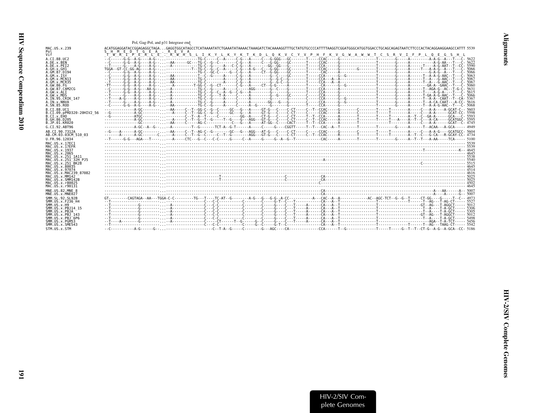<span id="page-38-0"></span>

|                                                           | Pol, Gag-Pol, and p31 Integrase end                                                                                                                                                       |
|-----------------------------------------------------------|-------------------------------------------------------------------------------------------------------------------------------------------------------------------------------------------|
| MAC.US.x.239<br>Pol                                       | ACATGGAGGATACCGGAGAGGCTAGAGAGGTGGCATAGCCTCATAAAATATCTGAAATATAAAACTAAAGATCTACAAAAGGTTTGCTATGTGCCCCATTTTAAGGTCGGATGGGCATGGGACCTGCAGCAGAGTAATCTTCCCACTACAGGAAGGCAATCC.5539<br>SHMEDTGEA.REVA |
| Vif                                                       | TWRIPERLETRWHSLIKYLKYKTKDLOKVCYVPHFKVGWAWWTCSRVIFPLOEGSHL                                                                                                                                 |
| A.CI.88.UC2                                               |                                                                                                                                                                                           |
| A.DE.x.BEN<br>A.DE.X.PEI2                                 |                                                                                                                                                                                           |
| A.GH.x.GH1                                                |                                                                                                                                                                                           |
| A.GM.87.D194<br>A.GM.X.ISY                                |                                                                                                                                                                                           |
| A.GM.x.MCN13                                              |                                                                                                                                                                                           |
| A.GM.x.MCR35                                              |                                                                                                                                                                                           |
| A.GW.86.FG<br>A. GW. 87. CAM2CG                           |                                                                                                                                                                                           |
| A.GW.x.ALI                                                |                                                                                                                                                                                           |
| A.GW.x.MDS                                                |                                                                                                                                                                                           |
| A.IN.95.CRIK 147<br>A.IN.x.NNVA                           |                                                                                                                                                                                           |
| A.SN.85.ROD                                               |                                                                                                                                                                                           |
| B.CI.88.UC1                                               |                                                                                                                                                                                           |
| B.CI.09.pPRD320-20HIV2 56<br>B.CI.X.EHO                   |                                                                                                                                                                                           |
| B.GH.86.D205                                              |                                                                                                                                                                                           |
| B.JP.01.KR020                                             |                                                                                                                                                                                           |
| G.CI.92.ABT96                                             |                                                                                                                                                                                           |
| AB.CI.90.7312A<br>AB.CM.03.03CM 510 03                    |                                                                                                                                                                                           |
| U.FR.96.12034                                             |                                                                                                                                                                                           |
| MAC. U.S. x. 17EC1                                        |                                                                                                                                                                                           |
| MAC.US.x.17EFR<br>MAC.US.x.1937                           |                                                                                                                                                                                           |
| MAC.US.x.2065                                             |                                                                                                                                                                                           |
| MAC.US.x.251 1A11<br>MAC.US.x.251 32H PJ5                 |                                                                                                                                                                                           |
| MAC.US.x.251 <sup>-</sup> BK28                            |                                                                                                                                                                                           |
| MAC.US.x.80035<br>MAC.US.x.97074                          |                                                                                                                                                                                           |
| MAC.US.x.MAC239 87082                                     |                                                                                                                                                                                           |
| MAC.US.x.MM142                                            |                                                                                                                                                                                           |
| MAC.US.x.SMM142B<br>MAC.US.x.r80025                       |                                                                                                                                                                                           |
| MAC.US.x.r90131                                           |                                                                                                                                                                                           |
| MNE.US.82.MNE 8<br>MNE.US.x.MNE027                        |                                                                                                                                                                                           |
| SMM. SL. 92. SL92B                                        |                                                                                                                                                                                           |
| SMM.US.x.F236 H4                                          |                                                                                                                                                                                           |
| SMM. US. x.H9<br>SMM. US. x. PBJ14 15                     |                                                                                                                                                                                           |
| SMM.US.x.PBJA                                             |                                                                                                                                                                                           |
| SMM.US.x.PBJ 143<br>$SMM$ . U.S. $\times$ . PB. $1^-$ 6P6 |                                                                                                                                                                                           |
| SMM.US.x.PGM53                                            |                                                                                                                                                                                           |
| SMM. U.S. x. SME543                                       |                                                                                                                                                                                           |
| STM.US.x.STM                                              |                                                                                                                                                                                           |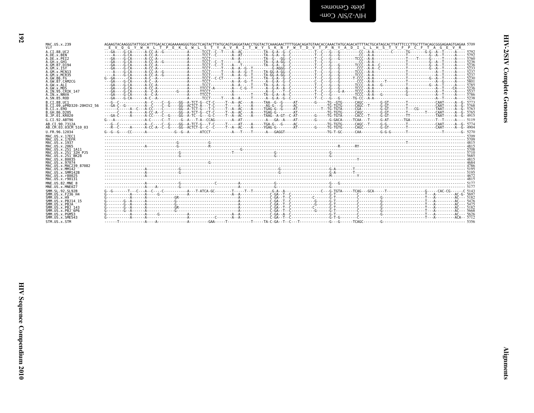| י<br>י<br>r |  |
|-------------|--|
| Ĭ           |  |
|             |  |

| MAC.US.x.239                              | AGAAGTACAAGGGTATTGGCATTTGACACCAGAAAAAGGGTGGCTCAGTACTTATGCAGTGAGGATAACCTGGTACTCAAAGAACTTTTGGACAGATGTAACACCAAACTATGCAGACATTTTACTGCATAGCACTTATTTCCCTTGCTTTACAGGGGAGAAGTGAAGAAGTGAGAAGTGAGAAGTGAGAAGTGAGAAGTGAGAAGTGAGAAGTGAGAAGTG |  |  |
|-------------------------------------------|--------------------------------------------------------------------------------------------------------------------------------------------------------------------------------------------------------------------------------|--|--|
|                                           | E V O G Y W H L T P E K G W L S T Y A V R I T W Y S K N F W T D V T P N Y A D I L L H S T Y F P C F T A G E V R                                                                                                                |  |  |
| A.CI.88.UC2<br>A.DE.x.BEN                 | $---A---G--A$                                                                                                                                                                                                                  |  |  |
| A.DE.X.PEI2                               |                                                                                                                                                                                                                                |  |  |
| A.GH.x.GH1                                |                                                                                                                                                                                                                                |  |  |
| A.GM.87.D194                              |                                                                                                                                                                                                                                |  |  |
| $A.GM.x.$ TSY<br>A.GM.X.MCN13             |                                                                                                                                                                                                                                |  |  |
| A.GM.x.MCR35                              |                                                                                                                                                                                                                                |  |  |
| A.GW.86.FG                                | $G - GA -$                                                                                                                                                                                                                     |  |  |
| A.GW.87.CAM2CG                            |                                                                                                                                                                                                                                |  |  |
| A.GW.x.ALI<br>A.GW.x.MDS                  |                                                                                                                                                                                                                                |  |  |
| A.IN.95.CRIK 147                          |                                                                                                                                                                                                                                |  |  |
| A.IN.x.NNVA                               |                                                                                                                                                                                                                                |  |  |
| A.SN.85.ROD                               |                                                                                                                                                                                                                                |  |  |
| B.CT.88.UC1                               |                                                                                                                                                                                                                                |  |  |
| B.CI.09.pPRD320-20HIV2 56<br>B.CI.X.EHO   |                                                                                                                                                                                                                                |  |  |
| B. GH. 86. D205                           |                                                                                                                                                                                                                                |  |  |
| B.JP.01.KR020                             |                                                                                                                                                                                                                                |  |  |
| G.CI.92.ABT96                             |                                                                                                                                                                                                                                |  |  |
| AB.CI.90.7312A                            |                                                                                                                                                                                                                                |  |  |
| AB.CM.03.03CM 510 03                      |                                                                                                                                                                                                                                |  |  |
| U.FR.96.12034                             |                                                                                                                                                                                                                                |  |  |
| MAC.US.x.17EC1<br>MAC.US.x.17EFR          |                                                                                                                                                                                                                                |  |  |
| MAC.US.x.1937                             |                                                                                                                                                                                                                                |  |  |
| MAC.US.x.2065                             |                                                                                                                                                                                                                                |  |  |
| MAC.US.x.251 1A11                         |                                                                                                                                                                                                                                |  |  |
| MAC.US.x.251 32H PJ5<br>MAC.US.x.251 BK28 |                                                                                                                                                                                                                                |  |  |
| MAC.US.x.80035                            |                                                                                                                                                                                                                                |  |  |
| MAC. U.S. x. 97074                        |                                                                                                                                                                                                                                |  |  |
| MAC.US.x.MAC239 87082<br>MAC.US.x.MM142   |                                                                                                                                                                                                                                |  |  |
| MAC.US.x.SMM142B                          |                                                                                                                                                                                                                                |  |  |
| MAC.US.x.r80025                           |                                                                                                                                                                                                                                |  |  |
| MAC.US.x.r90131                           |                                                                                                                                                                                                                                |  |  |
| MNE.US.82.MNE 8                           |                                                                                                                                                                                                                                |  |  |
| MNE.US.x.MNE027                           |                                                                                                                                                                                                                                |  |  |
| SMM. SL. 92. SL92B<br>SMM.US.x.F236 H4    |                                                                                                                                                                                                                                |  |  |
| SMM. <u>US.x.H9</u>                       |                                                                                                                                                                                                                                |  |  |
| SMM.US.x.PBJ14 15                         |                                                                                                                                                                                                                                |  |  |
| SMM.US.x.PBJA<br>SMM. US. x. PBJ 143      |                                                                                                                                                                                                                                |  |  |
| SMM.US.x.PBJ 6P6                          |                                                                                                                                                                                                                                |  |  |
| SMM.US.x.PGM53                            |                                                                                                                                                                                                                                |  |  |
| SMM.US.x.SME543                           |                                                                                                                                                                                                                                |  |  |
| STM.US.x.STM                              |                                                                                                                                                                                                                                |  |  |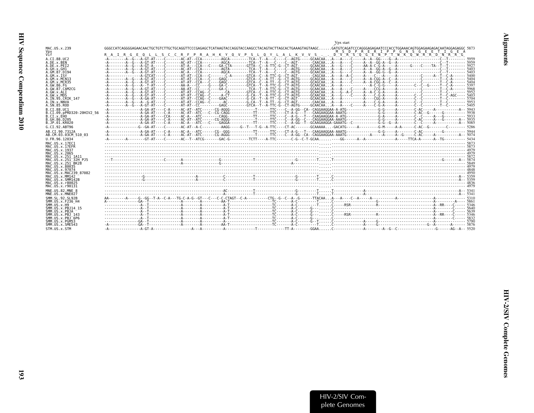<span id="page-40-0"></span>

|                                                   | Vpx start                                                                                                                                                                                                                     |  |
|---------------------------------------------------|-------------------------------------------------------------------------------------------------------------------------------------------------------------------------------------------------------------------------------|--|
| MAC.US.x.239                                      | GATGTCAGATCCCAGGGAGAGAATCCCACCTGGAAACAGTGGAGAAGAGACAATAGGAGAGGC_5873.<br>GGGCCATCAGGGGAGAACAACTGCTGTCTTGCTGCAGGTTCCCGAGAGCTCATAAGTACCAGGTACCAAGCCTACAGTACTTAGCACTGAAAGTAGTAGTAGC<br>M S D P R E R I P P G N S G E E T I G E A |  |
| Vpx<br>Vif                                        | R A I R G E Q L L S C C R F P R A H K Y Q V P S L Q Y L A L K V V S D "V "R "S "Q "G "E "N "P "T "W "K "Q "W "R "R "D "N "R "G "                                                                                              |  |
| A.CI.88.UC2<br>A.DE.x.BEN                         | -A--------A-G---A-GT-A----C-------AT-A---CCA--C----GA-CTA-------GTTA--C--A-TTC-G--CT-AGT------GCAACAAA---G----C-----G------AA-A-C-G-A-----A-----G-----C----TA--T--T--------- 592                                              |  |
| A.DE.x.PEI2<br>A.GH.x.GH1<br>A.GM.87.D194         |                                                                                                                                                                                                                               |  |
| A.GM.X.ISY<br>A.GM.X.MCN13                        |                                                                                                                                                                                                                               |  |
| A.GM.x.MCR35                                      |                                                                                                                                                                                                                               |  |
| A.GW.86.FG<br>A. GW. 87. CAM2CG                   |                                                                                                                                                                                                                               |  |
| A.GW.x.ALI<br>A.GW.x.MDS                          | -A--------A-G--A-GT-AT---C-------AT-AT--CCAG--C------A-CT--------G-CA--T--A-TTC-G--CT-AGTG-----GCAACAAA--G----C-----A----C-G-A-----A-------C--C--C------T--C-AGC---- 5403                                                     |  |
| A.IN.95.CRIK 147                                  |                                                                                                                                                                                                                               |  |
| A. IN. x. NNVA<br>A.SN.85.ROD                     |                                                                                                                                                                                                                               |  |
| B.CI.88.UC1<br>B.CI.09.pPRD320-20HIV2 56          |                                                                                                                                                                                                                               |  |
| B.CI.X.EHO                                        |                                                                                                                                                                                                                               |  |
| B.GH.86.D205<br>B.JP.01.KR020                     |                                                                                                                                                                                                                               |  |
| G.CI.92.ABT96                                     |                                                                                                                                                                                                                               |  |
| AB.CI.90.7312A                                    |                                                                                                                                                                                                                               |  |
| AB.CM.03.03CM 510 03                              |                                                                                                                                                                                                                               |  |
| U.FR.96.12034                                     |                                                                                                                                                                                                                               |  |
| MAC.US.x.17EC1<br>MAC.US.x.17EFR<br>MAC.US.x.1937 |                                                                                                                                                                                                                               |  |
| MAC.US.x.2065                                     |                                                                                                                                                                                                                               |  |
| MAC.US.x.251 1A11<br>MAC.US.x.251 32H PJ5         |                                                                                                                                                                                                                               |  |
| MAC.US.x.251 <sup>-</sup> BK28<br>MAC.US.x.80035  |                                                                                                                                                                                                                               |  |
| MAC.US.x.97074<br>MAC.US.x.MAC239 87082           |                                                                                                                                                                                                                               |  |
| MAC.US.x.MM142                                    |                                                                                                                                                                                                                               |  |
| MAC.US.x.SMM142B<br>MAC.US.x.r80025               |                                                                                                                                                                                                                               |  |
| MAC.US.x.r90131<br>MNE.US.82.MNE 8                |                                                                                                                                                                                                                               |  |
| MNE.US.x.MNE027                                   |                                                                                                                                                                                                                               |  |
| SMM. SL. 92. SL92B<br>SMM.US.x.F236 H4            |                                                                                                                                                                                                                               |  |
| $SMM.$ US. $x.$ H9                                |                                                                                                                                                                                                                               |  |
| SMM.US.x.PBJ14 15<br>SMM.US.x.PBJA                |                                                                                                                                                                                                                               |  |
| SMM.US.x.PBJ 143<br>$SMM. US. x. PBJ-6P6$         |                                                                                                                                                                                                                               |  |
| SMM.US.x.PGM53<br>SMM.US.x.SME543                 |                                                                                                                                                                                                                               |  |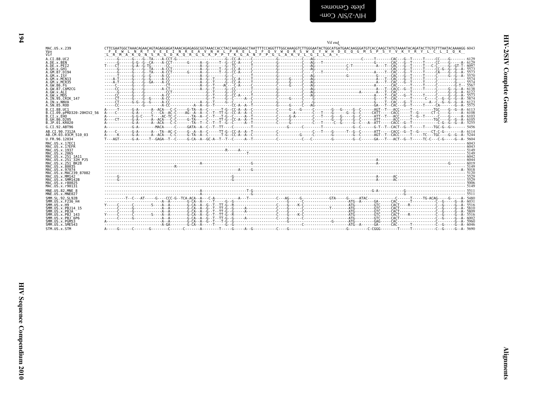<span id="page-41-0"></span>

|                                      | Vif end                                                                                                                                                                                                                                                                                                                                                                                                         |
|--------------------------------------|-----------------------------------------------------------------------------------------------------------------------------------------------------------------------------------------------------------------------------------------------------------------------------------------------------------------------------------------------------------------------------------------------------------------|
| MAC.US.x.239<br>Vpx<br>Vif           | CTTCGAATGGCTAAACAGAACAGTAGAGGAGATAAACAGAGAGGCGGTAAACCACCTACCAAGGGAGCTAATTTTCCAGGTTTGGCAAAGGTCTTGGGAATACTGACAAGACAAGGGATGTCACCAAGCTATGTAAAATACAGATACTTGTGTTTAATACAAAAGG 6043<br>F E W L N R T V E E I N R E A V N H L P R E L I F O V W O R S W E Y W H D E O G M S P S Y V K Y R Y L C L I O K<br>"LIR "MI"A "KI"Q "NI"S "RI"G "DI"KI"Q "RI"G "G "KI"P "P "T "KI"G "A "NI"F "P "G "LI"A "KI"V "LI"G "I "LI"A "* |
| A.CI.88.UC2                          |                                                                                                                                                                                                                                                                                                                                                                                                                 |
| A.DE.x.BEN                           |                                                                                                                                                                                                                                                                                                                                                                                                                 |
| A.DE.x.PEI2                          |                                                                                                                                                                                                                                                                                                                                                                                                                 |
| A.GH.x.GH1                           |                                                                                                                                                                                                                                                                                                                                                                                                                 |
| A.GM.87.D194                         |                                                                                                                                                                                                                                                                                                                                                                                                                 |
| A.GM.X.ISY                           |                                                                                                                                                                                                                                                                                                                                                                                                                 |
| A.GM.x.MCN13                         |                                                                                                                                                                                                                                                                                                                                                                                                                 |
| A.GM.x.MCR35                         |                                                                                                                                                                                                                                                                                                                                                                                                                 |
| A. GW. 86. FG                        |                                                                                                                                                                                                                                                                                                                                                                                                                 |
| A.GW.87.CAM2CG                       |                                                                                                                                                                                                                                                                                                                                                                                                                 |
| A.GW.x.ALI                           |                                                                                                                                                                                                                                                                                                                                                                                                                 |
| A.GW.x.MDS                           |                                                                                                                                                                                                                                                                                                                                                                                                                 |
| A. IN. 95. CRIK 147                  |                                                                                                                                                                                                                                                                                                                                                                                                                 |
| A.IN.x.NNVA                          |                                                                                                                                                                                                                                                                                                                                                                                                                 |
| A.SN.85.ROD                          |                                                                                                                                                                                                                                                                                                                                                                                                                 |
| B.CT.88.UC1                          |                                                                                                                                                                                                                                                                                                                                                                                                                 |
| B.CI.09.pPRD320-20HIV2 56            |                                                                                                                                                                                                                                                                                                                                                                                                                 |
| B.CI.X.EHO                           |                                                                                                                                                                                                                                                                                                                                                                                                                 |
| B.GH.86.D205                         |                                                                                                                                                                                                                                                                                                                                                                                                                 |
| B.JP.01.KR020                        |                                                                                                                                                                                                                                                                                                                                                                                                                 |
| G.CI.92.ABT96                        |                                                                                                                                                                                                                                                                                                                                                                                                                 |
| AB.CI.90.7312A                       |                                                                                                                                                                                                                                                                                                                                                                                                                 |
| AB.CM.03.03CM 510 03                 |                                                                                                                                                                                                                                                                                                                                                                                                                 |
| U.FR.96.12034                        | T - - AGT - - - - - G-A - - - - T - - GAGA - T - C - - - - G - CA - A - GC - A - T - T - C - - - - A - T - C - - - A - T - - C - - - - - - C - - - - - C - - - - C - - - C - - - - - G - - - C - - - G - - A - 5604                                                                                                                                                                                             |
| MAC.US.x.17EC1                       |                                                                                                                                                                                                                                                                                                                                                                                                                 |
| MAC.US.x.17EFR                       |                                                                                                                                                                                                                                                                                                                                                                                                                 |
| MAC.US.x.1937                        |                                                                                                                                                                                                                                                                                                                                                                                                                 |
| MAC.US.x.2065                        |                                                                                                                                                                                                                                                                                                                                                                                                                 |
| MAC.US.x.251 1A11                    |                                                                                                                                                                                                                                                                                                                                                                                                                 |
| MAC. US. x. 251 <sup>-32H</sup> P.15 |                                                                                                                                                                                                                                                                                                                                                                                                                 |
| MAC.US.x.251 BK28                    |                                                                                                                                                                                                                                                                                                                                                                                                                 |
| MAC.US.x.80035                       |                                                                                                                                                                                                                                                                                                                                                                                                                 |
| MAC.US.x.97074                       |                                                                                                                                                                                                                                                                                                                                                                                                                 |
| MAC.US.x.MAC239 87082                |                                                                                                                                                                                                                                                                                                                                                                                                                 |
| MAC.US.x.MM142                       |                                                                                                                                                                                                                                                                                                                                                                                                                 |
| MAC.US.x.SMM142B                     |                                                                                                                                                                                                                                                                                                                                                                                                                 |
| MAC. U.S. x. r80025                  |                                                                                                                                                                                                                                                                                                                                                                                                                 |
| MAC.US.x.r90131                      |                                                                                                                                                                                                                                                                                                                                                                                                                 |
| MNE.US.82.MNE 8                      |                                                                                                                                                                                                                                                                                                                                                                                                                 |
| MNE.US.x.MNE027                      |                                                                                                                                                                                                                                                                                                                                                                                                                 |
| SMM. SL. 92. SL92B                   |                                                                                                                                                                                                                                                                                                                                                                                                                 |
| SMM.US.x.F236 H4                     |                                                                                                                                                                                                                                                                                                                                                                                                                 |
| $SMM$ , U.S., $\times$ , H.9         |                                                                                                                                                                                                                                                                                                                                                                                                                 |
| SMM.US.x.PB.114 15                   |                                                                                                                                                                                                                                                                                                                                                                                                                 |
| SMM.US.x.PBJA                        |                                                                                                                                                                                                                                                                                                                                                                                                                 |
| SMM.US.x.PBJ 143                     |                                                                                                                                                                                                                                                                                                                                                                                                                 |
| $SMM$ . U.S. $\times$ . PB. $T$ 6P6  |                                                                                                                                                                                                                                                                                                                                                                                                                 |
| SMM.US.x.PGM53                       |                                                                                                                                                                                                                                                                                                                                                                                                                 |
| SMM.US.x.SME543                      |                                                                                                                                                                                                                                                                                                                                                                                                                 |
| STM.US.x.STM                         |                                                                                                                                                                                                                                                                                                                                                                                                                 |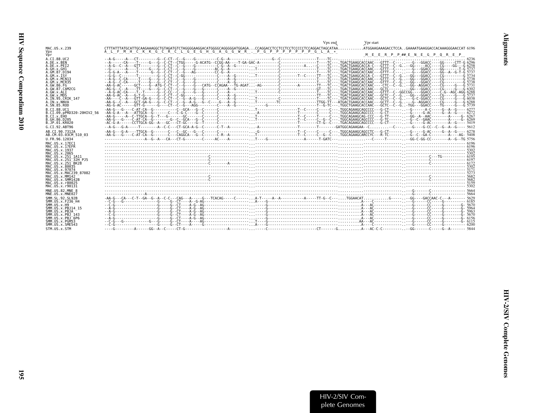<span id="page-42-0"></span>

|                                                                                                                                                                                        | Vpx end<br>Vpr start                                                                                                                                                                                                                              |
|----------------------------------------------------------------------------------------------------------------------------------------------------------------------------------------|---------------------------------------------------------------------------------------------------------------------------------------------------------------------------------------------------------------------------------------------------|
| MAC.US.x.239<br>Vpx                                                                                                                                                                    | CTTTATTTATGCATTGCAAGAAAGGCTGTAGATGTCTAGGGGAAGGACATGGGGCAGGGGGATGGAGACCAGGACCTCCTCCTCCTCCCCCCTCCAGGACTAGCATAA<br>.ATGGAAGAAAGACCTCCAGAAAATGAAGGACCACAAAGGGAACCAT 6196<br>A L F M H C K K G C R C L G E G H G A G G W R . P G P P P P P P P G L A * |
| Vnr                                                                                                                                                                                    | MEERPP##ENEGPOREP                                                                                                                                                                                                                                 |
| A.CI.88.UC2<br>A.DE.x.BEN<br>A.DE.X.PEI2<br>A.GH.x.GH1<br>A.GM.87.D194<br>A.GM.X.ISY<br>A.GM.x.MCN13<br>A. GM. x. MCR35<br>A.GW.86.FG<br>A.GW.87.CAM2CG<br>A.GW.x.ALI                  |                                                                                                                                                                                                                                                   |
| A.GW.x.MDS<br>A.IN.95.CRIK 147<br>A.IN.x.NNVA<br>A.SN.85.ROD                                                                                                                           |                                                                                                                                                                                                                                                   |
| B.CI.88.UC1<br>B.CI.09.pPRD320-20HIV2 56<br>B.CT.x.EHO<br>B.GH.86.D205<br>B.JP.01.KR020                                                                                                |                                                                                                                                                                                                                                                   |
| G.CI.92.ABT96                                                                                                                                                                          |                                                                                                                                                                                                                                                   |
| AB.CT.90.7312A<br>AB.CM.03.03CM 510 03                                                                                                                                                 |                                                                                                                                                                                                                                                   |
| U.FR.96.12034                                                                                                                                                                          |                                                                                                                                                                                                                                                   |
| MAC.US.x.17EC1<br>MAC.US.x.17EFR<br>MAC.US.x.1937<br>MAC. US. x. 2065<br>MAC.US.x.251 1A11<br>MAC. US. x. 251 <sup>-32H</sup> P.15<br>MAC.US.x.251 <sup>-</sup> BK28<br>MAC.US.x.80035 |                                                                                                                                                                                                                                                   |
| MAC.US.x.97074                                                                                                                                                                         |                                                                                                                                                                                                                                                   |
| MAC.US.x.MAC239 87082<br>MAC.US.x.MM142<br>MAC.US.x.SMM142B<br>MAC.US.x.r80025<br>MAC.US.x.r90131                                                                                      |                                                                                                                                                                                                                                                   |
| MNE.US.82.MNE 8<br>MNE.US.x.MNE027                                                                                                                                                     |                                                                                                                                                                                                                                                   |
| SMM. SL. 92. SL92B<br>SMM.US.x.F236 H4<br>SMM. US. x.H9<br>SMM. US. x. PBJ14 15<br>SMM.US.x.PBJA                                                                                       |                                                                                                                                                                                                                                                   |
| SMM.US.x.PBJ 143<br>$SMM. US. x. PBJ-6P6$<br>SMM.US.x.PGM53<br>SMM. US. x. SME543                                                                                                      |                                                                                                                                                                                                                                                   |
| STM.US.x.STM                                                                                                                                                                           |                                                                                                                                                                                                                                                   |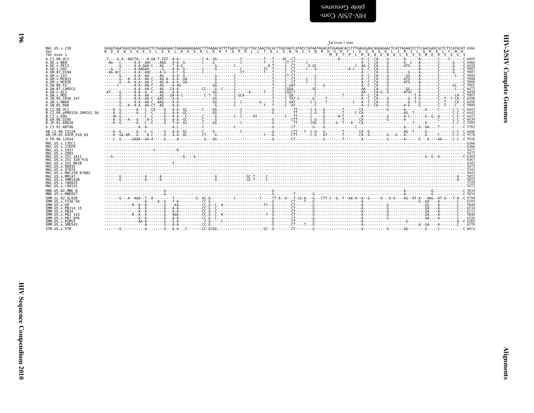|                                               | Tat exon 1 start                                                                                                                                                                                                                                                                                          |
|-----------------------------------------------|-----------------------------------------------------------------------------------------------------------------------------------------------------------------------------------------------------------------------------------------------------------------------------------------------------------|
| MAC.US.x.239                                  | GGGATGAATGGGTAGTGGAGGTTCTGGAAGAACTGAAAGAAGCAGCCTTTAAAACATTTTGATCCTCGCTTGCTAACTGCACTTGGTAATCATATCTATAATAGACATGGAGACACCCCTTGAGGGAGCAGCAGCAGCACTCATTAGAATCCTCCCAACGAGCCCTTTCATGCAT 6366<br>W D E W V V E V L E E L K E E A L K H F D P R L L T A L G N H I Y N R H G D T L E G A G E L I R I L O R A L F M H |
| Vpr<br>Tat exon 1                             | M E T P L R E O E N S L E S S N E R S S C I                                                                                                                                                                                                                                                               |
| A.CT.88.UC2<br>A.DE.X.BEN                     |                                                                                                                                                                                                                                                                                                           |
| A.DE.x.PEI2                                   |                                                                                                                                                                                                                                                                                                           |
| A.GH.X.GH1<br>A.GM.87.D194                    |                                                                                                                                                                                                                                                                                                           |
| A.GM.x.ISY                                    |                                                                                                                                                                                                                                                                                                           |
| A.GM.x.MCN13<br>A.GM.x.MCR35                  |                                                                                                                                                                                                                                                                                                           |
| A.GW.86.FG<br>A. GW. 87. CAM2CG               |                                                                                                                                                                                                                                                                                                           |
| A.GW.x.ALI                                    |                                                                                                                                                                                                                                                                                                           |
| A.GW.x.MDS<br>A.IN.95.CRIK 147                |                                                                                                                                                                                                                                                                                                           |
| A.IN.x.NNVA<br>A.SN.85.ROD                    |                                                                                                                                                                                                                                                                                                           |
| B.CI.88.UC1                                   |                                                                                                                                                                                                                                                                                                           |
| B.CI.09.pPRD320-20HIV2 56<br>B.CI.x.EHO       |                                                                                                                                                                                                                                                                                                           |
| B. GH. 86. D205                               |                                                                                                                                                                                                                                                                                                           |
| B.JP.01.KR020<br>G.CI.92.ABT96                |                                                                                                                                                                                                                                                                                                           |
| AB.CI.90.7312A                                |                                                                                                                                                                                                                                                                                                           |
| AB.CM.03.03CM 510 03                          |                                                                                                                                                                                                                                                                                                           |
| U.FR.96.12034<br>MAC.US.x.17EC1               |                                                                                                                                                                                                                                                                                                           |
| MAC.US.x.17EFR                                |                                                                                                                                                                                                                                                                                                           |
| MAC. US. x. 1937<br>MAC.US.x.2065             |                                                                                                                                                                                                                                                                                                           |
| MAC.US.x.251 1A11<br>MAC.US.x.251 32H PJ5     |                                                                                                                                                                                                                                                                                                           |
| MAC.US.x.251 <sup>-</sup> BK28                |                                                                                                                                                                                                                                                                                                           |
| MAC.US.x.80035<br>MAC. US. x. 97074           |                                                                                                                                                                                                                                                                                                           |
| MAC.US.x.MAC239 87082<br>MAC.US.x.MM142       |                                                                                                                                                                                                                                                                                                           |
| MAC.US.x.SMM142B                              |                                                                                                                                                                                                                                                                                                           |
| MAC.US.x.r80025<br>MAC.US.x.r90131            |                                                                                                                                                                                                                                                                                                           |
| MNE.US.82.MNE 8                               |                                                                                                                                                                                                                                                                                                           |
| MNE.US.x.MNE027<br>SMM. SL. 92. SL92B         |                                                                                                                                                                                                                                                                                                           |
| SMM.US.x.F236 H4                              |                                                                                                                                                                                                                                                                                                           |
| $SMM.$ US $\times$ H9<br>SMM. US. x. PBJ14 15 |                                                                                                                                                                                                                                                                                                           |
| SMM.US.x.PBJA<br>SMM. US. x. PBJ 143          |                                                                                                                                                                                                                                                                                                           |
| SMM.US.x.PBJ 6P6                              |                                                                                                                                                                                                                                                                                                           |
| SMM.US.x.PGM53<br>SMM.US.x.SME543             |                                                                                                                                                                                                                                                                                                           |
| STM IIS Y STM                                 |                                                                                                                                                                                                                                                                                                           |

<span id="page-43-0"></span>**961**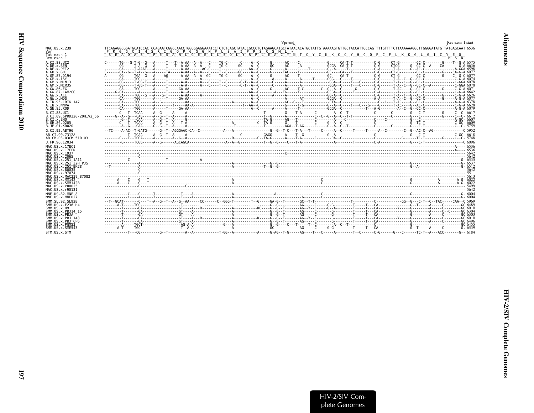<span id="page-44-0"></span>

|                                                      | Vpr end                                                                                                                                                                                                                                                                        | Rev exon 1 start |
|------------------------------------------------------|--------------------------------------------------------------------------------------------------------------------------------------------------------------------------------------------------------------------------------------------------------------------------------|------------------|
| MAC.US.x.239<br>Vpr                                  | TTCAGAGGCGGATGCATCCACTCCAGAATCGGCCAACCTGGGGGAGGAAATCCTCTCTCAGCTATACCGCCCTCTAGAAGCATGCTATAACACATGCTATTGTAAAAAGTGTTGCCACTTTGCCAGTTTTGTTTATGTAAAAAAGGCTTGGGGATATGTTATGAGCAAT 6536<br>FRGCIHSRIGO PGGGGRPLSAIPPSRSML*<br>SEADASTPESAN LGEETLSOLYRPLEACYNTCYCKKCCYHCOFCFLKKGLGICYEO |                  |
| Tat exon 1<br>Rev exon 1                             |                                                                                                                                                                                                                                                                                | $M - S - N$      |
| A.CI.88.UC2<br>A.DE.x.BEN                            |                                                                                                                                                                                                                                                                                |                  |
| A.DE.X.PEI2<br>A.GH.x.GH1                            |                                                                                                                                                                                                                                                                                |                  |
| A.GM.87.D194<br>A.GM.X.ISY                           |                                                                                                                                                                                                                                                                                |                  |
| A.GM.X.MCN13<br>A.GM.x.MCR35                         |                                                                                                                                                                                                                                                                                |                  |
| A.GW.86.FG<br>A. GW. 87. CAM2CG                      |                                                                                                                                                                                                                                                                                |                  |
| A.GW.x.ALT<br>A.GW.x.MDS                             |                                                                                                                                                                                                                                                                                |                  |
| A.IN.95.CRIK 147<br>A.IN.x.NNVA                      |                                                                                                                                                                                                                                                                                |                  |
| A.SN.85.ROD<br>B.CT.88.UC1                           |                                                                                                                                                                                                                                                                                |                  |
| B.CI.09.pPRD320-20HIV2 56<br>B.CT.x.EHO              |                                                                                                                                                                                                                                                                                |                  |
| B.GH.86.D205<br>B.JP.01.KR020                        |                                                                                                                                                                                                                                                                                |                  |
| G.CI.92.ABT96<br>AB.CI.90.7312A                      |                                                                                                                                                                                                                                                                                |                  |
| AB.CM.03.03CM 510 03                                 |                                                                                                                                                                                                                                                                                |                  |
| U.FR.96.12034<br>MAC.US.x.17EC1                      |                                                                                                                                                                                                                                                                                |                  |
| MAC.US.x.17EFR<br>MAC.US.x.1937                      |                                                                                                                                                                                                                                                                                |                  |
| MAC.US.x.2065<br>MAC.US.x.251 1A11                   |                                                                                                                                                                                                                                                                                |                  |
| MAC.US.x.251 32H PJ5<br>MAC. US. x. 251 BK28         |                                                                                                                                                                                                                                                                                |                  |
| MAC.US.x.80035<br>MAC.US.x.97074                     |                                                                                                                                                                                                                                                                                |                  |
| MAC.US.x.MAC239 87082<br>MAC.US.x.MM142              |                                                                                                                                                                                                                                                                                |                  |
| MAC.US.x.SMM142B<br>MAC.US.x.r80025                  |                                                                                                                                                                                                                                                                                |                  |
| MAC.US.x.r90131<br>MNE.US.82.MNE 8                   |                                                                                                                                                                                                                                                                                |                  |
| MNE.US.x.MNE027<br>SMM. SL. 92. SL92B                |                                                                                                                                                                                                                                                                                |                  |
| SMM. US. x. F236 H4<br>SMM.US.x.H9                   |                                                                                                                                                                                                                                                                                |                  |
| SMM. US. x. PBJ14 15<br>SMM.US.x.PBJA                |                                                                                                                                                                                                                                                                                |                  |
| SMM. U.S. x. PB.1 143<br>SMM.US.x.PBJ <sup>6P6</sup> |                                                                                                                                                                                                                                                                                |                  |
| SMM.US.x.PGM53<br>SMM.US.x.SME543                    | e 1258 ) مستحدث المستحدث المستحدث المستحدث المستحدث المستحدث المستحدث المستحدث المستحدث المستحدث المستحدث المس<br>2058 ) وستحدث المستحدث المستحدث المستحدث المستحدث المستحدث المستحدث المستحدث المستحدث المستحدث المستحدث المستح                                               |                  |
| STM.US.x.STM                                         |                                                                                                                                                                                                                                                                                |                  |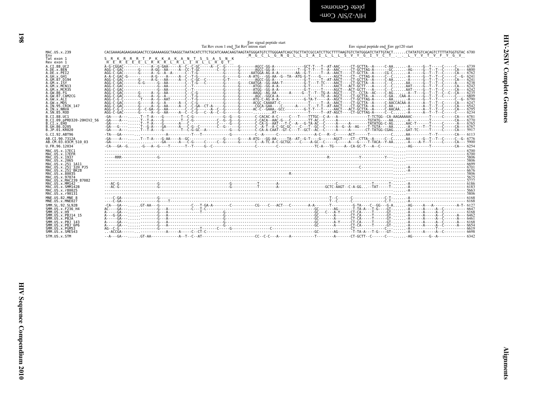<span id="page-45-0"></span>blete Genomes<br>HIV-2/SIV Com-

| $\mathbf{0}$             |  |  |  |
|--------------------------|--|--|--|
| $\overline{\phantom{a}}$ |  |  |  |

|                                                                                                                                                                                                                                                                                                                                                                        |                                           | Env signal peptide start<br>Tat Rev exon 1 end Tat Rev intron start | Env signal peptide end_Env gp120 start |
|------------------------------------------------------------------------------------------------------------------------------------------------------------------------------------------------------------------------------------------------------------------------------------------------------------------------------------------------------------------------|-------------------------------------------|---------------------------------------------------------------------|----------------------------------------|
| MAC.US.x.239                                                                                                                                                                                                                                                                                                                                                           |                                           |                                                                     |                                        |
| Env<br>Tat exon 1<br>Rev exon 1<br>A.CI.88.UC2<br>A.DE.x.BEN<br>A.DE.x.PEI2<br>A.GH.x.GH1<br>A.GM.87.D194<br>$A.GM.x.$ ISY<br>A.GM.x.MCN13<br>A.GM.x.MCR35<br>A.GW.86.FG<br>A.GW.87.CAM2CG<br>A.GW.x.ALI<br>A.GW.x.MDS<br>A. IN. 95. CRIK 147<br>A.IN.x.NNVA<br>A.SN.85.ROD<br>B.CT.88.UC1<br>B.CI.09.pPRD320-20HIV2 56<br>B.CI.X.EHO<br>B.GH.86.D205<br>B.JP.01.KR020 | S R K R R R T P K K A K A N T S S A S N K |                                                                     |                                        |
| G.CI.92.ABT96<br>AB.CI.90.7312A                                                                                                                                                                                                                                                                                                                                        |                                           |                                                                     |                                        |
| AB.CM.03.03CM 510 03                                                                                                                                                                                                                                                                                                                                                   |                                           |                                                                     |                                        |
| U.FR.96.12034<br>MAC. US. x. 17EC1<br>MAC.US.x.17EFR<br>MAC.US.x.1937<br>MAC.US.x.2065<br>MAC.US.x.251 1A11<br>MAC.US.x.251 32H PJ5<br>MAC.US.x.251 <sup>-</sup> BK28<br>MAC.US.x.80035<br>MAC.US.x.97074                                                                                                                                                              |                                           |                                                                     |                                        |
| MAC.US.x.MAC239 87082<br>MAC.US.x.MM142<br>MAC.US.x.SMM142B<br>MAC.US.x.r80025<br>MAC.US.x.r90131                                                                                                                                                                                                                                                                      |                                           |                                                                     | $AC-G$<br>$AC-G$                       |
| MNE.US.82.MNE 8<br>MNE.US.x.MNE027                                                                                                                                                                                                                                                                                                                                     |                                           |                                                                     |                                        |
| SMM. SL. 92. SL92B<br>SMM. US. x. F236 H4<br>SMM. US. x.H9<br>SMM.US.x.PBJ14 15<br>SMM.US.x.PBJA<br>SMM.US.x.PBJ 143<br>SMM. US. x. PBJ 6P6<br>SMM.US.x.PGM53<br>SMM. US. x. SME543                                                                                                                                                                                    |                                           |                                                                     |                                        |
| STM.US.x.STM                                                                                                                                                                                                                                                                                                                                                           |                                           |                                                                     |                                        |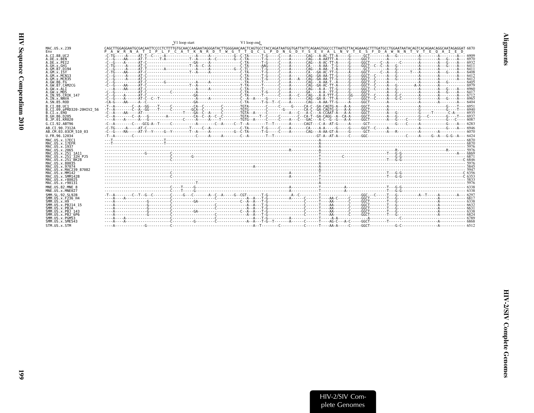<span id="page-46-0"></span>

|                                                | V1 loop end<br>V1 loop start                                                                                                                                                                                                                                                                                                                             |  |
|------------------------------------------------|----------------------------------------------------------------------------------------------------------------------------------------------------------------------------------------------------------------------------------------------------------------------------------------------------------------------------------------------------------|--|
| MAC.US.x.239<br>Env                            | CAGCTTGGAGGAATGCGACAATTCCCCTCTTTTGTGCAACCAAGAATAGGGATACTTGGGGAACAACTCAGTCCCTACCAGATAATGGTGATTATTCAGAAGTGGCCCTTAATGTTACAGAAAGCTTTGATGCCTGGAATAATACAGTCACAGAACAGGCAATAGGGGAATAGGGGAATAGTCCCTCGFACAGAACAGGCAATAGGGGAATAGGGGAATAGG<br>T I P L F C A T K N R D T W G T T O C L P D N G D Y S E V A L N V T E S F D A W N N T V T E O A I E<br>P A<br>WRN<br>A |  |
| A.CI.88.UC2                                    |                                                                                                                                                                                                                                                                                                                                                          |  |
| A.DE.x.BEN<br>A.DE.x.PEI2                      |                                                                                                                                                                                                                                                                                                                                                          |  |
| A.GH.x.GH1                                     |                                                                                                                                                                                                                                                                                                                                                          |  |
| A.GM.87.D194<br>A.GM.X.ISY                     |                                                                                                                                                                                                                                                                                                                                                          |  |
| A.GM.x.MCN13                                   |                                                                                                                                                                                                                                                                                                                                                          |  |
| A.GM.x.MCR35<br>A. GW. 86. FG                  |                                                                                                                                                                                                                                                                                                                                                          |  |
| A.GW.87.CAM2CG                                 |                                                                                                                                                                                                                                                                                                                                                          |  |
| A.GW.x.ALT                                     |                                                                                                                                                                                                                                                                                                                                                          |  |
| A.GW.x.MDS<br>A.IN.95.CRIK 147                 |                                                                                                                                                                                                                                                                                                                                                          |  |
| A.IN.x.NNVA                                    |                                                                                                                                                                                                                                                                                                                                                          |  |
| A.SN.85.ROD                                    |                                                                                                                                                                                                                                                                                                                                                          |  |
| B.CT.88.UC1<br>B.CI.09.pPRD320-20HIV2 56       |                                                                                                                                                                                                                                                                                                                                                          |  |
| B.CI.x.EHO                                     |                                                                                                                                                                                                                                                                                                                                                          |  |
| B.GH.86.D205<br>B.JP.01.KR020                  |                                                                                                                                                                                                                                                                                                                                                          |  |
| G.CI.92.ABT96                                  |                                                                                                                                                                                                                                                                                                                                                          |  |
| AB.CI.90.7312A<br>AB.CM.03.03CM 510 03         |                                                                                                                                                                                                                                                                                                                                                          |  |
| U.FR.96.12034                                  |                                                                                                                                                                                                                                                                                                                                                          |  |
| MAC. US. x. 17EC1                              |                                                                                                                                                                                                                                                                                                                                                          |  |
| MAC.US.x.17EFR                                 |                                                                                                                                                                                                                                                                                                                                                          |  |
| MAC.US.x.1937<br>MAC.US.x.2065                 |                                                                                                                                                                                                                                                                                                                                                          |  |
| MAC.US.x.251 1A11                              |                                                                                                                                                                                                                                                                                                                                                          |  |
| MAC.US.x.251 32H PJ5<br>MAC. US. x. 251 BK28   |                                                                                                                                                                                                                                                                                                                                                          |  |
| MAC.US.x.80035                                 |                                                                                                                                                                                                                                                                                                                                                          |  |
| MAC. US. x. 97074<br>MAC. U.S. x. MAC239 87082 |                                                                                                                                                                                                                                                                                                                                                          |  |
| MAC.US.x.MM142                                 |                                                                                                                                                                                                                                                                                                                                                          |  |
| MAC.US.x.SMM142B<br>MAC.US.x.r80025            |                                                                                                                                                                                                                                                                                                                                                          |  |
| MAC.US.x.r90131                                |                                                                                                                                                                                                                                                                                                                                                          |  |
| MNE.US.82.MNE 8                                |                                                                                                                                                                                                                                                                                                                                                          |  |
| MNE.US.x.MNE027                                |                                                                                                                                                                                                                                                                                                                                                          |  |
| SMM. SL. 92. SL92B<br>SMM. US. x. F236 H4      |                                                                                                                                                                                                                                                                                                                                                          |  |
| SMM. US. x.H9                                  |                                                                                                                                                                                                                                                                                                                                                          |  |
| SMM. US. x. PBJ14 15<br>SMM.US.x.PBJA          | -----A-                                                                                                                                                                                                                                                                                                                                                  |  |
| SMM. U.S. x. PBJ 143                           |                                                                                                                                                                                                                                                                                                                                                          |  |
| SMM.US.x.PBJ <sup>6P6</sup><br>SMM.US.x.PGM53  |                                                                                                                                                                                                                                                                                                                                                          |  |
| SMM.US.x.SME543                                |                                                                                                                                                                                                                                                                                                                                                          |  |
| STM.US.x.STM                                   |                                                                                                                                                                                                                                                                                                                                                          |  |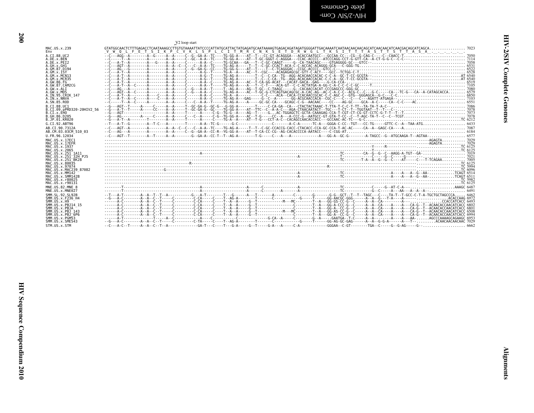| ֧֧֧֧֧֧֧֧֧֧֦֧֦֧֧֧֦֧֧֧֓֓֝֬֝֓֝֬֝֬֓֝֬֓֝֬֓֬֓֝֬֝֬֓֓֓֓<br>֧֪֧֧֧֪֧֧֧֖֧֖֖֧֚֚֚֚֚֚֝֝֬֝֬֝֬֝֬֝֬֝֬֝֬֝ |
|-----------------------------------------------------------------------------------------|
| ١<br>ì                                                                                  |
|                                                                                         |
| ź<br>٢                                                                                  |
|                                                                                         |
| ì                                                                                       |
|                                                                                         |

<span id="page-47-0"></span>

| plete Genomes  |  |
|----------------|--|
| -WOO AIS/Z-AIH |  |

|                                                                                                                                                                                                                                                                                                  |  | V2 loop start |                                                                                                                                                                                                                                                                                                                                  |  |  | ত         |
|--------------------------------------------------------------------------------------------------------------------------------------------------------------------------------------------------------------------------------------------------------------------------------------------------|--|---------------|----------------------------------------------------------------------------------------------------------------------------------------------------------------------------------------------------------------------------------------------------------------------------------------------------------------------------------|--|--|-----------|
|                                                                                                                                                                                                                                                                                                  |  |               |                                                                                                                                                                                                                                                                                                                                  |  |  | Complete  |
| B.CI.09.pPRD320-20HIV2_56<br>B.CI.x.EHO__<br>AB.CM.03.03CM 510 03                                                                                                                                                                                                                                |  |               |                                                                                                                                                                                                                                                                                                                                  |  |  | Genomes   |
| MAC.US.x.17EFT<br>MAC.US.x.17EFT<br>MAC.US.x.2065<br>MAC.US.x.251 1A11<br>MAC.US.x.251 1A11<br>MAC.US.x.251 3EX28<br>MAC.US.x.251 3EX28<br>MAC.US.x.251 3EX28<br>MAC.US.x.80935<br>MAC.US.x.MAC239 87082                                                                                         |  |               |                                                                                                                                                                                                                                                                                                                                  |  |  |           |
| MAC.US.x.SMM142B<br>MAC.US.x.r80025<br>MAC.US.x.r90131<br>MNE.US.82.MNE 8<br>MNE.US.x.MNE027<br>SMM. SL. 92. SL92B                                                                                                                                                                               |  |               |                                                                                                                                                                                                                                                                                                                                  |  |  |           |
| SMM . SL . 92 . SL 928<br>SMM . US . x . F236 – H4<br>SMM . US . x . H9<br>SMM . US . x . PB314 – 15<br>SMM . US . x . PB34<br>SMM . US . x . PB3 – 143<br>SMM . US . x . PB3 – 6P6<br>SMM . US . x . PB3 – 6P6<br>SMM . US . x . PB3 – 6P6<br>SMM.US.x.PGM53<br>SMM.US.x.SME543<br>STM.US.x.STM |  |               | $A = \begin{bmatrix} 1 & 0 & 0 & 0 \\ 0 & 0 & 0 & 0 \\ 0 & 0 & 0 & 0 \\ 0 & 0 & 0 & 0 \\ 0 & 0 & 0 & 0 \\ 0 & 0 & 0 & 0 \\ 0 & 0 & 0 & 0 \\ 0 & 0 & 0 & 0 \\ 0 & 0 & 0 & 0 \\ 0 & 0 & 0 & 0 \\ 0 & 0 & 0 & 0 \\ 0 & 0 & 0 & 0 \\ 0 & 0 & 0 & 0 \\ 0 & 0 & 0 & 0 \\ 0 & 0 & 0 & 0 \\ 0 & 0 & 0 & 0 \\ 0 & 0 & 0 & 0 \\ 0 & 0 & 0$ |  |  |           |
|                                                                                                                                                                                                                                                                                                  |  |               |                                                                                                                                                                                                                                                                                                                                  |  |  |           |
|                                                                                                                                                                                                                                                                                                  |  |               |                                                                                                                                                                                                                                                                                                                                  |  |  |           |
|                                                                                                                                                                                                                                                                                                  |  |               |                                                                                                                                                                                                                                                                                                                                  |  |  |           |
|                                                                                                                                                                                                                                                                                                  |  |               |                                                                                                                                                                                                                                                                                                                                  |  |  |           |
|                                                                                                                                                                                                                                                                                                  |  |               |                                                                                                                                                                                                                                                                                                                                  |  |  | lignments |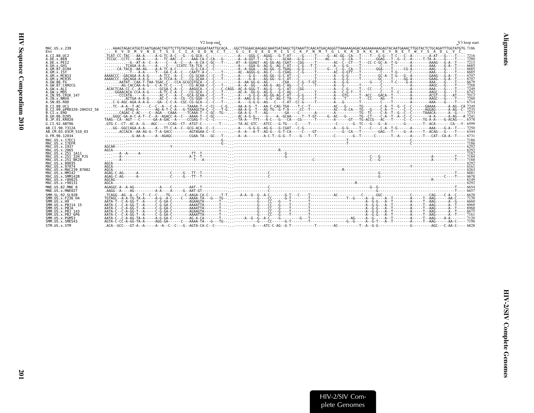<span id="page-48-0"></span>

|                                                                                                                                                                                                                                    | V <sub>2</sub> loop end                                                                                                                                                                                                                                                                                                                                                                                                                                                                          | V3 loop start |
|------------------------------------------------------------------------------------------------------------------------------------------------------------------------------------------------------------------------------------|--------------------------------------------------------------------------------------------------------------------------------------------------------------------------------------------------------------------------------------------------------------------------------------------------------------------------------------------------------------------------------------------------------------------------------------------------------------------------------------------------|---------------|
| MAC.US.x.239<br>Env                                                                                                                                                                                                                | AAAGTAGACATGAATGAATGAGATATTCTTGTATAGCCCAGGATAATTGCACAGGCTTGGAACAAGAGAAATGATAAGCTGTAAATTCAACATGACAGGGTTAAAAAGAGAGAAAAAGAGAGTACAATGAAACTTGGTACCAGATTTGGTATGTG 7186<br>. K V D M V N E T S S C I A Q D N C T . G L E Q E Q M I S C K F N M T G L K R D K K K E Y N E T W Y S A D L V C                                                                                                                                                                                                              |               |
| A.CI.88.UC2<br>A.DE.x.BEN<br>A.DE.x.PEI2<br>A.GH.x.GH1<br>A.GM.87.D194<br>A.GM.X.ISY<br>A.GM.X.MCN13<br>A.GM.x.MCR35<br>A.GW.86.FG<br>A.GW.87.CAM2CG<br>A.GW.x.ALI<br>A.GW.x.MDS<br>A.IN.95.CRIK 147<br>A.IN.x.NNVA<br>A.SN.85.ROD | G--AT-A--C--A---C---A--C---A--A-CA-C-GC---T-----A-A-GGAGT--AG-GG-AG-CGAT---CGG----T-----C--CT---T---CC-C-GC-A--T-G-----A-------AAAG---G-A--T----- 7213<br>AAAACCC--GACAGA-A-A-G-----A-TCC--A--C---CG-GCAA-C--C---T------A---G-GC--G-G---AG-GG--G-C-AT---C----T-----T---------A---G--G---T-----G-C-A--T-------GAAG---G-A--T----- 6707                                                                                                                                                             |               |
| B.CT.88.UC1<br>B.CI.09.pPRD320-20HIV2 56<br>B.CI.x.EHO<br>B.GH.86.D205<br>B.JP.01.KR020<br>G.CT.92.ABT96<br>AB.CI.90.7312A<br>AB.CM.03.03CM 510 03<br>U.FR.96.12034                                                                | TC--A-A--T-AC----C--C--A---C-A----TAAAA-T--C-CC---C-G--AA-A-G--T---AA-C-CAG-TGA----T-C--T---------AC--GG------C-A---T--G--C--C--C--C-----GAAAA------A-AG--CA 7249<br>ATAG-A--------AG-A-T-C-A---G-TAAAGCTA-C--C---T-G--AA-A-G--T---AG-TG--G-T-A----CC--T---------AC---G-CA--TG---G-A--T----G--A-A-G--C-- 7235<br>1.1.1.1<br>G-AA-A-----A--AGAGC--------CGAA-TA---GC---T----A--A---------A-C-T--G---T---G---T---T-----C-----G---T----C-----C---T---C------C----T---A----T---CAT--CA-A--T---- 6731 |               |
| MAC.US.x.17EC1<br>MAC.US.x.17EFR<br>MAC.US.x.1937<br>MAC.US.x.2065<br>MAC.US.x.251 1A11<br>MAC.US.x.251 32H PJ5<br>MAC.US.x.251 BK28<br>MAC. US. x.80035<br>MAC. US. x. 97074<br>MAC.US.x.MAC239 87082                             |                                                                                                                                                                                                                                                                                                                                                                                                                                                                                                  |               |
| MAC.US.x.MM142<br>MAC.US.x.SMM142B<br>MAC.US.x.r80025<br>MAC.US.x.r90131<br>MNE.US.82.MNE 8                                                                                                                                        |                                                                                                                                                                                                                                                                                                                                                                                                                                                                                                  |               |
| MNE.US.x.MNE027<br>SMM. SL. 92. SL92B<br>SMM. US. x. F236 H4<br>SMM.US.x.H9<br>SMM. US. x. PBJ14 15<br>SMM.US.x.PBJA<br>SMM.US.x.PBJ 143<br>SMM.US.x.PBJ <sup>-6P6</sup><br>SMM.US.x.PGM53<br>SMM.US.x.SME543<br>STM.US.x.STM      |                                                                                                                                                                                                                                                                                                                                                                                                                                                                                                  |               |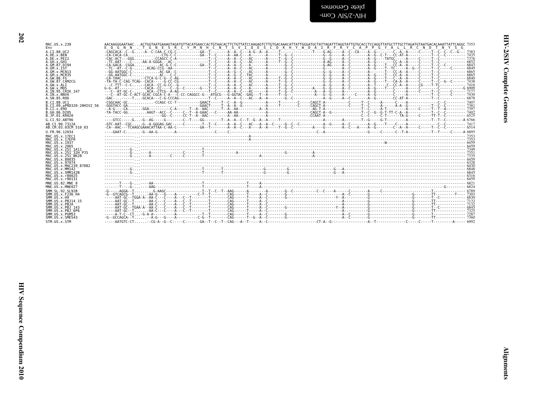| <b>TOT</b>            |  |
|-----------------------|--|
| へんこうこう                |  |
| ì<br>ì<br>ĭ<br>i<br>F |  |

| plete Cenomes<br>$-W2$ AIS/7-AIH                                                                                                                                                                                                                                                                              |          |
|---------------------------------------------------------------------------------------------------------------------------------------------------------------------------------------------------------------------------------------------------------------------------------------------------------------|----------|
|                                                                                                                                                                                                                                                                                                               |          |
| AACAAGGGAATAACACTGGTAATGAAAGTAGATGTTACATGAACCACTGTAACACTTCTGTTATCCAAGAGTCTTGTGAACAATATATGGATGCTATTAGATTTAGGTATTGCGACCTCCAGGTTATGCTTTGCTTATGATGTAATGACACAAATTATTCAGGC 7353<br>E O G N N . T G N E S R C Y M N H C N T S V I O E S C D K H Y W D A I R F R Y C A P P G Y A L L R C N D T N Y S G<br>- CA-TAAC . |          |
|                                                                                                                                                                                                                                                                                                               |          |
|                                                                                                                                                                                                                                                                                                               | $- 7353$ |
|                                                                                                                                                                                                                                                                                                               |          |

202

MAC.US.x.239

A.CI.88.UC2

A.DE.X.BEN<br>A.DE.X.PET2

A.GH.X.GH1<br>A.GM.87.D194

A.GM.X.ISY<br>A.GM.X.MCN13

A. GM. X. MCN35<br>A. GM. X. MCR35<br>A. GW. 86. FG<br>A. GW. X. ALI

A. IN. x. NNVA<br>A. SN. 85. ROD B.CI.88.UC1

B. GH. 86. D205<br>B. JP. 01. KR020

G.CI.92.ABT96

AB.CI.90.7312A

U.FR.96.12034

MAC.US.x.17EC1

MAC.US.x.17EFR<br>MAC.US.x.1937

MNE.US.82.MNE 8 MNE.US.x.MNE027 SMM. SL. 92. SL92B SMM. US. x. F236\_H4<br>SMM. US. x. H9 SMM. US. x. PBJ14\_15<br>SMM. US. x. PBJ14\_15 SMM.US.x.FBJA<br>SMM.US.x.PBJ\_143<br>SMM.US.x.PBJ<sup>-6P6</sup> SMM.US.x.PGM53<br>SMM.US.x.SME543 STM.US.x.STM

AB.CM.03.03CM 510 03

MAC.US.x.2065<br>MAC.US.x.251\_1A11<br>MAC.US.x.251\_1A11<br>MAC.US.x.251\_32H\_PJ5<br>MAC.US.x.251\_BK28 MAC.US.x.80035<br>MAC.US.x.97074 MAC.US.x.MAC239\_87082<br>MAC.US.x.MM142 MAC.US.x.SMM142B<br>MAC.US.x.r80025 MAC. US. x. r90131

A.GW.X.ALL<br>A.GW.X.MDS<br>A.IN.95.CRIK 147

B.CI.09.pPRD320-20HIV2\_56<br>B.CI.x.EHO

Env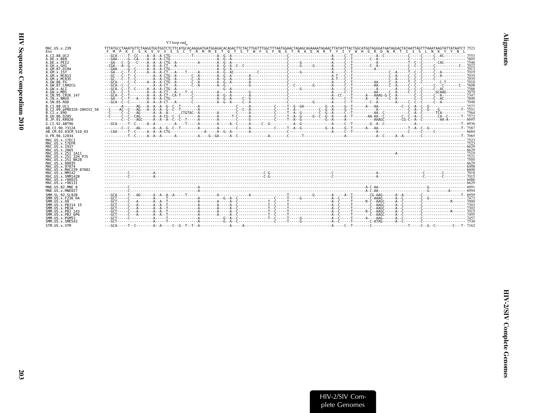<span id="page-50-0"></span>

|                                    | V3 loop end                                                                                                             |
|------------------------------------|-------------------------------------------------------------------------------------------------------------------------|
| MAC.US.x.239<br>Env                | S K V V V S S C T R M M E T O T S T W F G F N G T R A E N R T Y I Y W H G R D N R T I I S<br>F M P K C<br>L N K Y Y N L |
| A.CI.88.UC2                        |                                                                                                                         |
| A.DE.x.BEN                         |                                                                                                                         |
| A.DE.x.PET2                        | $- GA$                                                                                                                  |
| A.GH.x.GH1                         | $ CGA$                                                                                                                  |
| A.GM.87.D194                       |                                                                                                                         |
| A.GM.X.ISY<br>A.GM.x.MCN13         | $- GA$                                                                                                                  |
| A.GM.x.MCR35                       |                                                                                                                         |
| A.GW.86.FG                         |                                                                                                                         |
| A.GW.87.CAM2CG                     |                                                                                                                         |
| A.GW.x.ALT                         |                                                                                                                         |
| A.GW.x.MDS                         |                                                                                                                         |
| A. IN. 95. CRIK 147                |                                                                                                                         |
| A.IN.x.NNVA                        |                                                                                                                         |
| A.SN.85.ROD                        |                                                                                                                         |
| B.CT.88.UC1                        |                                                                                                                         |
| B.CI.09.pPRD320-20HIV2 56          |                                                                                                                         |
| B.CT.x.EHO                         |                                                                                                                         |
| B. GH. 86. D205<br>B.JP.01.KR020   |                                                                                                                         |
| G.CI.92.ABT96                      |                                                                                                                         |
| AB.CI.90.7312A                     |                                                                                                                         |
| AB.CM.03.03CM 510 03               |                                                                                                                         |
| U.FR.96.12034                      |                                                                                                                         |
| MAC. US. x. 17EC1                  |                                                                                                                         |
| MAC.US.x.17EFR                     |                                                                                                                         |
| MAC. US. x. 1937                   |                                                                                                                         |
| MAC. US. x. 2065                   |                                                                                                                         |
| MAC. US. x. 251 1A11               |                                                                                                                         |
| MAC.US.x.251 32H PJ5               |                                                                                                                         |
| MAC.US.x.251 BK28                  |                                                                                                                         |
| MAC.US.x.80035                     |                                                                                                                         |
| MAC. U.S. x. 97074                 |                                                                                                                         |
| MAC.US.x.MAC239 87082              |                                                                                                                         |
| MAC.US.x.MM142                     |                                                                                                                         |
| MAC. US. x. SMM142B                |                                                                                                                         |
| MAC.US.x.r80025                    |                                                                                                                         |
| MAC.US.x.r90131                    |                                                                                                                         |
| MNE.US.82.MNE 8<br>MNE.US.x.MNE027 |                                                                                                                         |
| SMM. SL. 92. SL92B                 |                                                                                                                         |
| SMM.US.x.F236 H4                   |                                                                                                                         |
| SMM. US. x. H9                     |                                                                                                                         |
| SMM.US.x.PBJ14 15                  |                                                                                                                         |
| SMM.US.x.PBJA                      |                                                                                                                         |
| SMM. US. x. PBJ 143                |                                                                                                                         |
| SMM.US.x.PBJ <sup>6P6</sup>        |                                                                                                                         |
| SMM.US.x.PGM53                     |                                                                                                                         |
| SMM.US.x.SME543                    |                                                                                                                         |
| STM.US.x.STM                       |                                                                                                                         |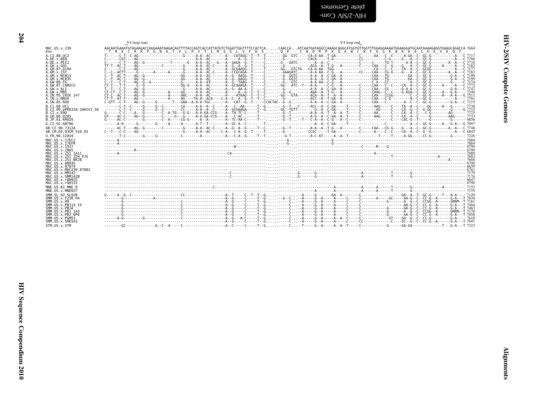<span id="page-51-0"></span>

|                                                                                                                                                                                                                                                                                                        | V4 loop start | V4 loop end                                                                                                                                                                                                                                                                                                                                                                                                                                                                                                                                                                                                                                                                                                                                                                 |
|--------------------------------------------------------------------------------------------------------------------------------------------------------------------------------------------------------------------------------------------------------------------------------------------------------|---------------|-----------------------------------------------------------------------------------------------------------------------------------------------------------------------------------------------------------------------------------------------------------------------------------------------------------------------------------------------------------------------------------------------------------------------------------------------------------------------------------------------------------------------------------------------------------------------------------------------------------------------------------------------------------------------------------------------------------------------------------------------------------------------------|
| MAC.US.x.239<br>Env                                                                                                                                                                                                                                                                                    |               | AACAATGAAATGTAGAAGACCAGGAAATAAGACAGTTTTACCAGTCACCATTATGTCTGGATTGGTTTTCCACCCACAACCAATCAATGATAGGCCAAAGGCATGGTTTTGGAGGAAAATGGAAGGATGCAATAAAAGAGGTGAAGCCAGACCA 7684<br><u>T M K C R R P G N K T V L P V T I M S G L V F H S 0 P . I N D R P K 0 A W C W F G G K W K D A I K E V K O</u>                                                                                                                                                                                                                                                                                                                                                                                                                                                                                         |
| A.CI.88.UC2<br>A.DE.x.BEN<br>A.DE.x.PEI2<br>A.GH.X.GH1<br>A.GM.87.D194<br>A.GM.x.ISY<br>A.GM.x.MCN13<br>A.GM.x.MCR35<br>A.GW.86.FG<br>A.GW.87.CAM2CG<br>A.GW.x.ALI<br>A.GW.x.MDS<br>A.IN.95.CRIK 147<br>A.IN.x.NNVA<br>A.SN.85.ROD<br>B.CI.88.UC1                                                      |               | $c_{\texttt{1},\texttt{2},\texttt{3},\texttt{3}}$ . And the set of the set of the set of the set of the set of the set of the set of the set of the set of the set of the set of the set of the set of the set of the set of the set of the set of<br>C------C-T----AG--G-------------T------G---A-A--AC---G--A--GAGA--G--T-----CG--GATC--------A-A-A-C-----------C--------TG-T-----A-A--C--GC-G--------A--A--C-7710<br>CT-CT--C-T----AG--G-----------A----GG-----A-A--AC-------A----A--G--T--T--C--G-G----AGA--A--T-G---A-----C------C----C-AGA--C--G-AGA--C--GC-G-----A---G-A---- 7240<br>$C-T-T-PA-T-T$<br>------C-T--C----G-----G--C-------CA-----A-A--C-----A--C--AA-----T--G--G--TC----ACC--A--C-GA----T---C---AAG----C---TA--A--C----GG-----A--G-----G--------- 7738 |
| B.CI.09.pPRD320-20HIV2 56<br>B.CI.X.EHO<br>B.GH.86.D205<br>B.JP.01.KR020                                                                                                                                                                                                                               |               |                                                                                                                                                                                                                                                                                                                                                                                                                                                                                                                                                                                                                                                                                                                                                                             |
| G.CI.92.ABT96<br>AB.CI.90.7312A<br>AB.CM.03.03CM 510 03<br>U.FR.96.12034                                                                                                                                                                                                                               |               |                                                                                                                                                                                                                                                                                                                                                                                                                                                                                                                                                                                                                                                                                                                                                                             |
| MAC.US.x.17EC1<br>MAC.US.x.17EFR<br>MAC.US.x.1937<br>MAC.US.x.2065<br>MAC.US.x.251 1A11<br>MAC.US.x.251 <sup>-32H</sup> PJ5<br>MAC.US.x.251 <sup>-</sup> BK28<br>MAC.US.x.80035<br>MAC.US.x.97074<br>MAC.US.x.MAC239 87082<br>MAC.US.x.MM142<br>MAC.US.x.SMM142B<br>MAC.US.x.r80025<br>MAC.US.x.r90131 |               |                                                                                                                                                                                                                                                                                                                                                                                                                                                                                                                                                                                                                                                                                                                                                                             |
| MNE.US.82.MNE 8<br>MNE.US.x.MNE027                                                                                                                                                                                                                                                                     |               |                                                                                                                                                                                                                                                                                                                                                                                                                                                                                                                                                                                                                                                                                                                                                                             |
| SMM. SL. 92. SL92B<br>SMM.US.x.F236 H4<br>SMM.US.x.H9<br>SMM.US.x.PBJ14 15<br>SMM.US.x.PBJA<br>SMM.US.x.PBJ 143<br>SMM.US.x.PBJ <sup>-</sup> 6P6<br>SMM.US.x.PGM53<br>SMM.US.x.SME543                                                                                                                  |               |                                                                                                                                                                                                                                                                                                                                                                                                                                                                                                                                                                                                                                                                                                                                                                             |
| STM.US.x.STM                                                                                                                                                                                                                                                                                           |               |                                                                                                                                                                                                                                                                                                                                                                                                                                                                                                                                                                                                                                                                                                                                                                             |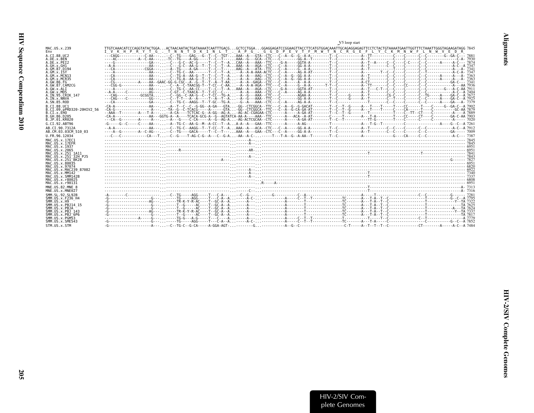<span id="page-52-0"></span>

|                                                              | V5 loop start                                                                                                     |
|--------------------------------------------------------------|-------------------------------------------------------------------------------------------------------------------|
| MAC.US.x.239                                                 |                                                                                                                   |
| Env                                                          | I V K H P R Y T G . T N N T D K I N L T . A P G . G G D P E V T F M W T N C R G E F L Y C K M N W F L N W V E D R |
| A.CI.88.UC2                                                  |                                                                                                                   |
| A.DE.x.BEN                                                   |                                                                                                                   |
| A.DE.X.PEI2                                                  |                                                                                                                   |
| A.GH.x.GH1                                                   |                                                                                                                   |
| A. GM. 87. D194                                              |                                                                                                                   |
| A.GM.x.ISY                                                   |                                                                                                                   |
| A.GM.x.MCN13<br>A.GM.x.MCR35<br>A.GW.86.FG<br>A.GW.87.CAM2CG | $---CA$                                                                                                           |
| A.GW.x.ALT                                                   |                                                                                                                   |
| A.GW.x.MDS                                                   |                                                                                                                   |
| A.IN.95.CRIK 147                                             |                                                                                                                   |
| A.IN.x.NNVA<br>A.SN.85.ROD<br>B.CT.88.UC1                    |                                                                                                                   |
| B.CI.09.pPRD320-20HIV2 56                                    |                                                                                                                   |
| B.CI.X.EHO                                                   |                                                                                                                   |
| B.GH.86.D205                                                 |                                                                                                                   |
| B.JP.01.KR020<br>G.CI.92.ABT96                               |                                                                                                                   |
| AB.CI.90.7312A                                               |                                                                                                                   |
| AB.CM.03.03CM 510 03                                         |                                                                                                                   |
| U.FR.96.12034                                                |                                                                                                                   |
| MAC.US.x.17EC1                                               |                                                                                                                   |
| MAC.US.x.17EFR                                               |                                                                                                                   |
| MAC.US.x.1937                                                |                                                                                                                   |
| MAC.US.x.2065                                                |                                                                                                                   |
| MAC.US.x.251 1A11                                            |                                                                                                                   |
| MAC.US.x.251 <sup>-</sup> 32H PJ5                            |                                                                                                                   |
| MAC.US.x.251 <sup>-</sup> BK28                               |                                                                                                                   |
| MAC.US.x.80035                                               |                                                                                                                   |
| MAC.US.x.97074                                               |                                                                                                                   |
| MAC.US.x.MAC239 87082                                        |                                                                                                                   |
| MAC. U.S. x. MM142                                           |                                                                                                                   |
| MAC.US.x.SMM142B                                             |                                                                                                                   |
| MAC.US.x.r80025                                              |                                                                                                                   |
| MAC.US.x.r90131                                              |                                                                                                                   |
| MNE.US.82.MNE 8                                              |                                                                                                                   |
| MNE.US.x.MNE027                                              |                                                                                                                   |
| SMM. SL. 92. SL92B                                           |                                                                                                                   |
| SMM. US. x. F236 H4                                          |                                                                                                                   |
| SMM. US. x.H9                                                |                                                                                                                   |
| SMM.US.x.PBJ14 15                                            |                                                                                                                   |
| SMM.US.x.PBJA                                                |                                                                                                                   |
| SMM.US.x.PBJ 143                                             |                                                                                                                   |
| SMM.US.x.PBJ 6P6                                             |                                                                                                                   |
| SMM.US.x.PGM53                                               |                                                                                                                   |
| SMM.US.x.SME543                                              |                                                                                                                   |
| STM.US.x.STM                                                 |                                                                                                                   |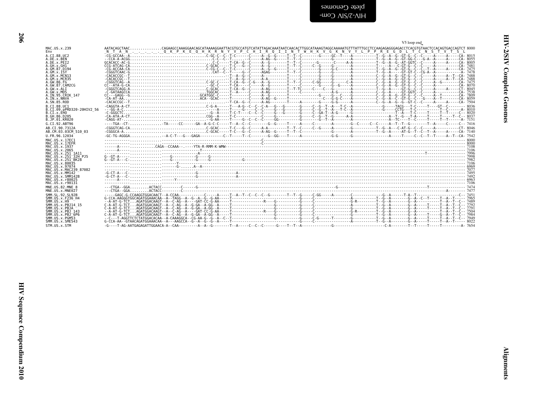<span id="page-53-0"></span>

|                                              | V5 loop end                                                                                                                                                         |
|----------------------------------------------|---------------------------------------------------------------------------------------------------------------------------------------------------------------------|
| MAC.US.x.239                                 | AATACAGCTAACCAGAAGCCAAAGGAACAGCATAAAAGGAATTACGTGCCATGTCATATTAGACAAATAATCAACACTTGGCATAAAGTAGGCAAAAATGTTTATTTGCCTCCAAGAGAGGGGAGACCTCACGTGTAACTCCACGTGTGACCAGGTCT 8000 |
| Env<br>A.CI.88.UC2                           | NTAN OKPKE OHKRNY VPCHIROIINT WHK VGKNVY LPPREGDLTCNSTVT<br>-S                                                                                                      |
| A.DE.X.BEN                                   |                                                                                                                                                                     |
| A.DE.x.PET2                                  |                                                                                                                                                                     |
| A.GH.x.GH1<br>A.GM.87.D194                   |                                                                                                                                                                     |
| A.GM.X.ISY                                   |                                                                                                                                                                     |
| A.GM.X.MCN13<br>A. GM. x. MCR35              |                                                                                                                                                                     |
| A.GW.86.FG                                   |                                                                                                                                                                     |
| A. GW. 87. CAM2CG                            |                                                                                                                                                                     |
| A.GW.x.ALI<br>A.GW.x.MDS                     |                                                                                                                                                                     |
| A.IN.95.CRIK 147                             |                                                                                                                                                                     |
| A.IN.x.NNVA                                  |                                                                                                                                                                     |
| A.SN.85.ROD                                  |                                                                                                                                                                     |
| B.CT.88.UC1<br>B.CI.09.pPRD320-20HIV2 56     |                                                                                                                                                                     |
| B.CI.X.EHO                                   |                                                                                                                                                                     |
| B.GH.86.D205<br>B.JP.01.KR020                |                                                                                                                                                                     |
| G.CI.92.ABT96                                |                                                                                                                                                                     |
| AB.CI.90.7312A                               |                                                                                                                                                                     |
| AB.CM.03.03CM 510 03                         |                                                                                                                                                                     |
| U.FR.96.12034                                |                                                                                                                                                                     |
| MAC.US.x.17EC1<br>MAC.US.x.17EFR             |                                                                                                                                                                     |
| MAC.US.x.1937                                |                                                                                                                                                                     |
| MAC.US.x.2065                                |                                                                                                                                                                     |
| MAC. US. x. 251 1A11<br>MAC.US.x.251 32H PJ5 |                                                                                                                                                                     |
| MAC.US.x.251 <sup>-</sup> BK28               |                                                                                                                                                                     |
| MAC. US. x.80035                             | <u> 106 - 117 - 118 - 118 - 118 - 118 - 118 - 118 - 118 - 118 - 118 - 118 - 118 - 118 - 118 - 118 - 118 - 118 - 1</u>                                               |
| MAC.US.x.97074<br>MAC.US.x.MAC239 87082      |                                                                                                                                                                     |
| MAC.US.x.MM142                               |                                                                                                                                                                     |
| MAC.US.x.SMM142B<br>MAC.US.x.r80025          |                                                                                                                                                                     |
| MAC.US.x.r90131                              |                                                                                                                                                                     |
| MNE.US.82.MNE 8<br>MNE.US.x.MNE027           |                                                                                                                                                                     |
| SMM. SL. 92. SL92B                           |                                                                                                                                                                     |
| SMM.US.x.F236 H4                             |                                                                                                                                                                     |
| SMM. US. x.H9                                |                                                                                                                                                                     |
| SMM. US. x. PBJ14 15<br>SMM.US.x.PBJA        |                                                                                                                                                                     |
| SMM.US.x.PBJ 143                             |                                                                                                                                                                     |
| SMM.US.x.PBJ <sup>6P6</sup>                  |                                                                                                                                                                     |
| SMM.US.x.PGM53<br>SMM.US.x.SME543            |                                                                                                                                                                     |
| STM.US.x.STM                                 |                                                                                                                                                                     |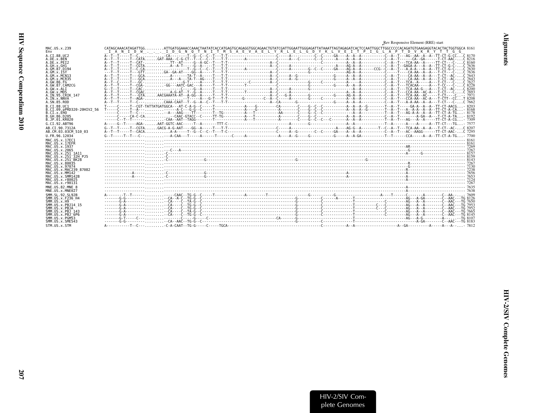<span id="page-54-0"></span>

|                                                                                         | Rev Responsive Element (RRE) start                                                                                                                                                                                                                                                                             |
|-----------------------------------------------------------------------------------------|----------------------------------------------------------------------------------------------------------------------------------------------------------------------------------------------------------------------------------------------------------------------------------------------------------------|
| MAC.US.x.239<br>Env                                                                     | $\,$ CATAGCAAACATAGATTGG $\, \ldots \, \ldots \,$ ATTGATGGAAACCAAACTAATATCACCATGAGTGCAGAGGTGGCAGAACTGTATCGATTGGAATTGGAATTATAAATTAGTAGAGATCACTCCAATTGGCCTTGGCCCCCACAGATGTGAAGAGGTACACTACTGGTGGCA 8161<br>D W I D G N O T N I T M S A E V A E L Y R L E L G D Y K L V E I T P I G L A P T D V K R Y T T G<br>IAN |
| A.CT.88.UC2                                                                             |                                                                                                                                                                                                                                                                                                                |
| A.DE.x.BEN                                                                              |                                                                                                                                                                                                                                                                                                                |
| A.DE.x.PET2                                                                             |                                                                                                                                                                                                                                                                                                                |
| A.GH.x.GH1                                                                              |                                                                                                                                                                                                                                                                                                                |
| A.GM.87.D194                                                                            |                                                                                                                                                                                                                                                                                                                |
| A.GM.X.ISY                                                                              |                                                                                                                                                                                                                                                                                                                |
| A.GM.X.MCN13                                                                            |                                                                                                                                                                                                                                                                                                                |
| A. GM. x. MCR35                                                                         |                                                                                                                                                                                                                                                                                                                |
| A.GW.86.FG                                                                              |                                                                                                                                                                                                                                                                                                                |
| A.GW.87.CAM2CG                                                                          |                                                                                                                                                                                                                                                                                                                |
| A.GW. x.ALT<br>A.GW.x.MDS<br>A.IN.95.CRIK 147<br>A.IN.x.NNVA<br>A.SN.85.ROD             |                                                                                                                                                                                                                                                                                                                |
| B.CT.88.UC1<br>B.CI.09.pPRD320-20HIV2 56<br>B.CI.X.EHO<br>B.GH.86.D205<br>B.JP.01.KR020 |                                                                                                                                                                                                                                                                                                                |
| G.CI.92.ABT96                                                                           |                                                                                                                                                                                                                                                                                                                |
| AB.CI.90.7312A                                                                          |                                                                                                                                                                                                                                                                                                                |
| AB.CM.03.03CM 510 03                                                                    |                                                                                                                                                                                                                                                                                                                |
| U.FR.96.12034                                                                           |                                                                                                                                                                                                                                                                                                                |
| MAC.US.x.17EC1<br>MAC.US.x.17EFR<br>MAC.US.x.1937<br>MAC.US.x.2065                      |                                                                                                                                                                                                                                                                                                                |
| MAC.US.x.251 1A11<br>MAC.US.x.251 32H PJ5<br>MAC. US. x. 251 BK28                       |                                                                                                                                                                                                                                                                                                                |
| MAC.US.x.80035                                                                          |                                                                                                                                                                                                                                                                                                                |
| MAC. U.S. x. 97074                                                                      |                                                                                                                                                                                                                                                                                                                |
| MAC.US.x.MAC239 87082                                                                   |                                                                                                                                                                                                                                                                                                                |
| MAC.US.x.MM142                                                                          |                                                                                                                                                                                                                                                                                                                |
| MAC.US.x.SMM142B                                                                        |                                                                                                                                                                                                                                                                                                                |
| MAC.US.x.r80025                                                                         |                                                                                                                                                                                                                                                                                                                |
| MAC.US.x.r90131                                                                         |                                                                                                                                                                                                                                                                                                                |
| MNE.US.82.MNE 8                                                                         |                                                                                                                                                                                                                                                                                                                |
| MNE.US.x.MNE027                                                                         |                                                                                                                                                                                                                                                                                                                |
| SMM.SL.92.SL92B                                                                         |                                                                                                                                                                                                                                                                                                                |
| SMM.US.x.F236 H4                                                                        |                                                                                                                                                                                                                                                                                                                |
| SMM.US.x.H9                                                                             |                                                                                                                                                                                                                                                                                                                |
| SMM. U.S. x. PB. 114 15                                                                 |                                                                                                                                                                                                                                                                                                                |
| SMM.US.x.PBJA                                                                           |                                                                                                                                                                                                                                                                                                                |
| SMM.US.x.PBJ 143                                                                        |                                                                                                                                                                                                                                                                                                                |
| SMM.US.x.PBJ 6P6                                                                        |                                                                                                                                                                                                                                                                                                                |
| SMM.US.x.PGM53                                                                          |                                                                                                                                                                                                                                                                                                                |
| SMM. U.S. x. SME543                                                                     |                                                                                                                                                                                                                                                                                                                |
| STM.US.x.STM                                                                            |                                                                                                                                                                                                                                                                                                                |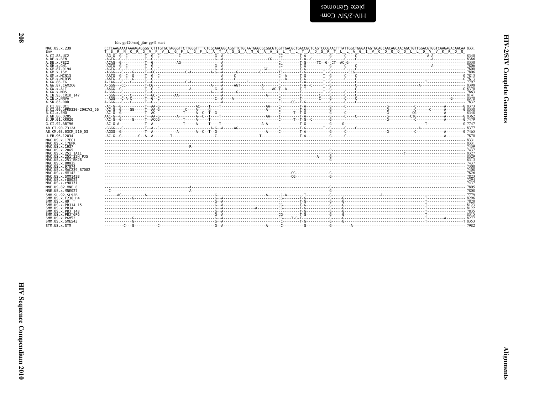| į |  |
|---|--|
| Ē |  |
| i |  |

<span id="page-55-0"></span>

| pete (ienomes  |
|----------------|
| -WOO AIS/Z-AIH |

|                                                  | Env gp120 end_Env gp41 start |                                                                                                                                                                                                                                                                                                                                                     |  |  |  |  |  |
|--------------------------------------------------|------------------------------|-----------------------------------------------------------------------------------------------------------------------------------------------------------------------------------------------------------------------------------------------------------------------------------------------------------------------------------------------------|--|--|--|--|--|
| MAC.US.x.239                                     |                              | CCTCAAGAAATAAAAGAGGGGTCTTTGTGCTAGGGTTCTTGGGTTTTCTCGCAACGGCAGGTTCTGCAATGGGCGGCGTCGTTGACCGCTGACCGCTCAGTCCCGAACTTTATTGGCTGGGATAGTGCAGCAACAGCAACAGCTGTTGGACGTGGTCAAGAGACAACAACAACAGCAACAGCAACAGCAACAGCAACAGCAACAGCAACAGCAACAGCAACA<br>T S R N K R G V F V L G F L G F L A T A G S A M G A A S L T L T A Q S R T L L A G I V Q Q Q Q Q L L D V V K R Q Q |  |  |  |  |  |
| A.CI.88.UC2<br>A.DE.x.BEN                        |                              |                                                                                                                                                                                                                                                                                                                                                     |  |  |  |  |  |
| A.DE.x.PEI2                                      |                              |                                                                                                                                                                                                                                                                                                                                                     |  |  |  |  |  |
| A.GH.x.GH1<br>A.GM.87.D194                       |                              |                                                                                                                                                                                                                                                                                                                                                     |  |  |  |  |  |
| A.GM.x.ISY<br>A.GM.x.MCN13                       |                              |                                                                                                                                                                                                                                                                                                                                                     |  |  |  |  |  |
| A.GM.x.MCR35                                     |                              |                                                                                                                                                                                                                                                                                                                                                     |  |  |  |  |  |
| A.GW.86.FG<br>A.GW.87.CAM2CG                     |                              |                                                                                                                                                                                                                                                                                                                                                     |  |  |  |  |  |
| A.GW.x.ALI<br>A.GW.x.MDS                         |                              |                                                                                                                                                                                                                                                                                                                                                     |  |  |  |  |  |
| A.IN.95.CRIK 147                                 |                              |                                                                                                                                                                                                                                                                                                                                                     |  |  |  |  |  |
| A.IN.x.NNVA<br>A.SN.85.ROD                       |                              |                                                                                                                                                                                                                                                                                                                                                     |  |  |  |  |  |
| B.CI.88.UC1                                      |                              | $AC - B - C$                                                                                                                                                                                                                                                                                                                                        |  |  |  |  |  |
| B.CI.09.pPRD320-20HIV2 56<br>B.CI.x.EHO          |                              |                                                                                                                                                                                                                                                                                                                                                     |  |  |  |  |  |
| B.GH.86.D205<br>B.JP.01.KR020                    |                              |                                                                                                                                                                                                                                                                                                                                                     |  |  |  |  |  |
| G.CI.92.ABT96                                    |                              |                                                                                                                                                                                                                                                                                                                                                     |  |  |  |  |  |
| AB.CI.90.7312A                                   |                              |                                                                                                                                                                                                                                                                                                                                                     |  |  |  |  |  |
| AB.CM.03.03CM 510 03<br>U.FR.96.12034            |                              |                                                                                                                                                                                                                                                                                                                                                     |  |  |  |  |  |
| MAC.US.x.17EC1                                   |                              |                                                                                                                                                                                                                                                                                                                                                     |  |  |  |  |  |
| MAC.US.x.17EFR<br>MAC.US.x.1937                  |                              |                                                                                                                                                                                                                                                                                                                                                     |  |  |  |  |  |
| MAC.US.x.2065<br>MAC.US.x.251 1A11               |                              |                                                                                                                                                                                                                                                                                                                                                     |  |  |  |  |  |
| MAC.US.x.251 <sup>-</sup> 32H P.15               |                              |                                                                                                                                                                                                                                                                                                                                                     |  |  |  |  |  |
| MAC.US.x.251 <sup>-</sup> BK28<br>MAC.US.x.80035 |                              |                                                                                                                                                                                                                                                                                                                                                     |  |  |  |  |  |
| MAC.US.x.97074<br>MAC.US.x.MAC239 87082          |                              |                                                                                                                                                                                                                                                                                                                                                     |  |  |  |  |  |
| MAC.US.x.MM142                                   |                              |                                                                                                                                                                                                                                                                                                                                                     |  |  |  |  |  |
| MAC.US.x.SMM142B<br>MAC.US.x.r80025              |                              |                                                                                                                                                                                                                                                                                                                                                     |  |  |  |  |  |
| MAC.US.x.r90131                                  |                              |                                                                                                                                                                                                                                                                                                                                                     |  |  |  |  |  |
| MNE.US.82.MNE 8<br>MNE.US.x.MNE027               |                              |                                                                                                                                                                                                                                                                                                                                                     |  |  |  |  |  |
| SMM.SL.92.SL92B                                  |                              |                                                                                                                                                                                                                                                                                                                                                     |  |  |  |  |  |
| SMM.US.x.F236 H4<br>SMM.US.x.H9                  |                              |                                                                                                                                                                                                                                                                                                                                                     |  |  |  |  |  |
| SMM.US.x.PBJ14 15<br>SMM.US.x.PBJA               |                              |                                                                                                                                                                                                                                                                                                                                                     |  |  |  |  |  |
| SMM.US.x.PBJ 143                                 |                              |                                                                                                                                                                                                                                                                                                                                                     |  |  |  |  |  |
| SMM.US.x.PBJ <sup>-</sup> 6P6<br>SMM.US.x.PGM53  |                              |                                                                                                                                                                                                                                                                                                                                                     |  |  |  |  |  |
| SMM.US.x.SME543                                  |                              |                                                                                                                                                                                                                                                                                                                                                     |  |  |  |  |  |
| STM.US.x.STM                                     |                              |                                                                                                                                                                                                                                                                                                                                                     |  |  |  |  |  |

208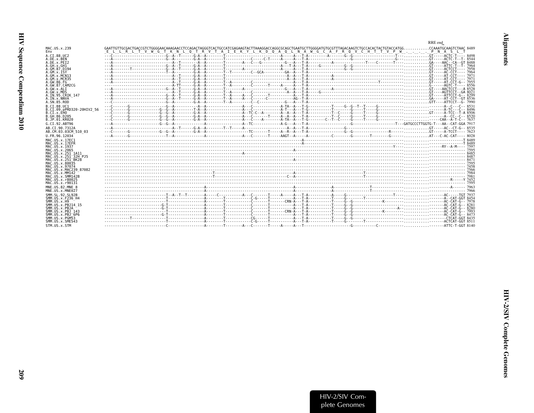<span id="page-56-0"></span>

|                                         |                                                                                                           | RRE end |
|-----------------------------------------|-----------------------------------------------------------------------------------------------------------|---------|
| MAC.US.x.239                            | E L L R L T V W G T K N L O T R V T A I E K Y L K D O A O L N A W G C A F R O V C H T T V P W P N A S L T |         |
| Env<br>A.CI.88.UC2                      |                                                                                                           |         |
| A.DE.x.BEN                              |                                                                                                           |         |
| A.DE.X.PEI2                             |                                                                                                           |         |
| A. GH. x. GH1                           |                                                                                                           |         |
| A.GM.87.D194<br>A.GM.X.ISY              | $---A$                                                                                                    |         |
| A.GM.x.MCN13                            |                                                                                                           |         |
| A.GM.x.MCR35                            |                                                                                                           |         |
| A. GW. 86. FG                           |                                                                                                           |         |
| A.GW.87.CAM2CG                          |                                                                                                           |         |
| A.GW.x.ALI<br>A.GW.x.MDS                |                                                                                                           |         |
| A.IN.95.CRIK 147                        |                                                                                                           |         |
| A.IN.x.NNVA                             |                                                                                                           |         |
| A.SN.85.ROD                             |                                                                                                           |         |
| B.CT.88.UC1                             |                                                                                                           |         |
| B.CI.09.pPRD320-20HIV2 56<br>B.CI.x.EHO |                                                                                                           |         |
| B.GH.86.D205                            |                                                                                                           |         |
| B.JP.01.KR020                           |                                                                                                           |         |
| G.CI.92.ABT96                           |                                                                                                           |         |
| AB.CI.90.7312A                          |                                                                                                           |         |
| AB.CM.03.03CM 510 03                    |                                                                                                           |         |
| U.FR.96.12034                           |                                                                                                           |         |
| MAC. US. x. 17EC1                       |                                                                                                           |         |
| MAC.US.x.17EFR<br>MAC.US.x.1937         |                                                                                                           |         |
| MAC. US. x. 2065                        |                                                                                                           |         |
| MAC.US.x.251 1A11                       |                                                                                                           |         |
| MAC. US. x. 251 <sup>-32H</sup> P.15    |                                                                                                           |         |
| MAC.US.x.251 BK28<br>MAC.US.x.80035     |                                                                                                           |         |
| MAC.US.x.97074                          |                                                                                                           |         |
| MAC.US.x.MAC239 87082                   |                                                                                                           |         |
| MAC. U.S. x. MM142<br>MAC.US.x.SMM142B  |                                                                                                           |         |
| MAC.US.x.r80025                         |                                                                                                           |         |
| MAC.US.x.r90131                         |                                                                                                           |         |
| MNE.US.82.MNE 8                         |                                                                                                           |         |
| MNE.US.x.MNE027                         |                                                                                                           |         |
| SMM. SL. 92. SL92B                      |                                                                                                           |         |
| SMM.US.x.F236 H4                        |                                                                                                           |         |
| SMM. US. x.H9<br>SMM. US. x. PBJ14 15   |                                                                                                           |         |
| SMM.US.x.PBJA                           |                                                                                                           |         |
| SMM. U.S. x. PB.1 143                   |                                                                                                           |         |
| SMM.US.x.PBJ 6P6                        |                                                                                                           |         |
| SMM.US.x.PGM53                          |                                                                                                           |         |
| SMM.US.x.SME543                         |                                                                                                           |         |
| STM.US.x.STM                            |                                                                                                           |         |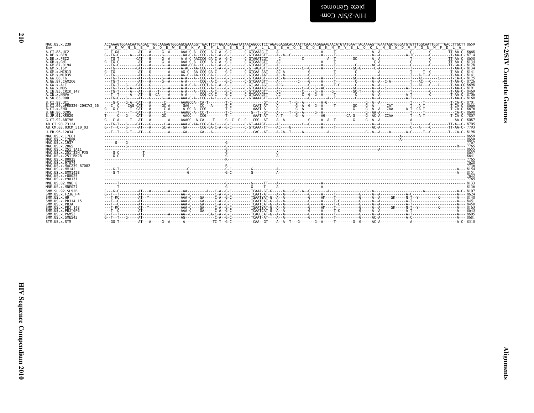blete Genomes<br>PHV-2/SIV Com-

| MAC.US.x.239<br>Env                       | ACCAAAGTGGAACAATGAGACTTGGCAAGAGTGGAAGGGAAAGGTTGACTTCTTGGAAGAAAATATAACAGCCCTCCTAGAGGAGGAAGAATTCAACAAGAAGAAGAACATGTATGAATTACAAAAGTTGAATTAGCTGGGATGTTTGGCAATTGGTTTGACCTTGCTTTGCTTTGCTTTGCTTTGCTTTGCTTTGCTTTGCTTTGCTTTGCTTTGCTTTGC<br>W Q E W E R K V D F L E E N I T A L L E E A Q I Q Q E K N M Y E L Q K L N S W D V F G N W F D<br>P K W N N E T |  |
|-------------------------------------------|--------------------------------------------------------------------------------------------------------------------------------------------------------------------------------------------------------------------------------------------------------------------------------------------------------------------------------------------------|--|
| A.CI.88.UC2                               |                                                                                                                                                                                                                                                                                                                                                  |  |
| A.DE.x.BEN                                |                                                                                                                                                                                                                                                                                                                                                  |  |
| A.DE.x.PEI2                               |                                                                                                                                                                                                                                                                                                                                                  |  |
| A.GH.x.GH1<br>A.GM.87.D194                |                                                                                                                                                                                                                                                                                                                                                  |  |
| A.GM.X.ISY                                |                                                                                                                                                                                                                                                                                                                                                  |  |
| A.GM.X.MCN13                              |                                                                                                                                                                                                                                                                                                                                                  |  |
| A.GM.x.MCR35                              |                                                                                                                                                                                                                                                                                                                                                  |  |
| A.GW.86.FG                                |                                                                                                                                                                                                                                                                                                                                                  |  |
| A.GW.87.CAM2CG<br>A.GW.x.ALI              |                                                                                                                                                                                                                                                                                                                                                  |  |
| A.GW.x.MDS                                |                                                                                                                                                                                                                                                                                                                                                  |  |
| A. IN. 95. CRIK 147                       |                                                                                                                                                                                                                                                                                                                                                  |  |
| A.IN.x.NNVA                               |                                                                                                                                                                                                                                                                                                                                                  |  |
| A.SN.85.ROD                               |                                                                                                                                                                                                                                                                                                                                                  |  |
| B.CI.88.UC1                               |                                                                                                                                                                                                                                                                                                                                                  |  |
| B.CI.09.pPRD320-20HIV2 56                 |                                                                                                                                                                                                                                                                                                                                                  |  |
| B.CI.X.EHO                                |                                                                                                                                                                                                                                                                                                                                                  |  |
| B.GH.86.D205<br>B.JP.01.KR020             |                                                                                                                                                                                                                                                                                                                                                  |  |
| G.CI.92.ABT96                             |                                                                                                                                                                                                                                                                                                                                                  |  |
|                                           |                                                                                                                                                                                                                                                                                                                                                  |  |
| AB.CI.90.7312A<br>AB.CM.03.03CM 510 03    | $6 - 7 - 6 - 6 - 8 - 8 - 6 - 6 - 6 - 6 - 6$                                                                                                                                                                                                                                                                                                      |  |
| U.FR.96.12034                             |                                                                                                                                                                                                                                                                                                                                                  |  |
| MAC.US.x.17EC1                            |                                                                                                                                                                                                                                                                                                                                                  |  |
| MAC.US.x.17EFR                            |                                                                                                                                                                                                                                                                                                                                                  |  |
| MAC.US.x.1937                             |                                                                                                                                                                                                                                                                                                                                                  |  |
| MAC. US. x. 2065                          |                                                                                                                                                                                                                                                                                                                                                  |  |
| MAC.US.x.251 1A11                         |                                                                                                                                                                                                                                                                                                                                                  |  |
| MAC.US.x.251 32H PJ5                      |                                                                                                                                                                                                                                                                                                                                                  |  |
| MAC.US.x.251 BK28<br>MAC.US.x.80035       |                                                                                                                                                                                                                                                                                                                                                  |  |
| MAC.US.x.97074                            |                                                                                                                                                                                                                                                                                                                                                  |  |
| MAC.US.x.MAC239 87082                     |                                                                                                                                                                                                                                                                                                                                                  |  |
| MAC.US.x.MM142                            |                                                                                                                                                                                                                                                                                                                                                  |  |
| MAC.US.x.SMM142B                          |                                                                                                                                                                                                                                                                                                                                                  |  |
| MAC.US.x.r80025<br>MAC.US.x.r90131        |                                                                                                                                                                                                                                                                                                                                                  |  |
|                                           |                                                                                                                                                                                                                                                                                                                                                  |  |
| MNE.US.82.MNE 8<br>MNE.US.x.MNE027        |                                                                                                                                                                                                                                                                                                                                                  |  |
|                                           |                                                                                                                                                                                                                                                                                                                                                  |  |
| SMM. SL. 92. SL92B<br>SMM. US. x. F236 H4 | $c - 6 - 6 - 1$                                                                                                                                                                                                                                                                                                                                  |  |
| SMM. US. x.H9                             |                                                                                                                                                                                                                                                                                                                                                  |  |
| SMM. US. x. PBJ14 15                      |                                                                                                                                                                                                                                                                                                                                                  |  |
| SMM.US.x.PBJA                             |                                                                                                                                                                                                                                                                                                                                                  |  |
| SMM. US. x. PBJ 143                       |                                                                                                                                                                                                                                                                                                                                                  |  |
| SMM.US.x.PBJ 6P6                          |                                                                                                                                                                                                                                                                                                                                                  |  |
| SMM.US.x.PGM53<br>SMM.US.x.SME543         |                                                                                                                                                                                                                                                                                                                                                  |  |
| STM. US. x. STM                           |                                                                                                                                                                                                                                                                                                                                                  |  |
|                                           |                                                                                                                                                                                                                                                                                                                                                  |  |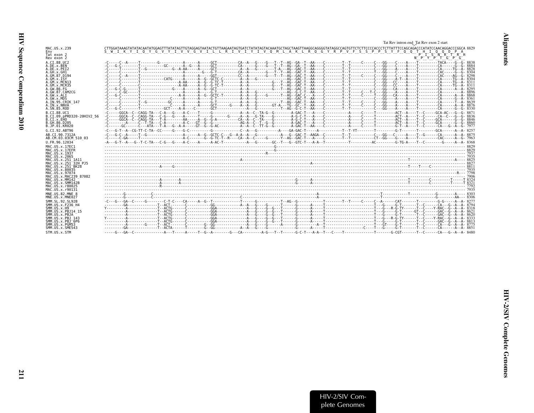<span id="page-58-0"></span>

|                                                  |                                                                                                                                                                                  | Tat Rev intron end Tat Rev exon 2 start |
|--------------------------------------------------|----------------------------------------------------------------------------------------------------------------------------------------------------------------------------------|-----------------------------------------|
| MAC.US.x.239                                     | CTTGGATAAAGTATATACAATATGGAGTTTATATAGTTGTAGGAGTAATACTGTTAAGAATAGTGATCTATATAGTACAAATGCTAGGTAAGGTAAGGCGAGGGGTATAGGCCAGTGTTCTCTTCCCCACCCTCTTATTTCCAGCAGACCCATATCCAACAGGACCCGGCA 8829 |                                         |
| Env<br>Tat exon 2                                | S W I K Y I O Y G V Y I V V G V I L L R I V I Y I V O M L A K L R O G Y R P V F S S P P S Y F O O T H I O O D P A                                                                | $P$ $T$ $S$ $N$ $R$ $T$ $R$ $R$         |
| Rev exon 2                                       |                                                                                                                                                                                  | N P Y P T G P G                         |
| A.CT.88.UC2<br>A.DE.x.BEN                        |                                                                                                                                                                                  |                                         |
| A.DE.X.PET2                                      |                                                                                                                                                                                  |                                         |
| A.GH.X.GH1<br>A.GM.87.D194                       |                                                                                                                                                                                  |                                         |
| A.GM.X.ISY                                       |                                                                                                                                                                                  |                                         |
| A.GM.x.MCN13<br>A.GM.x.MCR35                     |                                                                                                                                                                                  |                                         |
| A.GW.86.FG<br>A.GW.87.CAM2CG                     |                                                                                                                                                                                  |                                         |
| A.GW.x.ALI                                       |                                                                                                                                                                                  |                                         |
| A.GW.x.MDS<br>A.IN.95.CRIK 147                   |                                                                                                                                                                                  |                                         |
| A. IN. x. NNVA                                   |                                                                                                                                                                                  |                                         |
| A.SN.85.ROD                                      |                                                                                                                                                                                  |                                         |
| B.CI.88.UC1<br>B.CI.09.pPRD320-20HIV2 56         |                                                                                                                                                                                  |                                         |
| B.CT.x.EHO                                       |                                                                                                                                                                                  |                                         |
| B.GH.86.D205<br>B.JP.01.KR020                    |                                                                                                                                                                                  |                                         |
| G.CI.92.ABT96                                    |                                                                                                                                                                                  |                                         |
| AB.CI.90.7312A<br>AB.CM.03.03CM 510 03           |                                                                                                                                                                                  |                                         |
| U.FR.96.12034                                    |                                                                                                                                                                                  |                                         |
| MAC.US.x.17EC1                                   |                                                                                                                                                                                  |                                         |
| MAC.US.x.17EFR<br>MAC.US.x.1937                  |                                                                                                                                                                                  |                                         |
| MAC.US.x.2065<br>MAC.US.x.251 1A11               |                                                                                                                                                                                  |                                         |
| MAC.US.x.251 32H PJ5                             |                                                                                                                                                                                  |                                         |
| MAC.US.x.251 <sup>-</sup> BK28<br>MAC.US.x.80035 |                                                                                                                                                                                  |                                         |
| MAC.US.x.97074                                   |                                                                                                                                                                                  |                                         |
| MAC.US.x.MAC239 87082<br>MAC.US.x.MM142          |                                                                                                                                                                                  |                                         |
| MAC.US.x.SMM142B                                 |                                                                                                                                                                                  |                                         |
| MAC.US.x.r80025<br>MAC.US.x.r90131               |                                                                                                                                                                                  |                                         |
| MNE.US.82.MNE 8                                  |                                                                                                                                                                                  |                                         |
| MNE.US.x.MNE027                                  |                                                                                                                                                                                  |                                         |
| SMM. SL. 92. SL92B<br>SMM.US.x.F236 H4           |                                                                                                                                                                                  |                                         |
| SMM. US. x.H9<br>SMM.US.x.PBJ14 15               |                                                                                                                                                                                  |                                         |
| SMM.US.x.PBJA                                    |                                                                                                                                                                                  |                                         |
| SMM.US.x.PBJ 143<br>SMM.US.x.PBJ <sup>6P6</sup>  |                                                                                                                                                                                  |                                         |
| SMM. U.S. x. PGM53                               |                                                                                                                                                                                  |                                         |
| SMM.US.x.SME543                                  |                                                                                                                                                                                  |                                         |
| STM.US.x.STM                                     |                                                                                                                                                                                  |                                         |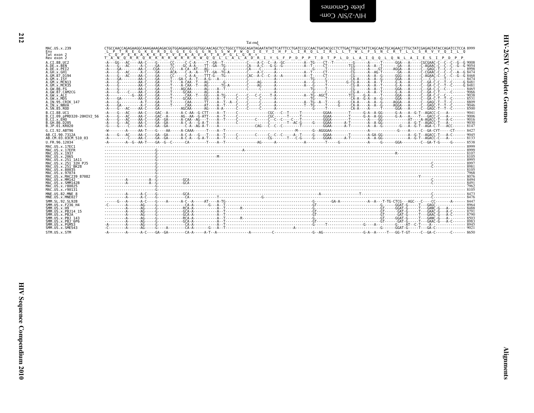<span id="page-59-0"></span>plete Genomes  $-$ ullo-SNS/ $\overline{C}$ Com-

|                                      | Tat end                                                                                                                                                                                                                                                                                                                             |
|--------------------------------------|-------------------------------------------------------------------------------------------------------------------------------------------------------------------------------------------------------------------------------------------------------------------------------------------------------------------------------------|
| MAC.US.x.239                         | CTGCCAACCAGAGAAGGCAAAGAAGACGGTGGAGAAGGCGGTGGCAACAGCTCCTGGCCTTGGCAGATAGAATATTCATTTCCTGATCCGCCAACTGGTATTCGCCTCTTGGCTATTCAGCAACTGCAGCCTTCCAGAACCTTGCTATTCAGAGACCTTGCTATTCAGAGAGTATACGCAGAGTATACCAGAGTATACCCCCCAGQ<br>L P T R E G K E R D G G E G G G N S S W P W Q I E Y I H F L I R Q L I R L L T W L F S N C R T L L S R V Y Q I L Q |
| Env                                  | $C$ $D$ $P$ $E$ $K$ $A$ $K$ $K$ $E$ $T$ $V$ $E$ $K$ $A$ $V$ $A$ $T$ $A$ $P$ $G$ $L$ $G$ $R$                                                                                                                                                                                                                                         |
| Tat exon 2                           | 宋                                                                                                                                                                                                                                                                                                                                   |
| Rev exon 2                           | TANORROKKRRWRRKWOOLIALADRIYSFPDPPTDIPLDLAIQQLQNLAIESIPDPP                                                                                                                                                                                                                                                                           |
| A.CI.88.UC2                          |                                                                                                                                                                                                                                                                                                                                     |
| A.DE.X.BEN                           |                                                                                                                                                                                                                                                                                                                                     |
| A.DE.X.PEI2                          |                                                                                                                                                                                                                                                                                                                                     |
| A.GH.x.GH1                           |                                                                                                                                                                                                                                                                                                                                     |
| A.GM.87.D194                         |                                                                                                                                                                                                                                                                                                                                     |
| A.GM.X.ISY                           |                                                                                                                                                                                                                                                                                                                                     |
| A.GM.x.MCN13                         |                                                                                                                                                                                                                                                                                                                                     |
| A.GM.x.MCR35                         |                                                                                                                                                                                                                                                                                                                                     |
| A.GW.86.FG                           |                                                                                                                                                                                                                                                                                                                                     |
| A.GW.87.CAM2CG                       |                                                                                                                                                                                                                                                                                                                                     |
| A.GW.x.ALI                           |                                                                                                                                                                                                                                                                                                                                     |
| A.GW.x.MDS                           |                                                                                                                                                                                                                                                                                                                                     |
| A.IN.95.CRIK 147                     |                                                                                                                                                                                                                                                                                                                                     |
| A.IN.x.NNVA                          |                                                                                                                                                                                                                                                                                                                                     |
| A.SN.85.ROD                          |                                                                                                                                                                                                                                                                                                                                     |
| B.CI.88.UC1                          |                                                                                                                                                                                                                                                                                                                                     |
| B.CI.09.pPRD320-20HIV2 56            |                                                                                                                                                                                                                                                                                                                                     |
| B.CI.X.EHO                           |                                                                                                                                                                                                                                                                                                                                     |
| B. GH. 86. D205                      |                                                                                                                                                                                                                                                                                                                                     |
| B.JP.01.KR020                        |                                                                                                                                                                                                                                                                                                                                     |
| G.CI.92.ABT96                        |                                                                                                                                                                                                                                                                                                                                     |
| AB.CI.90.7312A                       |                                                                                                                                                                                                                                                                                                                                     |
| AB.CM.03.03CM 510 03                 |                                                                                                                                                                                                                                                                                                                                     |
| U.FR.96.12034                        | $-0.1$ $-0.04$ $-0.04$ $-0.06$ $-0.01$ $-0.01$ $-0.01$ $-0.01$ $-0.01$ $-0.01$ $-0.01$ $-0.01$ $-0.01$ $-0.01$ $-0.01$ $-0.01$ $-0.01$ $-0.01$ $-0.01$ $-0.01$ $-0.01$ $-0.01$ $-0.01$ $-0.01$ $-0.01$ $-0.01$ $-0.01$ $-0.01$                                                                                                      |
| MAC. US. x. 17EC1                    |                                                                                                                                                                                                                                                                                                                                     |
| MAC.US.x.17EFR                       |                                                                                                                                                                                                                                                                                                                                     |
| MAC.US.x.1937                        |                                                                                                                                                                                                                                                                                                                                     |
| MAC.US.x.2065                        |                                                                                                                                                                                                                                                                                                                                     |
| MAC.US.x.251 1A11                    |                                                                                                                                                                                                                                                                                                                                     |
| MAC. US. x. 251 <sup>-32H</sup> P.15 |                                                                                                                                                                                                                                                                                                                                     |
| MAC.US.x.251 <sup>-</sup> BK28       |                                                                                                                                                                                                                                                                                                                                     |
| MAC.US.x.80035                       |                                                                                                                                                                                                                                                                                                                                     |
| MAC.US.x.97074                       |                                                                                                                                                                                                                                                                                                                                     |
| MAC.US.x.MAC239 87082                |                                                                                                                                                                                                                                                                                                                                     |
| MAC.US.x.MM142                       |                                                                                                                                                                                                                                                                                                                                     |
| MAC.US.x.SMM142B                     |                                                                                                                                                                                                                                                                                                                                     |
| MAC.US.x.r80025                      |                                                                                                                                                                                                                                                                                                                                     |
| MAC.US.x.r90131                      |                                                                                                                                                                                                                                                                                                                                     |
| MNE.US.82.MNE 8                      |                                                                                                                                                                                                                                                                                                                                     |
| MNE.US.x.MNE027                      |                                                                                                                                                                                                                                                                                                                                     |
| SMM. SL. 92. SL92B                   |                                                                                                                                                                                                                                                                                                                                     |
| SMM.US.x.F236 H4                     |                                                                                                                                                                                                                                                                                                                                     |
| SMM. US. x.H9                        |                                                                                                                                                                                                                                                                                                                                     |
| SMM. US. x. PBJ14 15                 |                                                                                                                                                                                                                                                                                                                                     |
| SMM.US.x.PBJA                        |                                                                                                                                                                                                                                                                                                                                     |
| SMM.US.x.PBJ 143                     |                                                                                                                                                                                                                                                                                                                                     |
| SMM.US.x.PBJ <sup>6P6</sup>          |                                                                                                                                                                                                                                                                                                                                     |
| SMM.US.x.PGM53                       |                                                                                                                                                                                                                                                                                                                                     |
| SMM. U.S. x. SME543                  |                                                                                                                                                                                                                                                                                                                                     |

STM.US.x.STM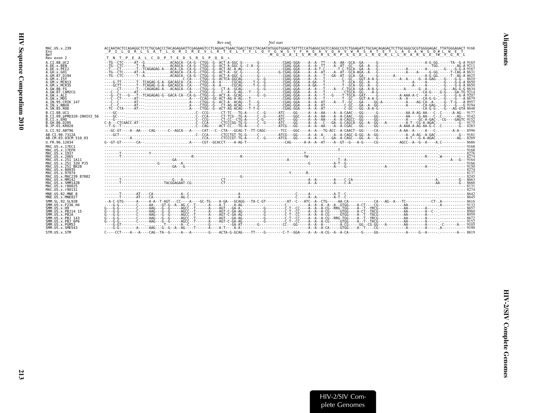<span id="page-60-0"></span>

|                                                                                                                                                           | Nef start<br>Rev end                                                                                                                                                                                                                                                                                                                                          |  |
|-----------------------------------------------------------------------------------------------------------------------------------------------------------|---------------------------------------------------------------------------------------------------------------------------------------------------------------------------------------------------------------------------------------------------------------------------------------------------------------------------------------------------------------|--|
| MAC.US.x.239<br>Env<br>Nef                                                                                                                                | ACCAATACTCCAGAGGCTCTCTGCGACCCTACAGAGGATTCGAGAGGTCCTCAGGACTGAACTGAACTGACCTACATATGGGTGGAGATATTTCCATGAGGCGGTCCAGGCCGTCTGGAGATATTGCGACAGAGACTCTTGCGGCGCGTCCAGGAGACTCTTGCGAGAGACTCTTGCGGGAGACCCGTCCAGAGACCTCTTGCGACAGACTCTTGCGGGCGC<br>PILORLSATLORIREVLRTELTYLOYGWSYFHEAVOAVWRSATETLAGAWGD#LWET<br>M G G A I S M R R S R P S G D L R O R L L R A R G E T# Y G R L |  |
| Rev exon 2<br>A.CT.88.UC2<br>A.DE.x.BEN<br>A.DE.X.PEI2<br>A.GH.x.GH1<br>A.GM.87.D194<br>A.GM.X.ISY                                                        | T N T P E A L C D P T E D S R S P Q<br>$D *$                                                                                                                                                                                                                                                                                                                  |  |
| A.GM.X.MCN13<br>A.GM.x.MCR35<br>A.GW.86.FG<br>A.GW.87.CAM2CG<br>A.GW.x.ALI<br>A.GW.x.MDS<br>A.IN.95.CRIK 147<br>A.IN.x.NNVA                               |                                                                                                                                                                                                                                                                                                                                                               |  |
| A.SN.85.ROD<br>B.CT.88.UC1<br>B.CI.09.pPRD320-20HIV2 56<br>B.CI.X.EHO<br>B.GH.86.D205<br>B.JP.01.KR020                                                    |                                                                                                                                                                                                                                                                                                                                                               |  |
| G.CI.92.ABT96<br>AB.CI.90.7312A<br>AB.CM.03.03CM 510 03<br>U.FR.96.12034                                                                                  |                                                                                                                                                                                                                                                                                                                                                               |  |
| MAC.US.x.17EC1<br>MAC.US.x.17EFR<br>MAC. US. x. 1937<br>MAC.US.x.2065<br>MAC.US.x.251 1A11<br>MAC.US.x.251 32H PJ5<br>MAC.US.x.251 BK28<br>MAC.US.x.80035 |                                                                                                                                                                                                                                                                                                                                                               |  |
| MAC.US.x.97074<br>MAC.US.x.MAC239 87082<br>MAC.US.x.MM142<br>MAC.US.x.SMM142B<br>MAC.US.x.r80025<br>MAC.US.x.r90131<br>MNE.US.82.MNE 8                    |                                                                                                                                                                                                                                                                                                                                                               |  |
| MNE.US.x.MNE027<br>SMM. SL. 92. SL92B<br>SMM.US.x.F236 H4<br>SMM. US. x.H9<br>SMM.US.x.PBJ14 15<br>SMM.US.x.PBJA<br>SMM.US.x.PBJ 143                      |                                                                                                                                                                                                                                                                                                                                                               |  |
| SMM.US.x.PBJ 6P6<br>SMM.US.x.PGM53<br>SMM.US.x.SME543<br>STM.US.x.STM                                                                                     |                                                                                                                                                                                                                                                                                                                                                               |  |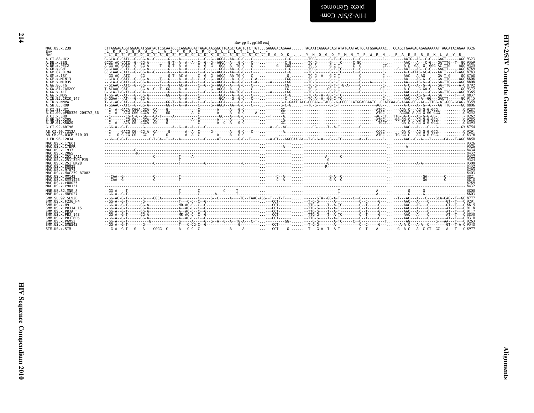<span id="page-61-0"></span>blete Genomes<br>HIV-2/SIV Com-

|                                                                                           | Env gp41, gp160 end                                                                                                                                                                                                   |
|-------------------------------------------------------------------------------------------|-----------------------------------------------------------------------------------------------------------------------------------------------------------------------------------------------------------------------|
| MAC.US.x.239                                                                              | CTTAGGAGAGGTGGAAGATGGATACTCCCATCCCAGGAGGATTAGACAAGGGCTTGAGCTCACTCTCTTGTGAGGGACAGAAATACAATCAGGGACAGTATATGAATACTCCATGGAGAAAACCCAGCTGAAGAGAAAAATTAGCATACAGAA 9326<br>L R R G G R W I L A I P R R I R O G L E L T L L . * |
| <b>Nef</b>                                                                                | L G E V E D G Y S Q S P G G L D K G L S S L S C . E G Q K Y N Q G Q Y M N T P W R N . P A E E R E K L A Y R                                                                                                           |
| A.CI.88.UC2                                                                               |                                                                                                                                                                                                                       |
| A.DE.x.BEN                                                                                |                                                                                                                                                                                                                       |
| A.DE.x.PEI2                                                                               |                                                                                                                                                                                                                       |
| A.GH.x.GH1                                                                                |                                                                                                                                                                                                                       |
| A.GM.87.D194                                                                              |                                                                                                                                                                                                                       |
| A.GM.x.ISY                                                                                |                                                                                                                                                                                                                       |
| A.GM.x.MCN13                                                                              |                                                                                                                                                                                                                       |
| A.GM.x.MCR35                                                                              |                                                                                                                                                                                                                       |
| A.GW.86.FG                                                                                |                                                                                                                                                                                                                       |
| A. GW. 87. CAM2CG                                                                         | T-ACAAC-CAT------GG-A--C--T--GG---A--A----C----G--AGCA--A---G-----C-----CG-------CG------GG-C-T-------C-----CC------GC-----GC-G----GG-G---A-G-----GC-9372                                                             |
| A.GW.x.ALI                                                                                |                                                                                                                                                                                                                       |
| A.GW.x.MDS                                                                                |                                                                                                                                                                                                                       |
| A.IN.95.CRIK 147                                                                          |                                                                                                                                                                                                                       |
| A.IN.x.NNVA                                                                               |                                                                                                                                                                                                                       |
| A.SN.85.ROD                                                                               |                                                                                                                                                                                                                       |
| B.CI.88.UC1                                                                               |                                                                                                                                                                                                                       |
| B.CI.09.pPRD320-20HIV2 56                                                                 |                                                                                                                                                                                                                       |
| B.CI.X.EHO                                                                                |                                                                                                                                                                                                                       |
| B. GH. 86. D205                                                                           |                                                                                                                                                                                                                       |
| B.JP.01.KR020                                                                             |                                                                                                                                                                                                                       |
| G.CI.92.ABT96                                                                             |                                                                                                                                                                                                                       |
| AB.CI.90.7312A                                                                            |                                                                                                                                                                                                                       |
| AB.CM.03.03CM 510 03                                                                      |                                                                                                                                                                                                                       |
| U.FR.96.12034                                                                             | --GG--C-G-T----------C-T-GA--T--A--A-------C--G-----AT-------G-G--T------G-CCAAGGC--T-G-G-A--G--TC-------A--T------C-____C-_-AAC--G--A---T-------C---CA--T------CA--T-----CA--T-AGC 8850                              |
| MAC.US.x.17EC1                                                                            |                                                                                                                                                                                                                       |
| MAC.US.x.17EFR                                                                            |                                                                                                                                                                                                                       |
| MAC.US.x.1937                                                                             |                                                                                                                                                                                                                       |
| MAC.US.x.2065                                                                             |                                                                                                                                                                                                                       |
| MAC.US.x.251 1A11                                                                         |                                                                                                                                                                                                                       |
| MAC.US.x.251 32H PJ5                                                                      |                                                                                                                                                                                                                       |
| MAC.US.x.251 <sup>-</sup> BK28                                                            |                                                                                                                                                                                                                       |
| MAC.US.x.80035                                                                            |                                                                                                                                                                                                                       |
| MAC.US.x.97074                                                                            |                                                                                                                                                                                                                       |
| MAC.US.x.MAC239 87082                                                                     |                                                                                                                                                                                                                       |
| MAC.US.x.MM142                                                                            |                                                                                                                                                                                                                       |
| MAC.US.x.SMM142B                                                                          |                                                                                                                                                                                                                       |
| MAC.US.x.r80025                                                                           |                                                                                                                                                                                                                       |
| MAC.US.x.r90131                                                                           |                                                                                                                                                                                                                       |
| MNE.US.82.MNE 8                                                                           |                                                                                                                                                                                                                       |
| MNE.US.x.MNE027<br>SMM. SL. 92. SL92B                                                     |                                                                                                                                                                                                                       |
| SMM.US.x.F236 H4<br>SMM.US.x.H9<br>SMM.US.x.PBJ14 15<br>SMM.US.x.PBJA<br>SMM.US.x.PBJ 143 |                                                                                                                                                                                                                       |
| $SMM. US. x. PBJ-6P6$<br>SMM.US.x.PGM53<br>SMM.US.x.SME543<br>STM.US.x.STM                |                                                                                                                                                                                                                       |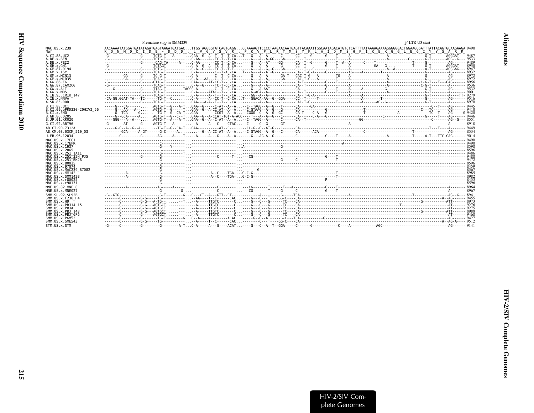<span id="page-62-0"></span>

|                                                                                       | Premature stop in SMM239                                                                                                                                                                                                                                                                                                   | 3' LTR U3 start |
|---------------------------------------------------------------------------------------|----------------------------------------------------------------------------------------------------------------------------------------------------------------------------------------------------------------------------------------------------------------------------------------------------------------------------|-----------------|
| MAC.US.x.239<br>Nef                                                                   | AACAAAATATGGATGATATAGATGAGTAAGATGATGACTTGGTAGGGGTATCAGTGAGGCCAAAAGTTCCCCTAAGAACAATGAGTTACAAATTGGCAATAGACATGTCTCATTTTATAAAAGAAGAGAGGGGGACTGGAAGGGATTTATTACAGTGCAAGAAGAAGGATTTATTACAGTGCAAGAAGAAGG 9490<br>K 0 N M D D I D E * D D D . L V G V S V R . P K V P L R T M S Y K L A I D M S H F I K E K G G L E G I Y Y S A R R |                 |
| A.CI.88.UC2<br>A.DE.x.BEN<br>A.DE.x.PEI2                                              |                                                                                                                                                                                                                                                                                                                            |                 |
| A.GH.x.GH1<br>A.GM.87.D194<br>A.GM.X.ISY                                              |                                                                                                                                                                                                                                                                                                                            |                 |
| A.GM.X.MCN13<br>A.GM.x.MCR35<br>A. GW. 86. FG<br>A.GW.87.CAM2CG                       |                                                                                                                                                                                                                                                                                                                            |                 |
| A.GW.x.ALI<br>A.GW.x.MDS<br>A.IN.95.CRIK 147                                          |                                                                                                                                                                                                                                                                                                                            |                 |
| A. IN. x. NNVA<br>A.SN.85.ROD<br>B.CT.88.UC1                                          |                                                                                                                                                                                                                                                                                                                            |                 |
| B.CI.09.pPRD320-20HIV2 56<br>B.CI.X.EHO<br>B. GH. 86. D205                            |                                                                                                                                                                                                                                                                                                                            |                 |
| B.JP.01.KR020<br>G.CI.92.ABT96                                                        |                                                                                                                                                                                                                                                                                                                            |                 |
| AB.CI.90.7312A<br>AB.CM.03.03CM 510 03                                                |                                                                                                                                                                                                                                                                                                                            |                 |
| U.FR.96.12034<br>MAC. US. x. 17EC1                                                    |                                                                                                                                                                                                                                                                                                                            |                 |
| MAC.US.x.17EFR<br>MAC.US.x.1937                                                       |                                                                                                                                                                                                                                                                                                                            |                 |
| MAC. US. x. 2065<br>MAC.US.x.251 1A11<br>MAC.US.x.251 32H PJ5                         |                                                                                                                                                                                                                                                                                                                            |                 |
| MAC.US.x.251 BK28<br>MAC.US.x.80035<br>MAC.US.x.97074                                 |                                                                                                                                                                                                                                                                                                                            |                 |
| MAC.US.x.MAC239 87082<br>MAC. US. x. MM142<br>MAC. U.S. x. SMM142B<br>MAC.US.x.r80025 |                                                                                                                                                                                                                                                                                                                            |                 |
| MAC.US.x.r90131<br>MNE.US.82.MNE 8                                                    |                                                                                                                                                                                                                                                                                                                            |                 |
| MNE.US.x.MNE027<br>SMM. SL. 92. SL92B                                                 | $-6-6$ T $6-1$                                                                                                                                                                                                                                                                                                             |                 |
| SMM.US.x.F236 H4<br>SMM. US. x.H9<br>SMM. US. x. PBJ14 15                             |                                                                                                                                                                                                                                                                                                                            |                 |
| SMM.US.x.PBJA<br>SMM. U.S. x. PBJ 143<br>SMM.US.x.PBJ <sup>6P6</sup>                  |                                                                                                                                                                                                                                                                                                                            |                 |
| SMM.US.x.PGM53<br>SMM.US.x.SME543                                                     |                                                                                                                                                                                                                                                                                                                            | $--9427$        |
| STM.US.x.STM                                                                          |                                                                                                                                                                                                                                                                                                                            |                 |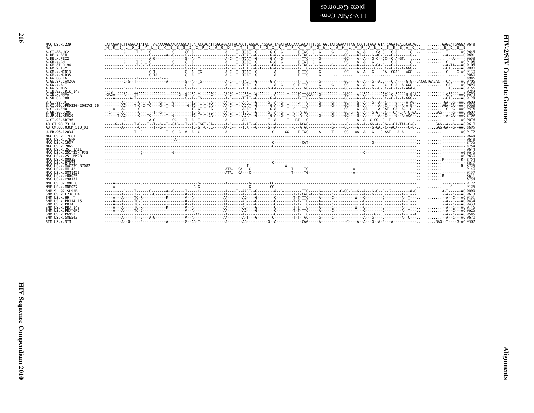| ים<br>ד |
|---------|
| i       |
|         |

| alah Cenomes   |  |  |
|----------------|--|--|
| -WO∩ ∧IS/7-∧IH |  |  |

| MAC.US.x.239<br><b>Nef</b>                                                                           | DIYLEKEE GIIPD WODYTS GP GIRYP KTF GWL WKL V P V N V S D E A Q E D E E<br>HRIL                                                                                                                                             |  |
|------------------------------------------------------------------------------------------------------|----------------------------------------------------------------------------------------------------------------------------------------------------------------------------------------------------------------------------|--|
| A.CI.88.UC2<br>A.DE.x.BEN<br>A.DE.x.PEI2<br>A.GH.x.GH1                                               |                                                                                                                                                                                                                            |  |
| A.GM.87.D194<br>A.GM.x. ISY<br>A.GM.x.MCN13<br>A.GM.x.MCR35                                          |                                                                                                                                                                                                                            |  |
| A.GW.86.FG<br>A.GW.87.CAM2CG<br>A.GW.x.ALI<br>A.GW.x.MDS                                             |                                                                                                                                                                                                                            |  |
| A.IN.95.CRIK 147<br>A.IN.x.NNVA<br>A.SN.85.ROD<br>B.CI.88.UC1                                        |                                                                                                                                                                                                                            |  |
| B.CI.09.pPRD320-20HIV2 56<br>B.CI.x.EHO<br>B. GH. 86. D205<br>B.JP.01.KR020                          |                                                                                                                                                                                                                            |  |
| G.CT.92.ABT96<br>AB.CT.90.7312A                                                                      | Grant-Criteria-Grant-George TrendGrant-GGGT-GArrence-Archive-Archive-Grant-Grant-Germanic Criteria-Grant-Grant-Grant-Grant-Grant-Grant-Grant-Grant-Grant-Grant-Grant-Grant-Grant-Grant-Grant-Grant-Grant-Grant-Grant-Grant |  |
| AB.CM.03.03CM 510 03<br>U.FR.96.12034                                                                |                                                                                                                                                                                                                            |  |
| MAC.US.x.17EC1<br>MAC.US.x.17EFR<br>MAC. US. x. 1937<br>MAC.US.x.2065                                |                                                                                                                                                                                                                            |  |
| MAC.US.x.251 1A11<br>MAC. US. x. 251 32H P.15<br>MAC. US. x. 251 <sup>-</sup> BK28<br>MAC.US.x.80035 |                                                                                                                                                                                                                            |  |
| MAC.US.x.97074<br>MAC.US.x.MAC239 87082<br>MAC.US.x.MM142<br>MAC.US.x.SMM142B                        |                                                                                                                                                                                                                            |  |
| MAC.US.x.r80025<br>MAC.US.x.r90131<br>MNE.US.82.MNE 8                                                |                                                                                                                                                                                                                            |  |
| MNE.US.x.MNE027<br>SMM.SL.92.SL92B                                                                   |                                                                                                                                                                                                                            |  |
| SMM. U.S. x. F236 H4<br>SMM. US. x.H9<br>SMM.US.x.PBJ14 15                                           |                                                                                                                                                                                                                            |  |
| SMM.US.x.PBJA<br>SMM.US.x.PBJ 143<br>SMM.US.x.PBJ 6P6<br>SMM.US.x.PGM53                              |                                                                                                                                                                                                                            |  |
| SMM.US.x.SME543<br>STM.US.x.STM                                                                      |                                                                                                                                                                                                                            |  |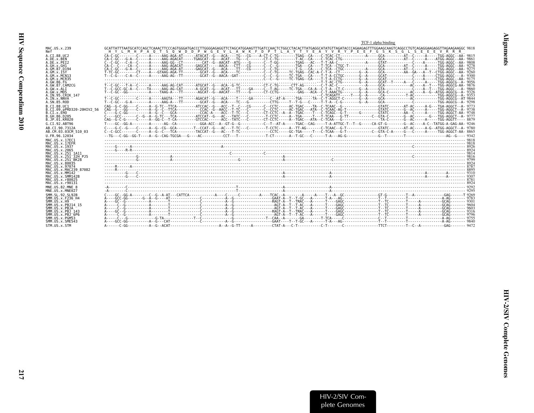<span id="page-64-0"></span>

|                                                                 | TCF-1 alpha binding                                                                                             |  |
|-----------------------------------------------------------------|-----------------------------------------------------------------------------------------------------------------|--|
| MAC.US.x.239<br>Nef                                             | H Y L M H P A O T S O W D D P W G E V L A W K F D P T L A Y T Y E A Y V R Y P E E F G S K S G L S E E E V R R R |  |
| A.CI.88.UC2<br>A.DE.x.BEN<br>A.DE.X.PEI2                        |                                                                                                                 |  |
| A.GH.x.GH1<br>A.GM.87.D194<br>$A.GM.x.$ TSY                     |                                                                                                                 |  |
| A.GM.x.MCN13<br>A.GM.x.MCR35<br>A.GW.86.FG                      |                                                                                                                 |  |
| A.GW.87.CAM2CG<br>A.GW.x.ALI<br>A.GW.x.MDS<br>A.IN.95.CRIK 147  |                                                                                                                 |  |
| A.IN.x.NNVA<br>A.SN.85.ROD<br>B.CT.88.UC1                       |                                                                                                                 |  |
| B.CI.09.pPRD320-20HIV2 56<br>B.CI.x.EHO<br>B.GH.86.D205         |                                                                                                                 |  |
| B.JP.01.KR020<br>G.CI.92.ABT96                                  |                                                                                                                 |  |
| AB.CI.90.7312A<br>AB.CM.03.03CM 510 03                          |                                                                                                                 |  |
| U.FR.96.12034<br>MAC.US.x.17EC1                                 |                                                                                                                 |  |
| MAC.US.x.17EFR<br>MAC.US.x.1937<br>MAC.US.x.2065                |                                                                                                                 |  |
| MAC.US.x.251 1A11<br>MAC.US.x.251 32H P.15<br>MAC.US.x.251 BK28 |                                                                                                                 |  |
| MAC.US.x.80035<br>MAC.US.x.97074<br>MAC.US.x.MAC239 87082       |                                                                                                                 |  |
| MAC.US.x.MM142<br>MAC.US.x.SMM142B<br>MAC.US.x.r80025           |                                                                                                                 |  |
| MAC.US.x.r90131<br>MNE.US.82.MNE 8<br>MNE.US.x.MNE027           |                                                                                                                 |  |
| SMM. SL. 92. SL92B<br>SMM.US.x.F236 H4<br>SMM. US. x.H9         |                                                                                                                 |  |
| SMM. US. x. PBJ14 15<br>SMM.US.x.PBJA<br>SMM.US.x.PBJ 143       |                                                                                                                 |  |
| SMM.US.x.PBJ 6P6<br>SMM.US.x.PGM53<br>SMM.US.x.SME543           |                                                                                                                 |  |
| STM.US.x.STM                                                    |                                                                                                                 |  |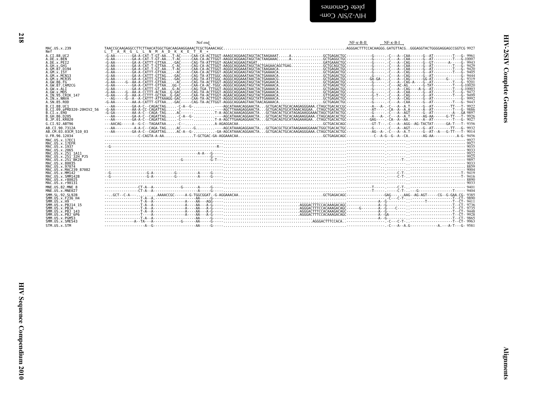<span id="page-65-0"></span>HI*N-SISA* Cowblete Genomes

| MAC.US.x.239<br>Nef<br>A.CI.88.UC2<br>A.DE.X.BEN<br>A.DE.X.PEI2<br>A . OH . x . CH1<br>A . GM . x . GH1<br>A . GM . x . ISY<br>A . GM . x . MCR35<br>A . GM . x . MCR35<br>A . GM . 86 . FG<br>A . GM . 87 . CAM2CG<br>A.GW.x.ALI<br>A.GW.x.MDS<br>A.IN.95.CRIK 147<br>A.IN.x.NNVA<br>A.SN.85.ROD<br>B.CT.88.UC1<br>B.CT.89.pPRD320-20HIV2_56<br>B.CT.x.EH0<br>B.GH.86.D205<br>B.JP.01.KR020<br>G.CI.92.ABT96<br>AB.CI.90.7312A<br>AB.CM.03.03CM_510 03<br>U.FR.96.12034<br>MAC.US.x.17EC1<br>MAC.US.x.17EFR<br>MAC.US.x.1937<br>MAC. US. x. 2965<br>MAC. US. x. 251 - 1411<br>MAC. US. x. 251 - 1411<br>MAC. US. x. 251 - 16K2<br>MAC. US. x. 80035<br>MAC. US. x. 80035<br>MAC.US.x.97074<br>MAC.US.x.MAC239_87082<br>MAC.US.x.MM142<br>MAC.US.x.SMM142B<br>MAC. US. x. r80025<br>MAC.US.x.r90131<br>MNE.US.82.MNE 8<br>MNE.US.x.MNE027<br>MM. SL. 92. SLAME<br>SMM. US. x. F236 H4<br>SMM. US. x. H9<br>SMM. US. x. PB314 15<br>SMM. US. x. PB314 15<br>SMM. US. x. PB3143<br>SMM. US. x. PB3 143<br>SMM. US. x. PB3<br>SMM. US. x. PB3<br>SMM. US. x. PGM53<br>SMM. US. x. SME543<br>STM.US.x.STM | $\begin{bmatrix} \mathbf{a}_1 & \mathbf{b}_2 & \mathbf{c}_3 & \mathbf{c}_4 & \mathbf{c}_5 & \mathbf{c}_6 & \mathbf{c}_7 & \mathbf{c}_8 & \mathbf{c}_8 & \mathbf{c}_7 & \mathbf{c}_8 & \mathbf{c}_8 & \mathbf{c}_9 & \mathbf{c}_9 & \mathbf{c}_9 & \mathbf{c}_9 & \mathbf{c}_9 & \mathbf{c}_9 & \mathbf{c}_9 & \mathbf{c}_9 & \mathbf{c}_9 & \mathbf{c}_9 & \mathbf{c}_9 & \mathbf{c}_9 & \mathbf{c}_9 & \mathbf{c}_9 & \mathbf{c}_$ | Nef end | $NF-K-B-H$<br>$NF-K-B-I$ |
|-------------------------------------------------------------------------------------------------------------------------------------------------------------------------------------------------------------------------------------------------------------------------------------------------------------------------------------------------------------------------------------------------------------------------------------------------------------------------------------------------------------------------------------------------------------------------------------------------------------------------------------------------------------------------------------------------------------------------------------------------------------------------------------------------------------------------------------------------------------------------------------------------------------------------------------------------------------------------------------------------------------------------------------------------------------------------------------------------------|-------------------------------------------------------------------------------------------------------------------------------------------------------------------------------------------------------------------------------------------------------------------------------------------------------------------------------------------------------------------------------------------------------------------------------------|---------|--------------------------|
|                                                                                                                                                                                                                                                                                                                                                                                                                                                                                                                                                                                                                                                                                                                                                                                                                                                                                                                                                                                                                                                                                                       |                                                                                                                                                                                                                                                                                                                                                                                                                                     |         |                          |
|                                                                                                                                                                                                                                                                                                                                                                                                                                                                                                                                                                                                                                                                                                                                                                                                                                                                                                                                                                                                                                                                                                       |                                                                                                                                                                                                                                                                                                                                                                                                                                     |         |                          |
|                                                                                                                                                                                                                                                                                                                                                                                                                                                                                                                                                                                                                                                                                                                                                                                                                                                                                                                                                                                                                                                                                                       |                                                                                                                                                                                                                                                                                                                                                                                                                                     |         |                          |
|                                                                                                                                                                                                                                                                                                                                                                                                                                                                                                                                                                                                                                                                                                                                                                                                                                                                                                                                                                                                                                                                                                       |                                                                                                                                                                                                                                                                                                                                                                                                                                     |         |                          |
|                                                                                                                                                                                                                                                                                                                                                                                                                                                                                                                                                                                                                                                                                                                                                                                                                                                                                                                                                                                                                                                                                                       |                                                                                                                                                                                                                                                                                                                                                                                                                                     |         |                          |
|                                                                                                                                                                                                                                                                                                                                                                                                                                                                                                                                                                                                                                                                                                                                                                                                                                                                                                                                                                                                                                                                                                       |                                                                                                                                                                                                                                                                                                                                                                                                                                     |         |                          |
|                                                                                                                                                                                                                                                                                                                                                                                                                                                                                                                                                                                                                                                                                                                                                                                                                                                                                                                                                                                                                                                                                                       |                                                                                                                                                                                                                                                                                                                                                                                                                                     |         |                          |
|                                                                                                                                                                                                                                                                                                                                                                                                                                                                                                                                                                                                                                                                                                                                                                                                                                                                                                                                                                                                                                                                                                       |                                                                                                                                                                                                                                                                                                                                                                                                                                     |         |                          |
|                                                                                                                                                                                                                                                                                                                                                                                                                                                                                                                                                                                                                                                                                                                                                                                                                                                                                                                                                                                                                                                                                                       |                                                                                                                                                                                                                                                                                                                                                                                                                                     |         |                          |
|                                                                                                                                                                                                                                                                                                                                                                                                                                                                                                                                                                                                                                                                                                                                                                                                                                                                                                                                                                                                                                                                                                       |                                                                                                                                                                                                                                                                                                                                                                                                                                     |         |                          |
|                                                                                                                                                                                                                                                                                                                                                                                                                                                                                                                                                                                                                                                                                                                                                                                                                                                                                                                                                                                                                                                                                                       |                                                                                                                                                                                                                                                                                                                                                                                                                                     |         |                          |
|                                                                                                                                                                                                                                                                                                                                                                                                                                                                                                                                                                                                                                                                                                                                                                                                                                                                                                                                                                                                                                                                                                       |                                                                                                                                                                                                                                                                                                                                                                                                                                     |         |                          |
|                                                                                                                                                                                                                                                                                                                                                                                                                                                                                                                                                                                                                                                                                                                                                                                                                                                                                                                                                                                                                                                                                                       |                                                                                                                                                                                                                                                                                                                                                                                                                                     |         |                          |
|                                                                                                                                                                                                                                                                                                                                                                                                                                                                                                                                                                                                                                                                                                                                                                                                                                                                                                                                                                                                                                                                                                       |                                                                                                                                                                                                                                                                                                                                                                                                                                     |         |                          |
|                                                                                                                                                                                                                                                                                                                                                                                                                                                                                                                                                                                                                                                                                                                                                                                                                                                                                                                                                                                                                                                                                                       |                                                                                                                                                                                                                                                                                                                                                                                                                                     |         |                          |
|                                                                                                                                                                                                                                                                                                                                                                                                                                                                                                                                                                                                                                                                                                                                                                                                                                                                                                                                                                                                                                                                                                       |                                                                                                                                                                                                                                                                                                                                                                                                                                     |         |                          |
|                                                                                                                                                                                                                                                                                                                                                                                                                                                                                                                                                                                                                                                                                                                                                                                                                                                                                                                                                                                                                                                                                                       |                                                                                                                                                                                                                                                                                                                                                                                                                                     |         |                          |
|                                                                                                                                                                                                                                                                                                                                                                                                                                                                                                                                                                                                                                                                                                                                                                                                                                                                                                                                                                                                                                                                                                       |                                                                                                                                                                                                                                                                                                                                                                                                                                     |         |                          |
|                                                                                                                                                                                                                                                                                                                                                                                                                                                                                                                                                                                                                                                                                                                                                                                                                                                                                                                                                                                                                                                                                                       |                                                                                                                                                                                                                                                                                                                                                                                                                                     |         |                          |
|                                                                                                                                                                                                                                                                                                                                                                                                                                                                                                                                                                                                                                                                                                                                                                                                                                                                                                                                                                                                                                                                                                       |                                                                                                                                                                                                                                                                                                                                                                                                                                     |         |                          |
|                                                                                                                                                                                                                                                                                                                                                                                                                                                                                                                                                                                                                                                                                                                                                                                                                                                                                                                                                                                                                                                                                                       |                                                                                                                                                                                                                                                                                                                                                                                                                                     |         |                          |
|                                                                                                                                                                                                                                                                                                                                                                                                                                                                                                                                                                                                                                                                                                                                                                                                                                                                                                                                                                                                                                                                                                       |                                                                                                                                                                                                                                                                                                                                                                                                                                     |         |                          |
|                                                                                                                                                                                                                                                                                                                                                                                                                                                                                                                                                                                                                                                                                                                                                                                                                                                                                                                                                                                                                                                                                                       |                                                                                                                                                                                                                                                                                                                                                                                                                                     |         |                          |
|                                                                                                                                                                                                                                                                                                                                                                                                                                                                                                                                                                                                                                                                                                                                                                                                                                                                                                                                                                                                                                                                                                       |                                                                                                                                                                                                                                                                                                                                                                                                                                     |         |                          |
|                                                                                                                                                                                                                                                                                                                                                                                                                                                                                                                                                                                                                                                                                                                                                                                                                                                                                                                                                                                                                                                                                                       |                                                                                                                                                                                                                                                                                                                                                                                                                                     |         |                          |
|                                                                                                                                                                                                                                                                                                                                                                                                                                                                                                                                                                                                                                                                                                                                                                                                                                                                                                                                                                                                                                                                                                       |                                                                                                                                                                                                                                                                                                                                                                                                                                     |         |                          |
|                                                                                                                                                                                                                                                                                                                                                                                                                                                                                                                                                                                                                                                                                                                                                                                                                                                                                                                                                                                                                                                                                                       |                                                                                                                                                                                                                                                                                                                                                                                                                                     |         |                          |
|                                                                                                                                                                                                                                                                                                                                                                                                                                                                                                                                                                                                                                                                                                                                                                                                                                                                                                                                                                                                                                                                                                       |                                                                                                                                                                                                                                                                                                                                                                                                                                     |         |                          |
|                                                                                                                                                                                                                                                                                                                                                                                                                                                                                                                                                                                                                                                                                                                                                                                                                                                                                                                                                                                                                                                                                                       |                                                                                                                                                                                                                                                                                                                                                                                                                                     |         |                          |
|                                                                                                                                                                                                                                                                                                                                                                                                                                                                                                                                                                                                                                                                                                                                                                                                                                                                                                                                                                                                                                                                                                       |                                                                                                                                                                                                                                                                                                                                                                                                                                     |         |                          |
|                                                                                                                                                                                                                                                                                                                                                                                                                                                                                                                                                                                                                                                                                                                                                                                                                                                                                                                                                                                                                                                                                                       |                                                                                                                                                                                                                                                                                                                                                                                                                                     |         |                          |
|                                                                                                                                                                                                                                                                                                                                                                                                                                                                                                                                                                                                                                                                                                                                                                                                                                                                                                                                                                                                                                                                                                       |                                                                                                                                                                                                                                                                                                                                                                                                                                     |         |                          |
|                                                                                                                                                                                                                                                                                                                                                                                                                                                                                                                                                                                                                                                                                                                                                                                                                                                                                                                                                                                                                                                                                                       |                                                                                                                                                                                                                                                                                                                                                                                                                                     |         |                          |
|                                                                                                                                                                                                                                                                                                                                                                                                                                                                                                                                                                                                                                                                                                                                                                                                                                                                                                                                                                                                                                                                                                       |                                                                                                                                                                                                                                                                                                                                                                                                                                     |         |                          |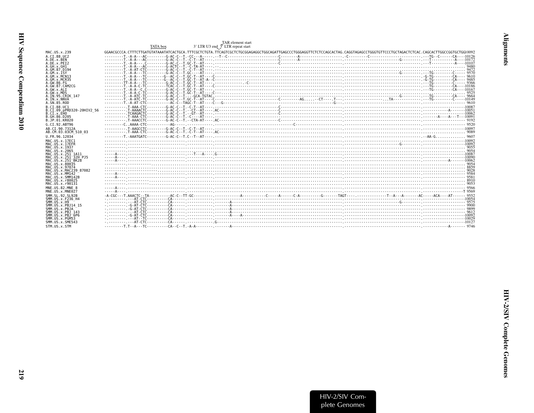<span id="page-66-0"></span>

|                                           | TAR element start<br>3' LTR U3 end <sup>37</sup> LTR repeat start<br>TATA box |  |
|-------------------------------------------|-------------------------------------------------------------------------------|--|
| MAC.US.x.239                              |                                                                               |  |
| A.CT.88.UC2                               |                                                                               |  |
| A.DE.x.BEN                                |                                                                               |  |
| A.DE.X.PEI2<br>A.GH.x.GH1                 |                                                                               |  |
| A.GM.87.D194                              |                                                                               |  |
| A.GM.X.ISY<br>A.GM.X.MCN13                |                                                                               |  |
| A.GM.x.MCR35                              |                                                                               |  |
| A.GW.86.FG                                |                                                                               |  |
| A.GW.87.CAM2CG<br>A.GW.x.ALT              |                                                                               |  |
| A.GW.x.MDS                                |                                                                               |  |
| A. IN. 95. CRIK 147<br>A.IN.x.NNVA        |                                                                               |  |
| A.SN.85.ROD                               |                                                                               |  |
| B.CT.88.UC1                               |                                                                               |  |
| B.CI.09.pPRD320-20HIV2 56<br>B.CI.x.EHO   |                                                                               |  |
| B.GH.86.D205                              |                                                                               |  |
| B.JP.01.KR020                             |                                                                               |  |
| G.CI.92.ABT96                             |                                                                               |  |
| AB.CT.90.7312A<br>AB.CM.03.03CM 510 03    |                                                                               |  |
| U.FR.96.12034                             |                                                                               |  |
| MAC. US. x. 17EC1                         |                                                                               |  |
| MAC.US.x.17EFR                            |                                                                               |  |
| MAC.US.x.1937<br>MAC.US.x.2065            |                                                                               |  |
| MAC.US.x.251 1A11                         |                                                                               |  |
| MAC.US.x.251 32H PJ5<br>MAC.US.x.251 BK28 |                                                                               |  |
| MAC.US.x.80035                            |                                                                               |  |
| MAC.US.x.97074                            |                                                                               |  |
| MAC.US.x.MAC239 87082<br>MAC.US.x.MM142   |                                                                               |  |
| MAC.US.x.SMM142B                          |                                                                               |  |
| MAC.US.x.r80025<br>MAC.US.x.r90131        |                                                                               |  |
| MNE.US.82.MNE 8                           |                                                                               |  |
| MNE.US.x.MNE027                           |                                                                               |  |
| SMM. SL. 92. SL92B                        |                                                                               |  |
| SMM.US.x.F236 H4<br>SMM.US.x.H9           |                                                                               |  |
| SMM.US.x.PBJ14 15                         |                                                                               |  |
| SMM.US.x.PBJA<br>SMM.US.x.PBJ 143         |                                                                               |  |
| SMM.US.x.PBJ 6P6                          |                                                                               |  |
| SMM.US.x.PGM53                            |                                                                               |  |
| SMM.US.x.SME543<br>STM.US.x.STM           |                                                                               |  |
|                                           |                                                                               |  |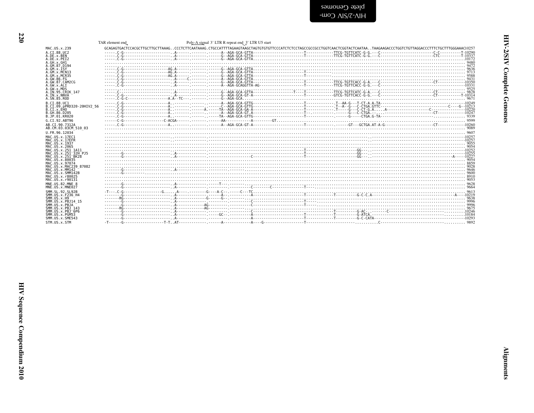<span id="page-67-0"></span>

|                                        | TAR element end | Poly-A signal 3' LTR R repeat end 3' LTR U5 start |                                                                                                                                                                                                                                                                                                                            |  |
|----------------------------------------|-----------------|---------------------------------------------------|----------------------------------------------------------------------------------------------------------------------------------------------------------------------------------------------------------------------------------------------------------------------------------------------------------------------------|--|
| MAC.US.x.239                           |                 |                                                   | GCAGAGTGACTCCACGCTTGCTTGCTTAAAG . CCCTCTTCAATAAAG . CTGCCATTTTAGAAGTAGGCTAGTGTGTTCCCCATCTCTCCCAGCCGCCGCCTGGTCAACTCGGTACTCAATAA . TAAGAAGACCCTGGTCTGTTAGGACCCTTTCTGCTTTCGGAAACI0257                                                                                                                                         |  |
| A.CI.88.UC2                            |                 |                                                   |                                                                                                                                                                                                                                                                                                                            |  |
| A.DE.x.BEN                             |                 |                                                   |                                                                                                                                                                                                                                                                                                                            |  |
| A.DE.X.PEI2<br>A.GH.x.GH1              |                 |                                                   |                                                                                                                                                                                                                                                                                                                            |  |
| A.GM.87.D194                           |                 |                                                   |                                                                                                                                                                                                                                                                                                                            |  |
| A.GM.x. ISY                            |                 |                                                   |                                                                                                                                                                                                                                                                                                                            |  |
| A.GM.X.MCN13                           |                 |                                                   | $\begin{bmatrix} 0 & 0 & 0 & 0 \\ 0 & 0 & 0 & 0 & 0 \\ 0 & 0 & 0 & 0 & 0 \\ 0 & 0 & 0 & 0 & 0 & 0 \\ 0 & 0 & 0 & 0 & 0 & 0 \\ 0 & 0 & 0 & 0 & 0 & 0 \\ 0 & 0 & 0 & 0 & 0 & 0 \\ 0 & 0 & 0 & 0 & 0 & 0 \\ 0 & 0 & 0 & 0 & 0 & 0 \\ 0 & 0 & 0 & 0 & 0 & 0 & 0 \\ 0 & 0 & 0 & 0 & 0 & 0 & 0 \\ 0 & 0 & 0 & 0 & 0 & 0 & 0 \\ $ |  |
| A.GM.x.MCR35<br>A.GW.86.FG             |                 |                                                   | 6431                                                                                                                                                                                                                                                                                                                       |  |
| A.GW.87.CAM2CG                         |                 |                                                   |                                                                                                                                                                                                                                                                                                                            |  |
| A.GW.x.ALT                             |                 |                                                   |                                                                                                                                                                                                                                                                                                                            |  |
| A.GW.x.MDS                             |                 |                                                   |                                                                                                                                                                                                                                                                                                                            |  |
| A.IN.95.CRIK 147                       |                 |                                                   |                                                                                                                                                                                                                                                                                                                            |  |
| A. IN. x. NNVA<br>A.SN.85.ROD          |                 |                                                   |                                                                                                                                                                                                                                                                                                                            |  |
| B.CT.88.UC1                            |                 |                                                   |                                                                                                                                                                                                                                                                                                                            |  |
| B.CI.09.pPRD320-20HIV2 56              |                 |                                                   |                                                                                                                                                                                                                                                                                                                            |  |
| B.CI.X.EHO                             |                 |                                                   |                                                                                                                                                                                                                                                                                                                            |  |
| B.GH.86.D205                           |                 |                                                   |                                                                                                                                                                                                                                                                                                                            |  |
| B.JP.01.KR020                          |                 |                                                   |                                                                                                                                                                                                                                                                                                                            |  |
| G.CI.92.ABT96                          |                 |                                                   |                                                                                                                                                                                                                                                                                                                            |  |
| AB.CI.90.7312A                         |                 |                                                   |                                                                                                                                                                                                                                                                                                                            |  |
| AB.CM.03.03CM 510 03                   |                 |                                                   |                                                                                                                                                                                                                                                                                                                            |  |
| U.FR.96.12034                          |                 |                                                   |                                                                                                                                                                                                                                                                                                                            |  |
| MAC.US.x.17EC1                         |                 |                                                   |                                                                                                                                                                                                                                                                                                                            |  |
| MAC.US.x.17EFR<br>MAC.US.x.1937        |                 |                                                   |                                                                                                                                                                                                                                                                                                                            |  |
| MAC. US. x. 2065                       |                 |                                                   |                                                                                                                                                                                                                                                                                                                            |  |
| MAC.US.x.251 1A11                      |                 |                                                   |                                                                                                                                                                                                                                                                                                                            |  |
| MAC.US.x.251 <sup>-32H</sup> P.15      |                 |                                                   |                                                                                                                                                                                                                                                                                                                            |  |
| MAC. US. x. 251 <sup>-</sup> BK28      |                 |                                                   |                                                                                                                                                                                                                                                                                                                            |  |
| MAC.US.x.80035<br>MAC. US. x. 97074    |                 |                                                   |                                                                                                                                                                                                                                                                                                                            |  |
| MAC.US.x.MAC239 87082                  |                 |                                                   |                                                                                                                                                                                                                                                                                                                            |  |
| MAC.US.x.MM142                         |                 |                                                   |                                                                                                                                                                                                                                                                                                                            |  |
| MAC.US.x.SMM142B                       |                 |                                                   |                                                                                                                                                                                                                                                                                                                            |  |
| MAC. US. x. r80025<br>MAC.US.x.r90131  |                 |                                                   |                                                                                                                                                                                                                                                                                                                            |  |
| MNE.US.82.MNE 8                        |                 |                                                   |                                                                                                                                                                                                                                                                                                                            |  |
| MNE.US.x.MNE027                        |                 |                                                   |                                                                                                                                                                                                                                                                                                                            |  |
| SMM. SL. 92. SL92B                     |                 |                                                   |                                                                                                                                                                                                                                                                                                                            |  |
| SMM. US. x. F236 H4                    |                 |                                                   |                                                                                                                                                                                                                                                                                                                            |  |
| SMM. US. x.H9                          |                 |                                                   |                                                                                                                                                                                                                                                                                                                            |  |
| SMM. US. x. PBJ14 15                   |                 |                                                   |                                                                                                                                                                                                                                                                                                                            |  |
| SMM.US.x.PBJA<br>SMM. U.S. x. PB.1 143 |                 |                                                   |                                                                                                                                                                                                                                                                                                                            |  |
| SMM.US.x.PBJ 6P6                       |                 |                                                   |                                                                                                                                                                                                                                                                                                                            |  |
| SMM.US.x.PGM53                         |                 |                                                   |                                                                                                                                                                                                                                                                                                                            |  |
| SMM.US.x.SME543                        |                 |                                                   |                                                                                                                                                                                                                                                                                                                            |  |
| STM.US.x.STM                           |                 |                                                   |                                                                                                                                                                                                                                                                                                                            |  |